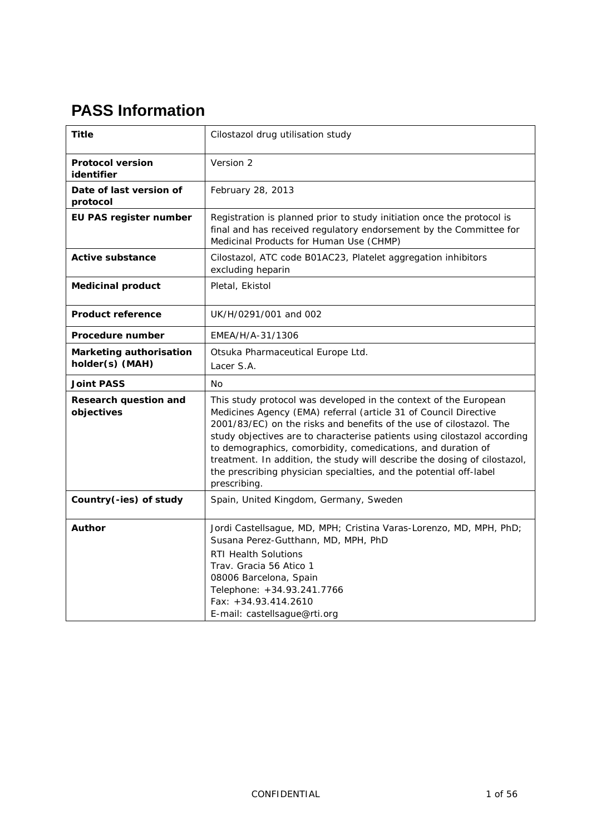# **PASS Information**

| Title                                                                                                | Cilostazol drug utilisation study                                                                                                                                                                                                                                                                                                                                                                                                                                                                                          |  |  |  |  |
|------------------------------------------------------------------------------------------------------|----------------------------------------------------------------------------------------------------------------------------------------------------------------------------------------------------------------------------------------------------------------------------------------------------------------------------------------------------------------------------------------------------------------------------------------------------------------------------------------------------------------------------|--|--|--|--|
| <b>Protocol version</b><br>identifier                                                                | Version 2                                                                                                                                                                                                                                                                                                                                                                                                                                                                                                                  |  |  |  |  |
| Date of last version of<br>protocol                                                                  | February 28, 2013                                                                                                                                                                                                                                                                                                                                                                                                                                                                                                          |  |  |  |  |
| EU PAS register number                                                                               | Registration is planned prior to study initiation once the protocol is<br>final and has received regulatory endorsement by the Committee for<br>Medicinal Products for Human Use (CHMP)                                                                                                                                                                                                                                                                                                                                    |  |  |  |  |
| <b>Active substance</b>                                                                              | Cilostazol, ATC code B01AC23, Platelet aggregation inhibitors<br>excluding heparin                                                                                                                                                                                                                                                                                                                                                                                                                                         |  |  |  |  |
| <b>Medicinal product</b>                                                                             | Pletal, Ekistol                                                                                                                                                                                                                                                                                                                                                                                                                                                                                                            |  |  |  |  |
| <b>Product reference</b>                                                                             | UK/H/0291/001 and 002                                                                                                                                                                                                                                                                                                                                                                                                                                                                                                      |  |  |  |  |
| Procedure number                                                                                     | EMEA/H/A-31/1306                                                                                                                                                                                                                                                                                                                                                                                                                                                                                                           |  |  |  |  |
| <b>Marketing authorisation</b><br>Otsuka Pharmaceutical Europe Ltd.<br>holder(s) (MAH)<br>Lacer S.A. |                                                                                                                                                                                                                                                                                                                                                                                                                                                                                                                            |  |  |  |  |
| <b>Joint PASS</b>                                                                                    | Nο                                                                                                                                                                                                                                                                                                                                                                                                                                                                                                                         |  |  |  |  |
| Research question and<br>objectives                                                                  | This study protocol was developed in the context of the European<br>Medicines Agency (EMA) referral (article 31 of Council Directive<br>2001/83/EC) on the risks and benefits of the use of cilostazol. The<br>study objectives are to characterise patients using cilostazol according<br>to demographics, comorbidity, comedications, and duration of<br>treatment. In addition, the study will describe the dosing of cilostazol,<br>the prescribing physician specialties, and the potential off-label<br>prescribing. |  |  |  |  |
| Country(-ies) of study                                                                               | Spain, United Kingdom, Germany, Sweden                                                                                                                                                                                                                                                                                                                                                                                                                                                                                     |  |  |  |  |
| <b>Author</b>                                                                                        | Jordi Castellsague, MD, MPH; Cristina Varas-Lorenzo, MD, MPH, PhD;<br>Susana Perez-Gutthann, MD, MPH, PhD<br><b>RTI Health Solutions</b><br>Trav. Gracia 56 Atico 1<br>08006 Barcelona, Spain<br>Telephone: +34.93.241.7766<br>Fax: +34.93.414.2610<br>E-mail: castellsague@rti.org                                                                                                                                                                                                                                        |  |  |  |  |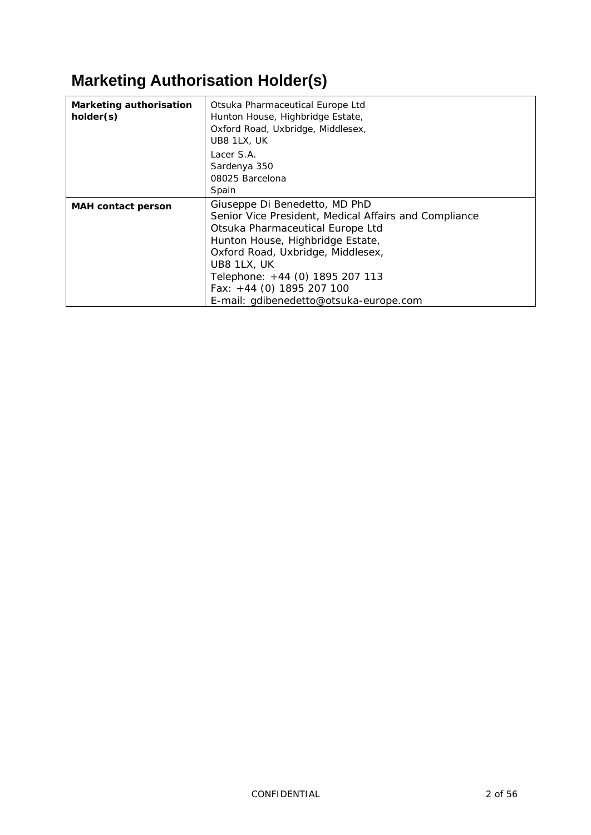# **Marketing Authorisation Holder(s)**

| <b>Marketing authorisation</b><br>holder(s) | Otsuka Pharmaceutical Europe Ltd<br>Hunton House, Highbridge Estate,<br>Oxford Road, Uxbridge, Middlesex,<br>UB8 1LX, UK<br>Lacer S.A.<br>Sardenya 350<br>08025 Barcelona<br>Spain                                                                                                                                             |  |  |  |
|---------------------------------------------|--------------------------------------------------------------------------------------------------------------------------------------------------------------------------------------------------------------------------------------------------------------------------------------------------------------------------------|--|--|--|
| <b>MAH</b> contact person                   | Giuseppe Di Benedetto, MD PhD<br>Senior Vice President, Medical Affairs and Compliance<br>Otsuka Pharmaceutical Europe Ltd<br>Hunton House, Highbridge Estate,<br>Oxford Road, Uxbridge, Middlesex,<br>UB8 1LX, UK<br>Telephone: +44 (0) 1895 207 113<br>Fax: $+44$ (0) 1895 207 100<br>E-mail: gdibenedetto@otsuka-europe.com |  |  |  |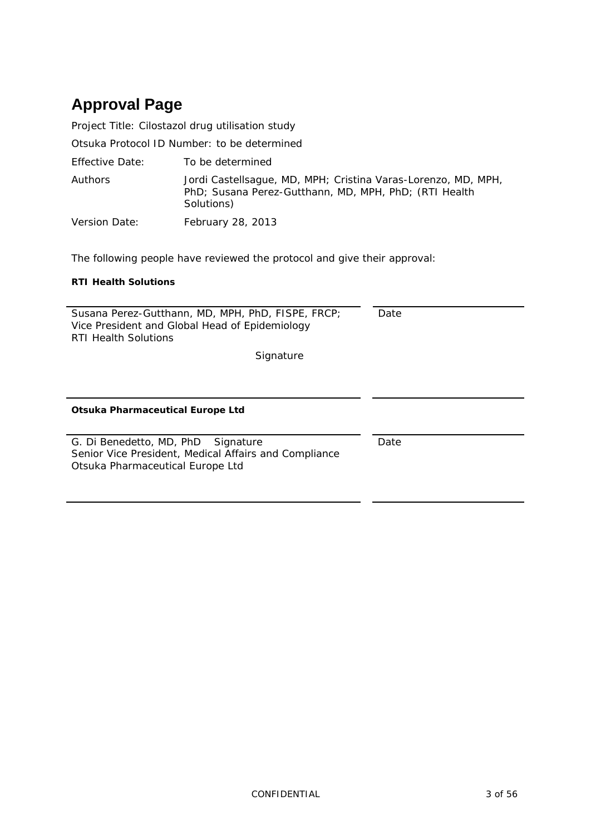# **Approval Page**

Project Title: Cilostazol drug utilisation study

Otsuka Protocol ID Number: to be determined

Effective Date: To be determined

Authors Jordi Castellsague, MD, MPH; Cristina Varas-Lorenzo, MD, MPH, PhD; Susana Perez-Gutthann, MD, MPH, PhD; (RTI Health Solutions)

Version Date: February 28, 2013

The following people have reviewed the protocol and give their approval:

#### **RTI Health Solutions**

| Susana Perez-Gutthann, MD, MPH, PhD, FISPE, FRCP;<br>Vice President and Global Head of Epidemiology<br><b>RTI Health Solutions</b> | Date |
|------------------------------------------------------------------------------------------------------------------------------------|------|
| Signature                                                                                                                          |      |
|                                                                                                                                    |      |
| Otsuka Pharmaceutical Europe Ltd                                                                                                   |      |
| G. Di Benedetto, MD, PhD Signature<br>Senior Vice President, Medical Affairs and Compliance<br>Otsuka Pharmaceutical Europe Ltd    | Date |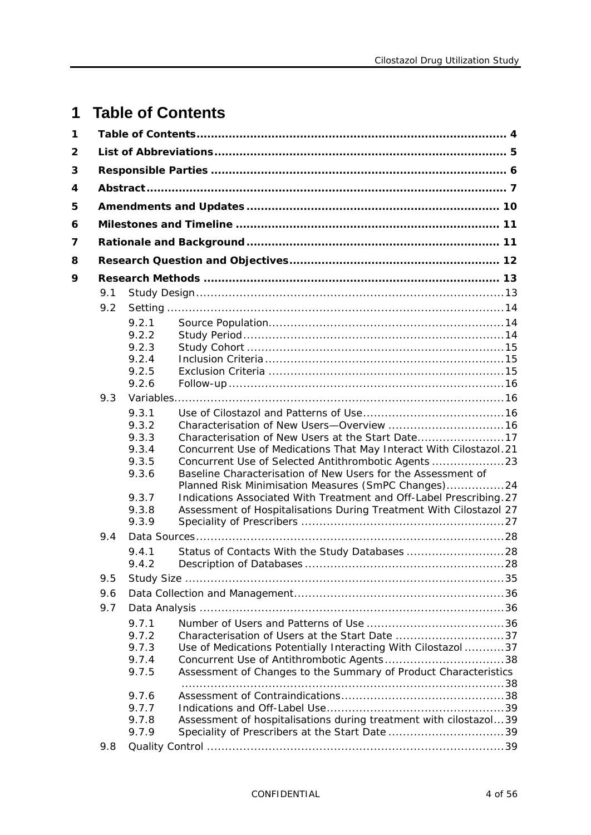# <span id="page-3-0"></span>**1 Table of Contents**

| 1 |     |                                           |                                                                                                                                                                                     |  |
|---|-----|-------------------------------------------|-------------------------------------------------------------------------------------------------------------------------------------------------------------------------------------|--|
| 2 |     |                                           |                                                                                                                                                                                     |  |
| 3 |     |                                           |                                                                                                                                                                                     |  |
| 4 |     |                                           |                                                                                                                                                                                     |  |
| 5 |     |                                           |                                                                                                                                                                                     |  |
| 6 |     |                                           |                                                                                                                                                                                     |  |
| 7 |     |                                           |                                                                                                                                                                                     |  |
| 8 |     |                                           |                                                                                                                                                                                     |  |
| 9 |     |                                           |                                                                                                                                                                                     |  |
|   | 9.1 |                                           |                                                                                                                                                                                     |  |
|   | 9.2 |                                           |                                                                                                                                                                                     |  |
|   |     | 9.2.1<br>9.2.2<br>9.2.3<br>9.2.4<br>9.2.5 |                                                                                                                                                                                     |  |
|   |     | 9.2.6                                     |                                                                                                                                                                                     |  |
|   | 9.3 |                                           |                                                                                                                                                                                     |  |
|   |     | 9.3.1<br>9.3.2<br>9.3.3<br>9.3.4<br>9.3.5 | Concurrent Use of Medications That May Interact With Cilostazol.21                                                                                                                  |  |
|   |     | 9.3.6                                     | Baseline Characterisation of New Users for the Assessment of<br>Planned Risk Minimisation Measures (SmPC Changes)24                                                                 |  |
|   |     | 9.3.7<br>9.3.8<br>9.3.9                   | Indications Associated With Treatment and Off-Label Prescribing. 27<br>Assessment of Hospitalisations During Treatment With Cilostazol 27                                           |  |
|   | 9.4 |                                           |                                                                                                                                                                                     |  |
|   |     | 9.4.1<br>9.4.2                            |                                                                                                                                                                                     |  |
|   | 9.5 |                                           |                                                                                                                                                                                     |  |
|   | 9.6 |                                           |                                                                                                                                                                                     |  |
|   | 9.7 |                                           |                                                                                                                                                                                     |  |
|   |     | 9.7.1<br>9.7.2<br>9.7.3<br>9.7.4<br>9.7.5 | Characterisation of Users at the Start Date 37<br>Use of Medications Potentially Interacting With Cilostazol  37<br>Assessment of Changes to the Summary of Product Characteristics |  |
|   |     | 9.7.6<br>9.7.7<br>9.7.8<br>9.7.9          | Assessment of hospitalisations during treatment with cilostazol39                                                                                                                   |  |
|   | 9.8 |                                           |                                                                                                                                                                                     |  |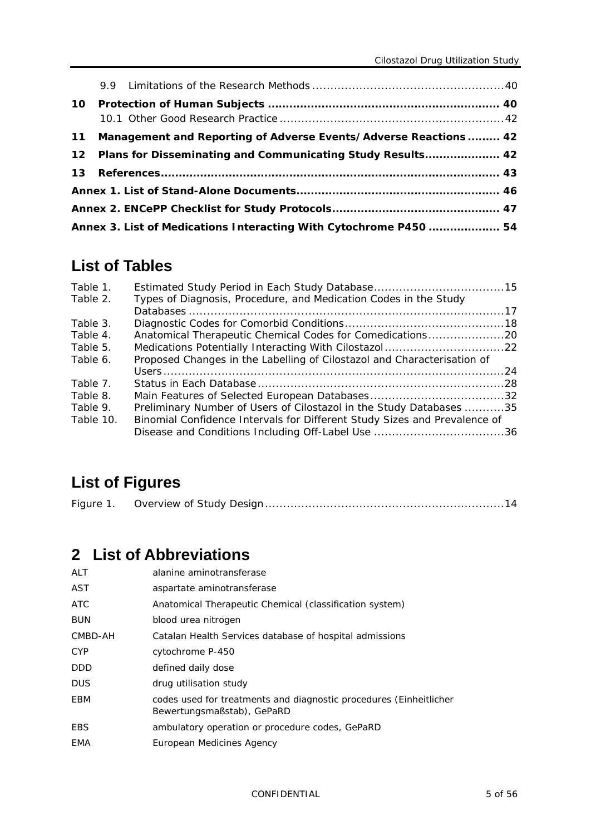| 10 <sub>1</sub> |                                                                   |  |
|-----------------|-------------------------------------------------------------------|--|
| 11              | Management and Reporting of Adverse Events/Adverse Reactions  42  |  |
| 12              | Plans for Disseminating and Communicating Study Results 42        |  |
| 13              |                                                                   |  |
|                 |                                                                   |  |
|                 |                                                                   |  |
|                 | Annex 3. List of Medications Interacting With Cytochrome P450  54 |  |

# **List of Tables**

| Table 1.  |                                                                           |  |
|-----------|---------------------------------------------------------------------------|--|
| Table 2.  | Types of Diagnosis, Procedure, and Medication Codes in the Study          |  |
|           |                                                                           |  |
| Table 3.  |                                                                           |  |
| Table 4.  | Anatomical Therapeutic Chemical Codes for Comedications20                 |  |
| Table 5.  | Medications Potentially Interacting With Cilostazol22                     |  |
| Table 6.  | Proposed Changes in the Labelling of Cilostazol and Characterisation of   |  |
|           |                                                                           |  |
| Table 7.  |                                                                           |  |
| Table 8.  |                                                                           |  |
| Table 9.  | Preliminary Number of Users of Cilostazol in the Study Databases 35       |  |
| Table 10. | Binomial Confidence Intervals for Different Study Sizes and Prevalence of |  |
|           |                                                                           |  |

# **List of Figures**

<span id="page-4-0"></span>

| Figure 1 | Overview of Study Design…………………………………………………………14 |  |
|----------|--------------------------------------------------|--|
|----------|--------------------------------------------------|--|

# **2 List of Abbreviations**

| ALT     | alanine aminotransferase                                                                         |
|---------|--------------------------------------------------------------------------------------------------|
| AST     | aspartate aminotransferase                                                                       |
| ATC     | Anatomical Therapeutic Chemical (classification system)                                          |
| BUN     | blood urea nitrogen                                                                              |
| CMBD-AH | Catalan Health Services database of hospital admissions                                          |
| CYP.    | cytochrome P-450                                                                                 |
| DDD     | defined daily dose                                                                               |
| DUS.    | drug utilisation study                                                                           |
| EBM     | codes used for treatments and diagnostic procedures (Einheitlicher<br>Bewertungsmaßstab), GePaRD |
| EBS     | ambulatory operation or procedure codes, GePaRD                                                  |
| EMA     | European Medicines Agency                                                                        |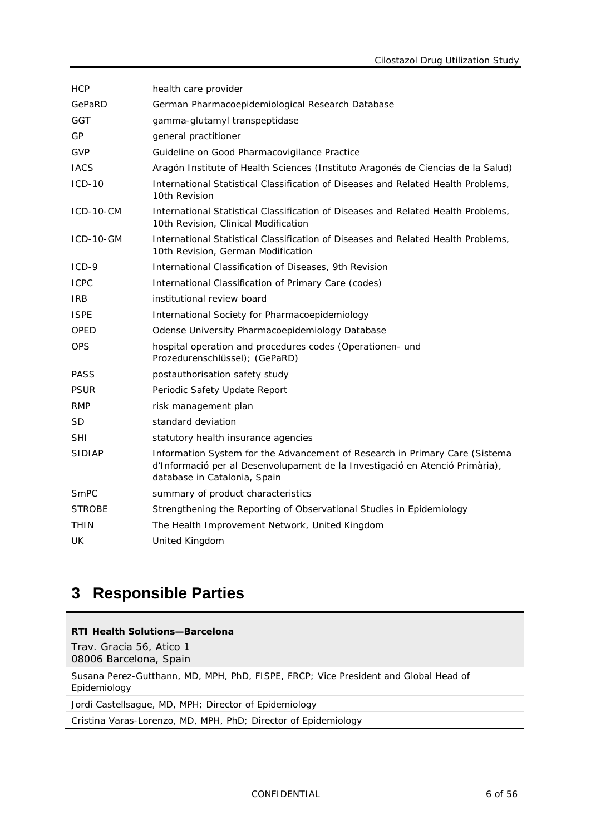| <b>HCP</b>    | health care provider                                                                                                                                                                        |
|---------------|---------------------------------------------------------------------------------------------------------------------------------------------------------------------------------------------|
| GePaRD        | German Pharmacoepidemiological Research Database                                                                                                                                            |
| GGT           | gamma-glutamyl transpeptidase                                                                                                                                                               |
| GP            | general practitioner                                                                                                                                                                        |
| <b>GVP</b>    | Guideline on Good Pharmacovigilance Practice                                                                                                                                                |
| <b>IACS</b>   | Aragón Institute of Health Sciences (Instituto Aragonés de Ciencias de la Salud)                                                                                                            |
| $ICD-10$      | International Statistical Classification of Diseases and Related Health Problems,<br>10th Revision                                                                                          |
| $ICD-10-CM$   | International Statistical Classification of Diseases and Related Health Problems,<br>10th Revision, Clinical Modification                                                                   |
| ICD-10-GM     | International Statistical Classification of Diseases and Related Health Problems,<br>10th Revision, German Modification                                                                     |
| $ICD-9$       | International Classification of Diseases, 9th Revision                                                                                                                                      |
| <b>ICPC</b>   | International Classification of Primary Care (codes)                                                                                                                                        |
| IRB.          | institutional review board                                                                                                                                                                  |
| <b>ISPE</b>   | International Society for Pharmacoepidemiology                                                                                                                                              |
| OPED          | Odense University Pharmacoepidemiology Database                                                                                                                                             |
| <b>OPS</b>    | hospital operation and procedures codes (Operationen- und<br>Prozedurenschlüssel); (GePaRD)                                                                                                 |
| <b>PASS</b>   | postauthorisation safety study                                                                                                                                                              |
| <b>PSUR</b>   | Periodic Safety Update Report                                                                                                                                                               |
| <b>RMP</b>    | risk management plan                                                                                                                                                                        |
| <b>SD</b>     | standard deviation                                                                                                                                                                          |
| <b>SHI</b>    | statutory health insurance agencies                                                                                                                                                         |
| <b>SIDIAP</b> | Information System for the Advancement of Research in Primary Care (Sistema<br>d'Informació per al Desenvolupament de la Investigació en Atenció Primària),<br>database in Catalonia, Spain |
| SmPC          | summary of product characteristics                                                                                                                                                          |
| <b>STROBE</b> | Strengthening the Reporting of Observational Studies in Epidemiology                                                                                                                        |
| <b>THIN</b>   | The Health Improvement Network, United Kingdom                                                                                                                                              |
| UK            | United Kingdom                                                                                                                                                                              |

# <span id="page-5-0"></span>**3 Responsible Parties**

#### **RTI Health Solutions—Barcelona**

Trav. Gracia 56, Atico 1 08006 Barcelona, Spain

Susana Perez-Gutthann, MD, MPH, PhD, FISPE, FRCP; Vice President and Global Head of Epidemiology

Jordi Castellsague, MD, MPH; Director of Epidemiology

Cristina Varas-Lorenzo, MD, MPH, PhD; Director of Epidemiology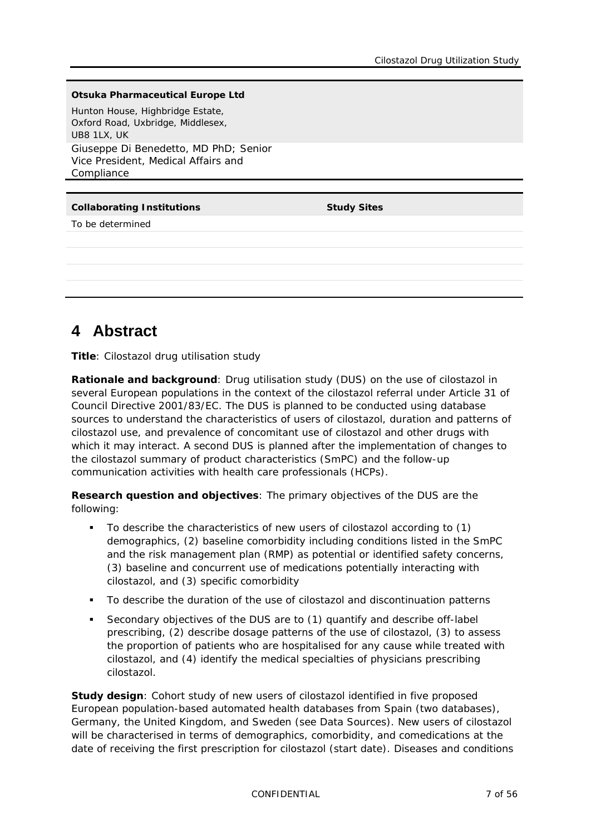#### **Otsuka Pharmaceutical Europe Ltd**

Hunton House, Highbridge Estate, Oxford Road, Uxbridge, Middlesex, UB8 1LX, UK Giuseppe Di Benedetto, MD PhD; Senior Vice President, Medical Affairs and Compliance

#### **Collaborating Institutions Study Sites**

To be determined

# <span id="page-6-0"></span>**4 Abstract**

**Title**: Cilostazol drug utilisation study

**Rationale and background**: Drug utilisation study (DUS) on the use of cilostazol in several European populations in the context of the cilostazol referral under Article 31 of Council Directive 2001/83/EC. The DUS is planned to be conducted using database sources to understand the characteristics of users of cilostazol, duration and patterns of cilostazol use, and prevalence of concomitant use of cilostazol and other drugs with which it may interact. A second DUS is planned after the implementation of changes to the cilostazol summary of product characteristics (SmPC) and the follow-up communication activities with health care professionals (HCPs).

**Research question and objectives**: The primary objectives of the DUS are the following:

- To describe the characteristics of new users of cilostazol according to (1) demographics, (2) baseline comorbidity including conditions listed in the SmPC and the risk management plan (RMP) as potential or identified safety concerns, (3) baseline and concurrent use of medications potentially interacting with cilostazol, and (3) specific comorbidity
- To describe the duration of the use of cilostazol and discontinuation patterns
- Secondary objectives of the DUS are to (1) quantify and describe off-label prescribing, (2) describe dosage patterns of the use of cilostazol, (3) to assess the proportion of patients who are hospitalised for any cause while treated with cilostazol, and (4) identify the medical specialties of physicians prescribing cilostazol.

**Study design**: Cohort study of new users of cilostazol identified in five proposed European population-based automated health databases from Spain (two databases), Germany, the United Kingdom, and Sweden (see Data Sources). New users of cilostazol will be characterised in terms of demographics, comorbidity, and comedications at the date of receiving the first prescription for cilostazol (start date). Diseases and conditions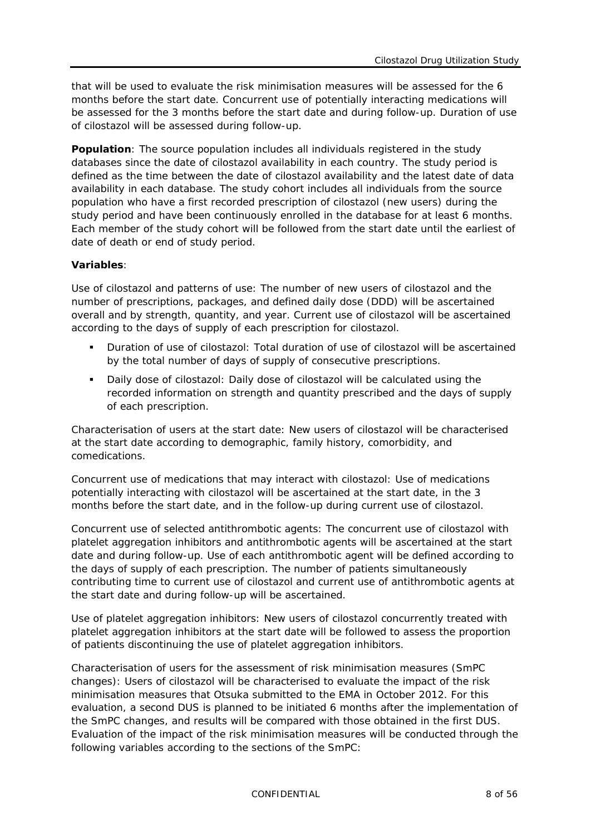that will be used to evaluate the risk minimisation measures will be assessed for the 6 months before the start date. Concurrent use of potentially interacting medications will be assessed for the 3 months before the start date and during follow-up. Duration of use of cilostazol will be assessed during follow-up.

**Population**: The source population includes all individuals registered in the study databases since the date of cilostazol availability in each country. The study period is defined as the time between the date of cilostazol availability and the latest date of data availability in each database. The study cohort includes all individuals from the source population who have a first recorded prescription of cilostazol (new users) during the study period and have been continuously enrolled in the database for at least 6 months. Each member of the study cohort will be followed from the start date until the earliest of date of death or end of study period.

#### **Variables**:

*Use of cilostazol and patterns of use*: The number of new users of cilostazol and the number of prescriptions, packages, and defined daily dose (DDD) will be ascertained overall and by strength, quantity, and year. Current use of cilostazol will be ascertained according to the days of supply of each prescription for cilostazol.

- *Duration of use of cilostazol*: Total duration of use of cilostazol will be ascertained by the total number of days of supply of consecutive prescriptions.
- *Daily dose of cilostazol*: Daily dose of cilostazol will be calculated using the recorded information on strength and quantity prescribed and the days of supply of each prescription.

*Characterisation of users at the start date:* New users of cilostazol will be characterised at the start date according to demographic, family history, comorbidity, and comedications.

*Concurrent use of medications that may interact with cilostazol*: Use of medications potentially interacting with cilostazol will be ascertained at the start date, in the 3 months before the start date, and in the follow-up during current use of cilostazol.

*Concurrent use of selected antithrombotic agents*: The concurrent use of cilostazol with platelet aggregation inhibitors and antithrombotic agents will be ascertained at the start date and during follow-up. Use of each antithrombotic agent will be defined according to the days of supply of each prescription. The number of patients simultaneously contributing time to current use of cilostazol and current use of antithrombotic agents at the start date and during follow-up will be ascertained.

*Use of platelet aggregation inhibitors*: New users of cilostazol concurrently treated with platelet aggregation inhibitors at the start date will be followed to assess the proportion of patients discontinuing the use of platelet aggregation inhibitors.

*Characterisation of users for the assessment of risk minimisation measures (SmPC changes)*: Users of cilostazol will be characterised to evaluate the impact of the risk minimisation measures that Otsuka submitted to the EMA in October 2012. For this evaluation, a second DUS is planned to be initiated 6 months after the implementation of the SmPC changes, and results will be compared with those obtained in the first DUS. Evaluation of the impact of the risk minimisation measures will be conducted through the following variables according to the sections of the SmPC: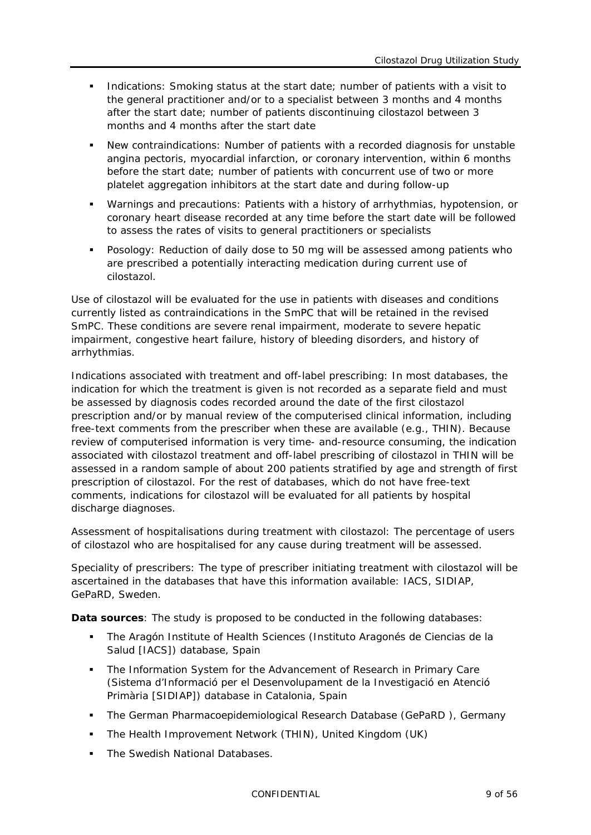- Indications: Smoking status at the start date; number of patients with a visit to the general practitioner and/or to a specialist between 3 months and 4 months after the start date; number of patients discontinuing cilostazol between 3 months and 4 months after the start date
- New contraindications: Number of patients with a recorded diagnosis for unstable angina pectoris, myocardial infarction, or coronary intervention, within 6 months before the start date; number of patients with concurrent use of two or more platelet aggregation inhibitors at the start date and during follow-up
- Warnings and precautions: Patients with a history of arrhythmias, hypotension, or coronary heart disease recorded at any time before the start date will be followed to assess the rates of visits to general practitioners or specialists
- Posology: Reduction of daily dose to 50 mg will be assessed among patients who are prescribed a potentially interacting medication during current use of cilostazol.

Use of cilostazol will be evaluated for the use in patients with diseases and conditions currently listed as contraindications in the SmPC that will be retained in the revised SmPC. These conditions are severe renal impairment, moderate to severe hepatic impairment, congestive heart failure, history of bleeding disorders, and history of arrhythmias.

*Indications associated with treatment and off-label prescribing*: In most databases, the indication for which the treatment is given is not recorded as a separate field and must be assessed by diagnosis codes recorded around the date of the first cilostazol prescription and/or by manual review of the computerised clinical information, including free-text comments from the prescriber when these are available (e.g., THIN). Because review of computerised information is very time- and-resource consuming, the indication associated with cilostazol treatment and off-label prescribing of cilostazol in THIN will be assessed in a random sample of about 200 patients stratified by age and strength of first prescription of cilostazol. For the rest of databases, which do not have free-text comments, indications for cilostazol will be evaluated for all patients by hospital discharge diagnoses.

*Assessment of hospitalisations during treatment with cilostazol:* The percentage of users of cilostazol who are hospitalised for any cause during treatment will be assessed.

*Speciality of prescribers*: The type of prescriber initiating treatment with cilostazol will be ascertained in the databases that have this information available: IACS, SIDIAP, GePaRD, Sweden.

**Data sources**: The study is proposed to be conducted in the following databases:

- The Aragón Institute of Health Sciences (Instituto Aragonés de Ciencias de la Salud [IACS]) database, Spain
- The Information System for the Advancement of Research in Primary Care (Sistema d'Informació per el Desenvolupament de la Investigació en Atenció Primària [SIDIAP]) database in Catalonia, Spain
- The German Pharmacoepidemiological Research Database (GePaRD ), Germany
- The Health Improvement Network (THIN), United Kingdom (UK)
- The Swedish National Databases.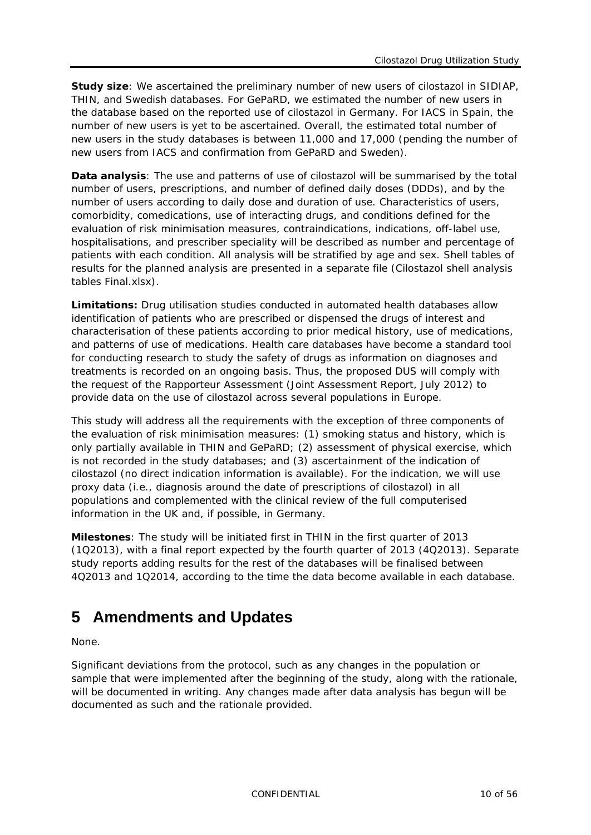**Study size**: We ascertained the preliminary number of new users of cilostazol in SIDIAP, THIN, and Swedish databases. For GePaRD, we estimated the number of new users in the database based on the reported use of cilostazol in Germany. For IACS in Spain, the number of new users is yet to be ascertained. Overall, the estimated total number of new users in the study databases is between 11,000 and 17,000 (pending the number of new users from IACS and confirmation from GePaRD and Sweden).

**Data analysis**: The use and patterns of use of cilostazol will be summarised by the total number of users, prescriptions, and number of defined daily doses (DDDs), and by the number of users according to daily dose and duration of use. Characteristics of users, comorbidity, comedications, use of interacting drugs, and conditions defined for the evaluation of risk minimisation measures, contraindications, indications, off-label use, hospitalisations, and prescriber speciality will be described as number and percentage of patients with each condition. All analysis will be stratified by age and sex. Shell tables of results for the planned analysis are presented in a separate file (Cilostazol shell analysis tables Final.xlsx).

**Limitations:** Drug utilisation studies conducted in automated health databases allow identification of patients who are prescribed or dispensed the drugs of interest and characterisation of these patients according to prior medical history, use of medications, and patterns of use of medications. Health care databases have become a standard tool for conducting research to study the safety of drugs as information on diagnoses and treatments is recorded on an ongoing basis. Thus, the proposed DUS will comply with the request of the Rapporteur Assessment (Joint Assessment Report, July 2012) to provide data on the use of cilostazol across several populations in Europe.

This study will address all the requirements with the exception of three components of the evaluation of risk minimisation measures: (1) smoking status and history, which is only partially available in THIN and GePaRD; (2) assessment of physical exercise, which is not recorded in the study databases; and (3) ascertainment of the indication of cilostazol (no direct indication information is available). For the indication, we will use proxy data (i.e., diagnosis around the date of prescriptions of cilostazol) in all populations and complemented with the clinical review of the full computerised information in the UK and, if possible, in Germany.

**Milestones**: The study will be initiated first in THIN in the first quarter of 2013 (1Q2013), with a final report expected by the fourth quarter of 2013 (4Q2013). Separate study reports adding results for the rest of the databases will be finalised between 4Q2013 and 1Q2014, according to the time the data become available in each database.

# <span id="page-9-0"></span>**5 Amendments and Updates**

None.

Significant deviations from the protocol, such as any changes in the population or sample that were implemented after the beginning of the study, along with the rationale, will be documented in writing. Any changes made after data analysis has begun will be documented as such and the rationale provided.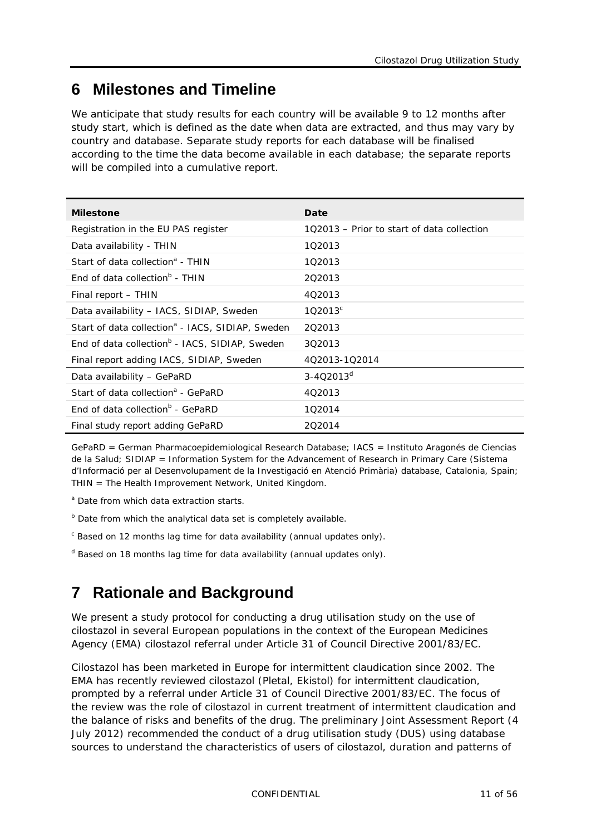# <span id="page-10-0"></span>**6 Milestones and Timeline**

We anticipate that study results for each country will be available 9 to 12 months after study start, which is defined as the date when data are extracted, and thus may vary by country and database. Separate study reports for each database will be finalised according to the time the data become available in each database; the separate reports will be compiled into a cumulative report.

| <b>Milestone</b>                                             | Date                                       |
|--------------------------------------------------------------|--------------------------------------------|
| Registration in the EU PAS register                          | 102013 – Prior to start of data collection |
| Data availability - THIN                                     | 102013                                     |
| Start of data collection <sup>a</sup> - THIN                 | 1Q2013                                     |
| End of data collection $b$ - THIN                            | 202013                                     |
| Final report - THIN                                          | 4Q2013                                     |
| Data availability - IACS, SIDIAP, Sweden                     | 102013 <sup>c</sup>                        |
| Start of data collection <sup>a</sup> - IACS, SIDIAP, Sweden | 202013                                     |
| End of data collection <sup>b</sup> - IACS, SIDIAP, Sweden   | 3Q2013                                     |
| Final report adding IACS, SIDIAP, Sweden                     | 4Q2013-1Q2014                              |
| Data availability - GePaRD                                   | $3 - 402013^{d}$                           |
| Start of data collection <sup>a</sup> - GePaRD               | 4Q2013                                     |
| End of data collection <sup>b</sup> - GePaRD                 | 102014                                     |
| Final study report adding GePaRD                             | 202014                                     |

GePaRD = German Pharmacoepidemiological Research Database; IACS = Instituto Aragonés de Ciencias de la Salud; SIDIAP = Information System for the Advancement of Research in Primary Care (Sistema d'Informació per al Desenvolupament de la Investigació en Atenció Primària) database, Catalonia, Spain; THIN = The Health Improvement Network, United Kingdom.

<sup>a</sup> Date from which data extraction starts.

- $<sup>b</sup>$  Date from which the analytical data set is completely available.</sup>
- $c$  Based on 12 months lag time for data availability (annual updates only).
- <span id="page-10-1"></span> $d$  Based on 18 months lag time for data availability (annual updates only).

# **7 Rationale and Background**

We present a study protocol for conducting a drug utilisation study on the use of cilostazol in several European populations in the context of the European Medicines Agency (EMA) cilostazol referral under Article 31 of Council Directive 2001/83/EC.

Cilostazol has been marketed in Europe for intermittent claudication since 2002. The EMA has recently reviewed cilostazol (Pletal, Ekistol) for intermittent claudication, prompted by a referral under Article 31 of Council Directive 2001/83/EC. The focus of the review was the role of cilostazol in current treatment of intermittent claudication and the balance of risks and benefits of the drug. The preliminary Joint Assessment Report (4 July 2012) recommended the conduct of a drug utilisation study (DUS) using database sources to understand the characteristics of users of cilostazol, duration and patterns of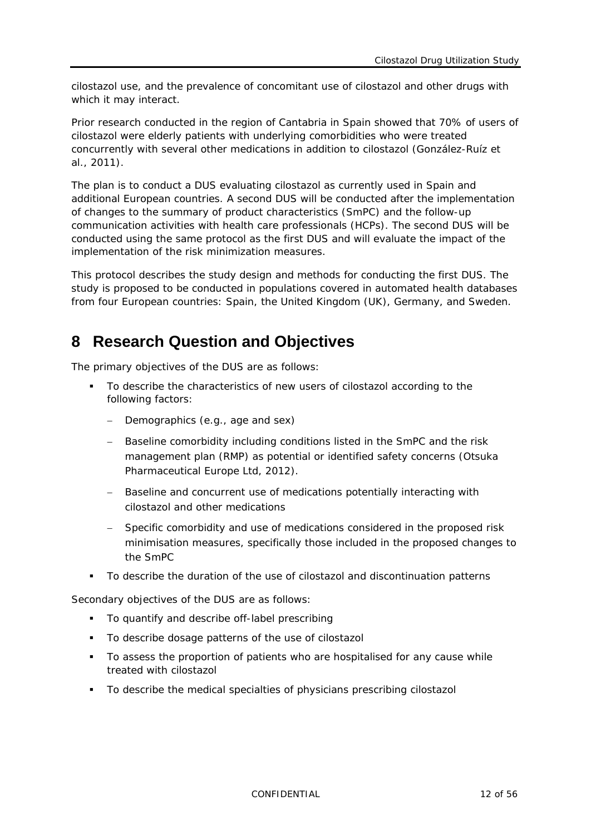cilostazol use, and the prevalence of concomitant use of cilostazol and other drugs with which it may interact.

Prior research conducted in the region of Cantabria in Spain showed that 70% of users of cilostazol were elderly patients with underlying comorbidities who were treated concurrently with several other medications in addition to cilostazol (González-Ruíz et al., 2011).

The plan is to conduct a DUS evaluating cilostazol as currently used in Spain and additional European countries. A second DUS will be conducted after the implementation of changes to the summary of product characteristics (SmPC) and the follow-up communication activities with health care professionals (HCPs). The second DUS will be conducted using the same protocol as the first DUS and will evaluate the impact of the implementation of the risk minimization measures.

This protocol describes the study design and methods for conducting the first DUS. The study is proposed to be conducted in populations covered in automated health databases from four European countries: Spain, the United Kingdom (UK), Germany, and Sweden.

# <span id="page-11-0"></span>**8 Research Question and Objectives**

The primary objectives of the DUS are as follows:

- To describe the characteristics of new users of cilostazol according to the following factors:
	- Demographics (e.g., age and sex)
	- − Baseline comorbidity including conditions listed in the SmPC and the risk management plan (RMP) as potential or identified safety concerns (Otsuka Pharmaceutical Europe Ltd, 2012).
	- − Baseline and concurrent use of medications potentially interacting with cilostazol and other medications
	- Specific comorbidity and use of medications considered in the proposed risk minimisation measures, specifically those included in the proposed changes to the SmPC
- To describe the duration of the use of cilostazol and discontinuation patterns

Secondary objectives of the DUS are as follows:

- To quantify and describe off-label prescribing
- To describe dosage patterns of the use of cilostazol
- To assess the proportion of patients who are hospitalised for any cause while treated with cilostazol
- To describe the medical specialties of physicians prescribing cilostazol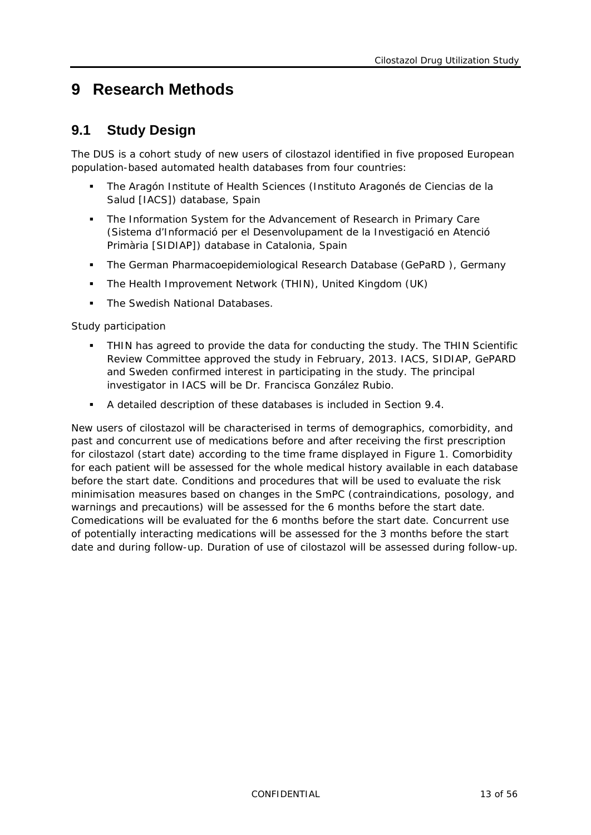# <span id="page-12-1"></span><span id="page-12-0"></span>**9 Research Methods**

### **9.1 Study Design**

The DUS is a cohort study of new users of cilostazol identified in five proposed European population-based automated health databases from four countries:

- The Aragón Institute of Health Sciences (Instituto Aragonés de Ciencias de la Salud [IACS]) database, Spain
- The Information System for the Advancement of Research in Primary Care (Sistema d'Informació per el Desenvolupament de la Investigació en Atenció Primària [SIDIAP]) database in Catalonia, Spain
- The German Pharmacoepidemiological Research Database (GePaRD ), Germany
- **The Health Improvement Network (THIN), United Kingdom (UK)**
- The Swedish National Databases.

Study participation

- THIN has agreed to provide the data for conducting the study. The THIN Scientific Review Committee approved the study in February, 2013. IACS, SIDIAP, GePARD and Sweden confirmed interest in participating in the study. The principal investigator in IACS will be Dr. Francisca González Rubio.
- A detailed description of these databases is included in Section [9.4.](#page-27-0)

New users of cilostazol will be characterised in terms of demographics, comorbidity, and past and concurrent use of medications before and after receiving the first prescription for cilostazol (start date) according to the time frame displayed in [Figure](#page-13-3) 1. Comorbidity for each patient will be assessed for the whole medical history available in each database before the start date. Conditions and procedures that will be used to evaluate the risk minimisation measures based on changes in the SmPC (contraindications, posology, and warnings and precautions) will be assessed for the 6 months before the start date. Comedications will be evaluated for the 6 months before the start date. Concurrent use of potentially interacting medications will be assessed for the 3 months before the start date and during follow-up. Duration of use of cilostazol will be assessed during follow-up.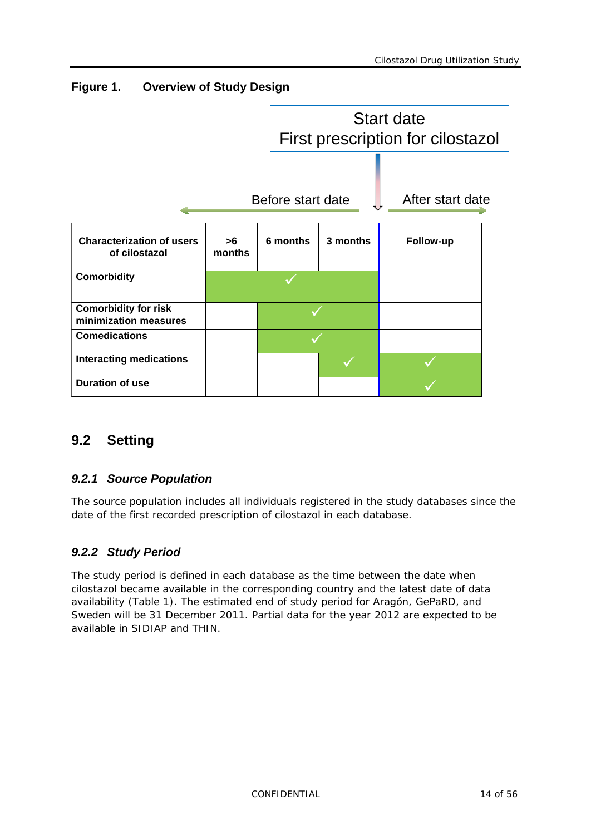<span id="page-13-3"></span>**Figure 1. Overview of Study Design** 



### <span id="page-13-1"></span><span id="page-13-0"></span>**9.2 Setting**

### *9.2.1 Source Population*

The source population includes all individuals registered in the study databases since the date of the first recorded prescription of cilostazol in each database.

### <span id="page-13-2"></span>*9.2.2 Study Period*

The study period is defined in each database as the time between the date when cilostazol became available in the corresponding country and the latest date of data availability [\(Table](#page-14-3) 1). The estimated end of study period for Aragón, GePaRD, and Sweden will be 31 December 2011. Partial data for the year 2012 are expected to be available in SIDIAP and THIN.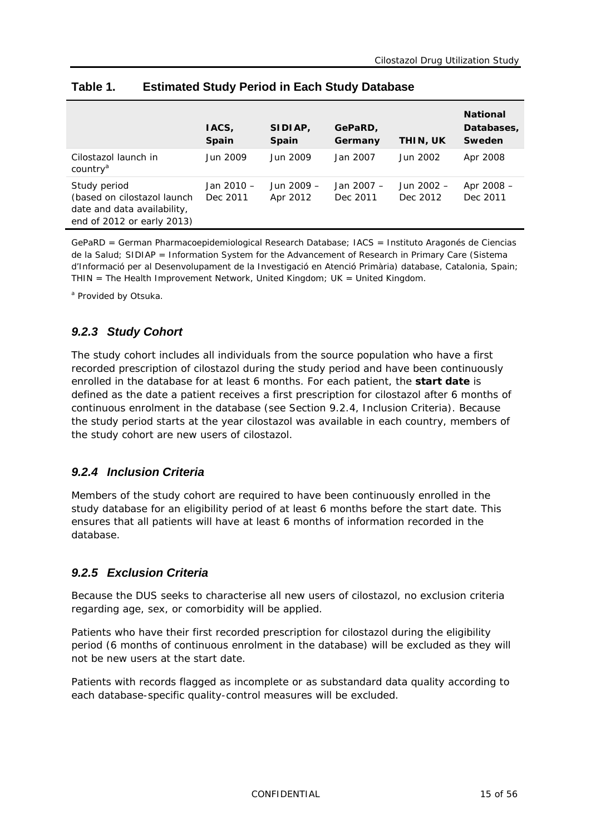|                                                                                                          | IACS,<br><b>Spain</b>    | SIDIAP,<br><b>Spain</b> | GePaRD,<br>Germany     | THIN, UK               | <b>National</b><br>Databases,<br>Sweden |
|----------------------------------------------------------------------------------------------------------|--------------------------|-------------------------|------------------------|------------------------|-----------------------------------------|
| Cilostazol launch in<br>country <sup>a</sup>                                                             | Jun 2009                 | Jun 2009                | Jan 2007               | Jun 2002               | Apr 2008                                |
| Study period<br>(based on cilostazol launch<br>date and data availability,<br>end of 2012 or early 2013) | Jan $2010 -$<br>Dec 2011 | Jun 2009 -<br>Apr 2012  | Jan 2007 –<br>Dec 2011 | Jun 2002 -<br>Dec 2012 | Apr 2008 -<br>Dec 2011                  |

#### <span id="page-14-3"></span>**Table 1. Estimated Study Period in Each Study Database**

GePaRD = German Pharmacoepidemiological Research Database; IACS = Instituto Aragonés de Ciencias de la Salud; SIDIAP = Information System for the Advancement of Research in Primary Care (Sistema d'Informació per al Desenvolupament de la Investigació en Atenció Primària) database, Catalonia, Spain; THIN = The Health Improvement Network, United Kingdom; UK = United Kingdom.

<span id="page-14-0"></span><sup>a</sup> Provided by Otsuka.

### *9.2.3 Study Cohort*

The study cohort includes all individuals from the source population who have a first recorded prescription of cilostazol during the study period and have been continuously enrolled in the database for at least 6 months. For each patient, the **start date** is defined as the date a patient receives a first prescription for cilostazol after 6 months of continuous enrolment in the database (see Section [9.2.4,](#page-14-1) Inclusion Criteria). Because the study period starts at the year cilostazol was available in each country, members of the study cohort are new users of cilostazol.

#### <span id="page-14-1"></span>*9.2.4 Inclusion Criteria*

Members of the study cohort are required to have been continuously enrolled in the study database for an eligibility period of at least 6 months before the start date. This ensures that all patients will have at least 6 months of information recorded in the database.

#### <span id="page-14-2"></span>*9.2.5 Exclusion Criteria*

Because the DUS seeks to characterise all new users of cilostazol, no exclusion criteria regarding age, sex, or comorbidity will be applied.

Patients who have their first recorded prescription for cilostazol during the eligibility period (6 months of continuous enrolment in the database) will be excluded as they will not be new users at the start date.

Patients with records flagged as incomplete or as substandard data quality according to each database-specific quality-control measures will be excluded.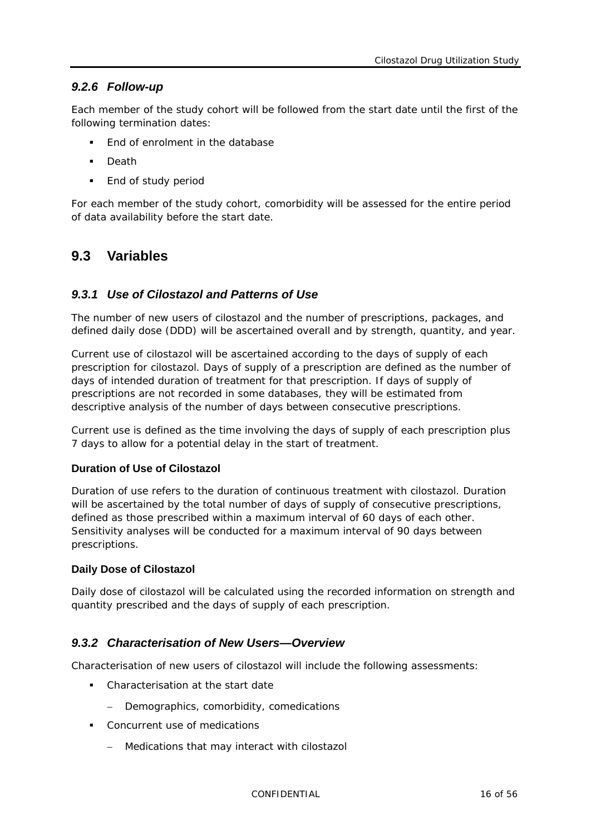#### <span id="page-15-0"></span>*9.2.6 Follow-up*

Each member of the study cohort will be followed from the start date until the first of the following termination dates:

- End of enrolment in the database
- Death
- **End of study period**

For each member of the study cohort, comorbidity will be assessed for the entire period of data availability before the start date.

### <span id="page-15-2"></span><span id="page-15-1"></span>**9.3 Variables**

#### *9.3.1 Use of Cilostazol and Patterns of Use*

The number of new users of cilostazol and the number of prescriptions, packages, and defined daily dose (DDD) will be ascertained overall and by strength, quantity, and year.

Current use of cilostazol will be ascertained according to the days of supply of each prescription for cilostazol. Days of supply of a prescription are defined as the number of days of intended duration of treatment for that prescription. If days of supply of prescriptions are not recorded in some databases, they will be estimated from descriptive analysis of the number of days between consecutive prescriptions.

Current use is defined as the time involving the days of supply of each prescription plus 7 days to allow for a potential delay in the start of treatment.

#### **Duration of Use of Cilostazol**

Duration of use refers to the duration of continuous treatment with cilostazol. Duration will be ascertained by the total number of days of supply of consecutive prescriptions, defined as those prescribed within a maximum interval of 60 days of each other. Sensitivity analyses will be conducted for a maximum interval of 90 days between prescriptions.

#### **Daily Dose of Cilostazol**

Daily dose of cilostazol will be calculated using the recorded information on strength and quantity prescribed and the days of supply of each prescription.

#### <span id="page-15-3"></span>*9.3.2 Characterisation of New Users—Overview*

Characterisation of new users of cilostazol will include the following assessments:

- Characterisation at the start date
	- Demographics, comorbidity, comedications
- **Concurrent use of medications** 
	- − Medications that may interact with cilostazol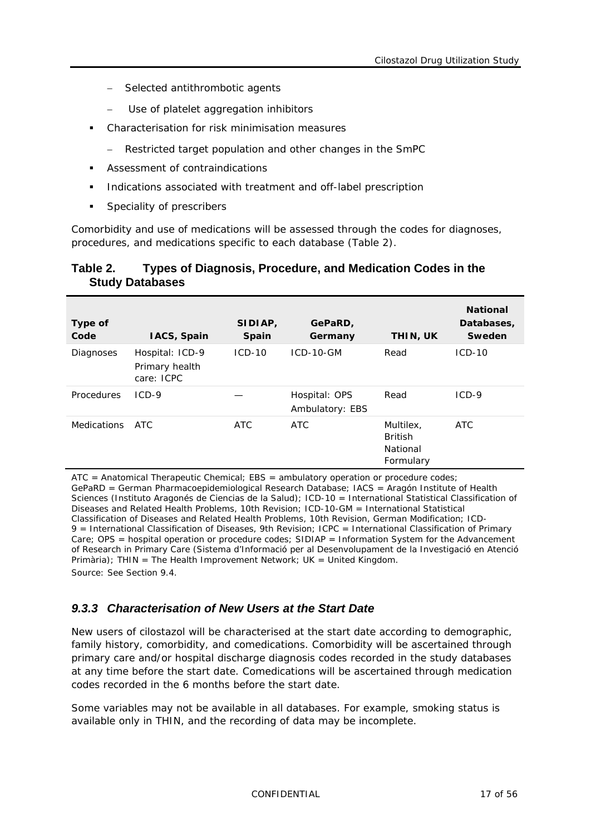- Selected antithrombotic agents
- Use of platelet aggregation inhibitors
- Characterisation for risk minimisation measures
	- − Restricted target population and other changes in the SmPC
- Assessment of contraindications
- Indications associated with treatment and off-label prescription
- Speciality of prescribers

Comorbidity and use of medications will be assessed through the codes for diagnoses, procedures, and medications specific to each database [\(Table](#page-16-1) 2).

#### <span id="page-16-1"></span>**Table 2. Types of Diagnosis, Procedure, and Medication Codes in the Study Databases**

| Type of<br>Code    | IACS, Spain                                     | SIDIAP,<br><b>Spain</b> | GePaRD,<br>Germany               | THIN, UK                                             | <b>National</b><br>Databases,<br>Sweden |
|--------------------|-------------------------------------------------|-------------------------|----------------------------------|------------------------------------------------------|-----------------------------------------|
| Diagnoses          | Hospital: ICD-9<br>Primary health<br>care: ICPC | $ICD-10$                | $ICD-10-GM$                      | Read                                                 | $ICD-10$                                |
| Procedures         | $ICD-9$                                         |                         | Hospital: OPS<br>Ambulatory: EBS | Read                                                 | $ICD-9$                                 |
| <b>Medications</b> | ATC.                                            | ATC                     | ATC                              | Multilex,<br><b>British</b><br>National<br>Formulary | ATC                                     |

ATC = Anatomical Therapeutic Chemical; EBS = ambulatory operation or procedure codes; GePaRD = German Pharmacoepidemiological Research Database; IACS = Aragón Institute of Health Sciences (Instituto Aragonés de Ciencias de la Salud); ICD-10 = International Statistical Classification of Diseases and Related Health Problems, 10th Revision; ICD-10-GM = International Statistical Classification of Diseases and Related Health Problems, 10th Revision, German Modification; ICD-9 = International Classification of Diseases, 9th Revision; ICPC = International Classification of Primary Care; OPS = hospital operation or procedure codes; SIDIAP = Information System for the Advancement of Research in Primary Care (Sistema d'Informació per al Desenvolupament de la Investigació en Atenció Primària); THIN = The Health Improvement Network; UK = United Kingdom. Source: See Section [9.4.](#page-27-0)

#### <span id="page-16-0"></span>*9.3.3 Characterisation of New Users at the Start Date*

New users of cilostazol will be characterised at the start date according to demographic, family history, comorbidity, and comedications. Comorbidity will be ascertained through primary care and/or hospital discharge diagnosis codes recorded in the study databases at any time before the start date. Comedications will be ascertained through medication codes recorded in the 6 months before the start date.

Some variables may not be available in all databases. For example, smoking status is available only in THIN, and the recording of data may be incomplete.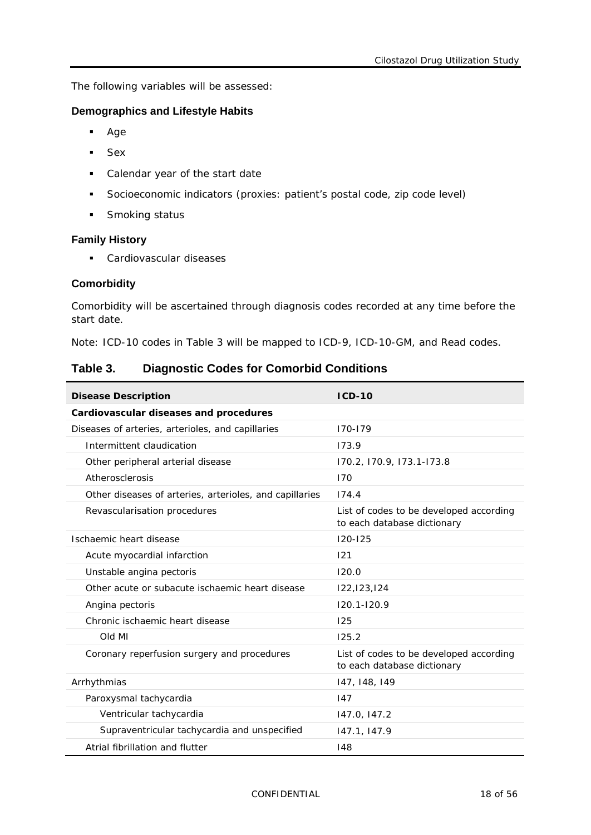The following variables will be assessed:

#### **Demographics and Lifestyle Habits**

- Age
- Sex
- Calendar year of the start date
- Socioeconomic indicators (proxies: patient's postal code, zip code level)
- **Smoking status**

#### **Family History**

**Cardiovascular diseases** 

#### **Comorbidity**

Comorbidity will be ascertained through diagnosis codes recorded at any time before the start date.

Note: ICD-10 codes in [Table](#page-17-0) 3 will be mapped to ICD-9, ICD-10-GM, and Read codes.

#### <span id="page-17-0"></span>**Table 3. Diagnostic Codes for Comorbid Conditions**

| <b>Disease Description</b>                              | $ICD-10$                                                               |
|---------------------------------------------------------|------------------------------------------------------------------------|
| Cardiovascular diseases and procedures                  |                                                                        |
| Diseases of arteries, arterioles, and capillaries       | $170 - 179$                                                            |
| Intermittent claudication                               | 173.9                                                                  |
| Other peripheral arterial disease                       | 170.2, 170.9, 173.1-173.8                                              |
| Atherosclerosis                                         | 170                                                                    |
| Other diseases of arteries, arterioles, and capillaries | 174.4                                                                  |
| Revascularisation procedures                            | List of codes to be developed according<br>to each database dictionary |
| Ischaemic heart disease                                 | $120 - 125$                                                            |
| Acute myocardial infarction                             | 121                                                                    |
| Unstable angina pectoris                                | 120.0                                                                  |
| Other acute or subacute ischaemic heart disease         | 122,123,124                                                            |
| Angina pectoris                                         | $120.1 - 120.9$                                                        |
| Chronic ischaemic heart disease                         | 125                                                                    |
| Old MI                                                  | 125.2                                                                  |
| Coronary reperfusion surgery and procedures             | List of codes to be developed according<br>to each database dictionary |
| Arrhythmias                                             | 147, 148, 149                                                          |
| Paroxysmal tachycardia                                  | 147                                                                    |
| Ventricular tachycardia                                 | 147.0, 147.2                                                           |
| Supraventricular tachycardia and unspecified            | 147.1, 147.9                                                           |
| Atrial fibrillation and flutter                         | 148                                                                    |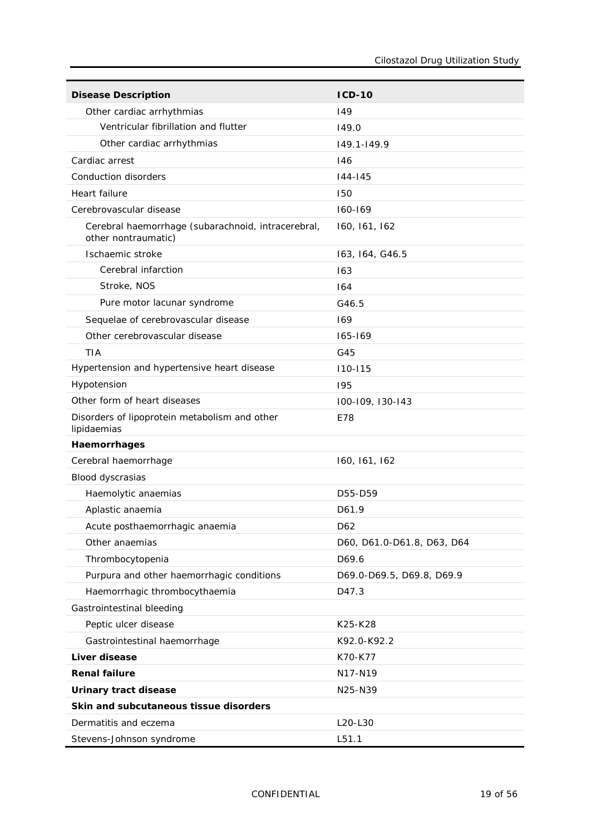| <b>Disease Description</b>                                                | $ICD-10$                   |
|---------------------------------------------------------------------------|----------------------------|
| Other cardiac arrhythmias                                                 | 149                        |
| Ventricular fibrillation and flutter                                      | 149.0                      |
| Other cardiac arrhythmias                                                 | $149.1 - 149.9$            |
| Cardiac arrest                                                            | 146                        |
| Conduction disorders                                                      | $144 - 145$                |
| Heart failure                                                             | 150                        |
| Cerebrovascular disease                                                   | $160 - 169$                |
| Cerebral haemorrhage (subarachnoid, intracerebral,<br>other nontraumatic) | 160, 161, 162              |
| Ischaemic stroke                                                          | 163, 164, G46.5            |
| Cerebral infarction                                                       | 163                        |
| Stroke, NOS                                                               | 164                        |
| Pure motor lacunar syndrome                                               | G46.5                      |
| Sequelae of cerebrovascular disease                                       | 169                        |
| Other cerebrovascular disease                                             | 165-169                    |
| <b>TIA</b>                                                                | G45                        |
| Hypertension and hypertensive heart disease                               | $110 - 115$                |
| Hypotension                                                               | 195                        |
| Other form of heart diseases                                              | 100-109, 130-143           |
| Disorders of lipoprotein metabolism and other<br>lipidaemias              | E78                        |
| Haemorrhages                                                              |                            |
| Cerebral haemorrhage                                                      | 160, 161, 162              |
| Blood dyscrasias                                                          |                            |
| Haemolytic anaemias                                                       | D55-D59                    |
| Aplastic anaemia                                                          | D61.9                      |
| Acute posthaemorrhagic anaemia                                            | D62                        |
| Other anaemias                                                            | D60, D61.0-D61.8, D63, D64 |
| Thrombocytopenia                                                          | D69.6                      |
| Purpura and other haemorrhagic conditions                                 | D69.0-D69.5, D69.8, D69.9  |
| Haemorrhagic thrombocythaemia                                             | D47.3                      |
| Gastrointestinal bleeding                                                 |                            |
| Peptic ulcer disease                                                      | K25-K28                    |
| Gastrointestinal haemorrhage                                              | K92.0-K92.2                |
| Liver disease                                                             | K70-K77                    |
| <b>Renal failure</b>                                                      | N17-N19                    |
| Urinary tract disease                                                     | N25-N39                    |
| Skin and subcutaneous tissue disorders                                    |                            |
| Dermatitis and eczema                                                     | L20-L30                    |
| Stevens-Johnson syndrome                                                  | L51.1                      |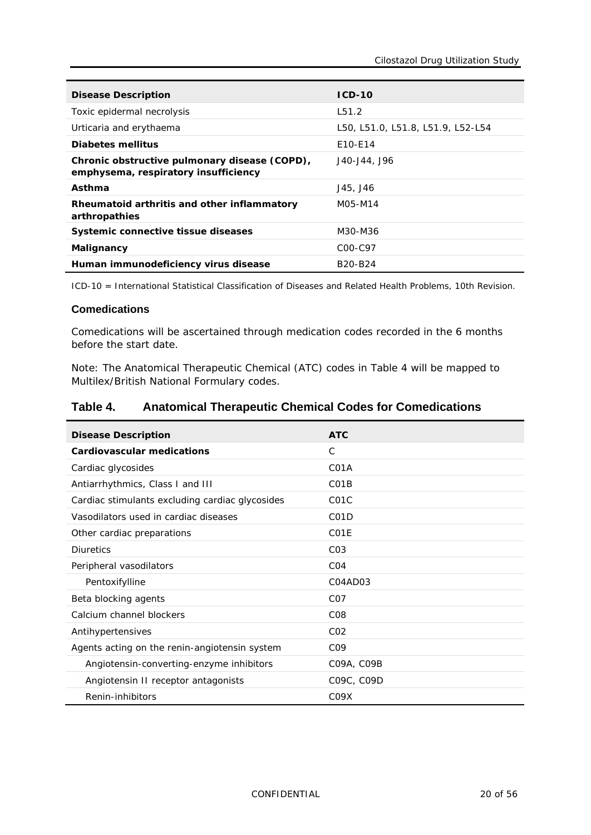| <b>Disease Description</b>                                                            | $ICD-10$                          |
|---------------------------------------------------------------------------------------|-----------------------------------|
| Toxic epidermal necrolysis                                                            | L51.2                             |
| Urticaria and erythaema                                                               | L50, L51.0, L51.8, L51.9, L52-L54 |
| Diabetes mellitus                                                                     | E10-E14                           |
| Chronic obstructive pulmonary disease (COPD),<br>emphysema, respiratory insufficiency | J40-J44, J96                      |
| Asthma                                                                                | J45, J46                          |
| Rheumatoid arthritis and other inflammatory<br>arthropathies                          | M05-M14                           |
| Systemic connective tissue diseases                                                   | M30-M36                           |
| Malignancy                                                                            | C <sub>00</sub> -C <sub>97</sub>  |
| Human immunodeficiency virus disease                                                  | B <sub>20</sub> -B <sub>24</sub>  |

ICD-10 = International Statistical Classification of Diseases and Related Health Problems, 10th Revision.

#### **Comedications**

Comedications will be ascertained through medication codes recorded in the 6 months before the start date.

Note: The Anatomical Therapeutic Chemical (ATC) codes in [Table](#page-19-0) 4 will be mapped to Multilex/British National Formulary codes.

#### <span id="page-19-0"></span>**Table 4. Anatomical Therapeutic Chemical Codes for Comedications**

| <b>Disease Description</b>                      | <b>ATC</b>                    |
|-------------------------------------------------|-------------------------------|
| Cardiovascular medications                      | C                             |
| Cardiac glycosides                              | C <sub>0</sub> 1A             |
| Antiarrhythmics, Class I and III                | C <sub>0</sub> 1B             |
| Cardiac stimulants excluding cardiac glycosides | C <sub>0</sub> 1 <sub>C</sub> |
| Vasodilators used in cardiac diseases           | C <sub>0</sub> 1D             |
| Other cardiac preparations                      | C <sub>0</sub> 1E             |
| <b>Diuretics</b>                                | CO <sub>3</sub>               |
| Peripheral vasodilators                         | CO <sub>4</sub>               |
| Pentoxifylline                                  | C04AD03                       |
| Beta blocking agents                            | C <sub>0</sub> 7              |
| Calcium channel blockers                        | C <sub>08</sub>               |
| Antihypertensives                               | CO <sub>2</sub>               |
| Agents acting on the renin-angiotensin system   | CO <sub>9</sub>               |
| Angiotensin-converting-enzyme inhibitors        | C09A, C09B                    |
| Angiotensin II receptor antagonists             | C09C, C09D                    |
| Renin-inhibitors                                | C <sub>09</sub> X             |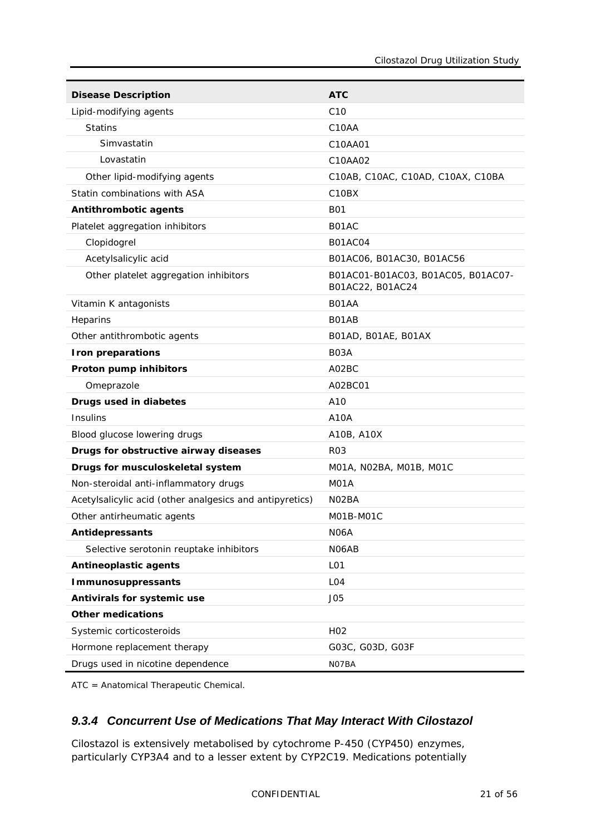| <b>Disease Description</b>                               | <b>ATC</b>                                             |
|----------------------------------------------------------|--------------------------------------------------------|
| Lipid-modifying agents                                   | C <sub>10</sub>                                        |
| <b>Statins</b>                                           | C <sub>10</sub> AA                                     |
| Simvastatin                                              | C10AA01                                                |
| Lovastatin                                               | C10AA02                                                |
| Other lipid-modifying agents                             | C10AB, C10AC, C10AD, C10AX, C10BA                      |
| Statin combinations with ASA                             | C <sub>10</sub> B <sub>X</sub>                         |
| Antithrombotic agents                                    | <b>B01</b>                                             |
| Platelet aggregation inhibitors                          | B01AC                                                  |
| Clopidogrel                                              | <b>B01AC04</b>                                         |
| Acetylsalicylic acid                                     | B01AC06, B01AC30, B01AC56                              |
| Other platelet aggregation inhibitors                    | B01AC01-B01AC03, B01AC05, B01AC07-<br>B01AC22, B01AC24 |
| Vitamin K antagonists                                    | B01AA                                                  |
| Heparins                                                 | B01AB                                                  |
| Other antithrombotic agents                              | B01AD, B01AE, B01AX                                    |
| Iron preparations                                        | B <sub>0</sub> 3A                                      |
| Proton pump inhibitors                                   | A02BC                                                  |
| Omeprazole                                               | A02BC01                                                |
| Drugs used in diabetes                                   | A10                                                    |
| Insulins                                                 | A10A                                                   |
| Blood glucose lowering drugs                             | A10B, A10X                                             |
| Drugs for obstructive airway diseases                    | R <sub>03</sub>                                        |
| Drugs for musculoskeletal system                         | M01A, N02BA, M01B, M01C                                |
| Non-steroidal anti-inflammatory drugs                    | M <sub>0</sub> 1A                                      |
| Acetylsalicylic acid (other analgesics and antipyretics) | NO2BA                                                  |
| Other antirheumatic agents                               | M01B-M01C                                              |
| <b>Antidepressants</b>                                   | N <sub>06</sub> A                                      |
| Selective serotonin reuptake inhibitors                  | N06AB                                                  |
| Antineoplastic agents                                    | L <sub>01</sub>                                        |
| <b>Immunosuppressants</b>                                | LO <sub>4</sub>                                        |
| Antivirals for systemic use                              | J <sub>05</sub>                                        |
| <b>Other medications</b>                                 |                                                        |
| Systemic corticosteroids                                 | H <sub>02</sub>                                        |
| Hormone replacement therapy                              | G03C, G03D, G03F                                       |
| Drugs used in nicotine dependence                        | NO7BA                                                  |

<span id="page-20-0"></span>ATC = Anatomical Therapeutic Chemical.

#### *9.3.4 Concurrent Use of Medications That May Interact With Cilostazol*

Cilostazol is extensively metabolised by cytochrome P-450 (CYP450) enzymes, particularly CYP3A4 and to a lesser extent by CYP2C19. Medications potentially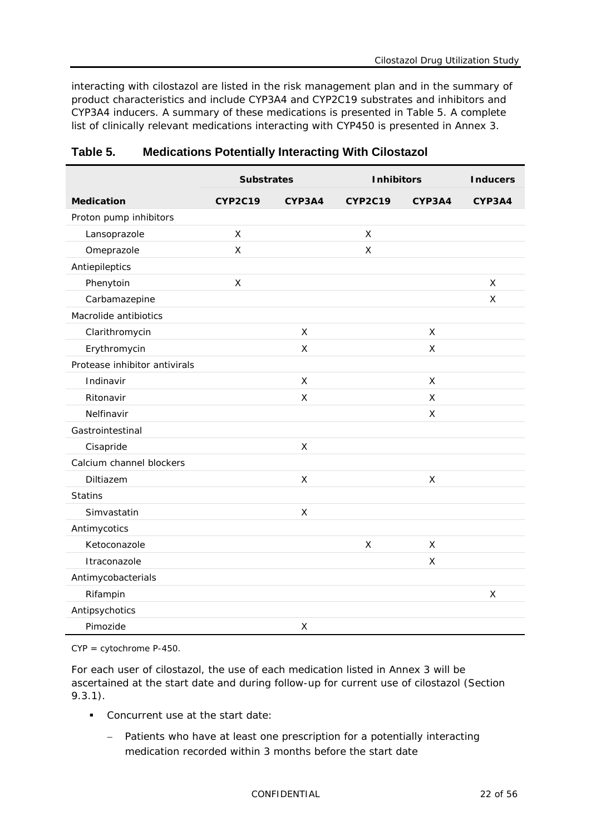interacting with cilostazol are listed in the risk management plan and in the summary of product characteristics and include CYP3A4 and CYP2C19 substrates and inhibitors and CYP3A4 inducers. A summary of these medications is presented in [Table](#page-21-0) 5. A complete list of clinically relevant medications interacting with CYP450 is presented in Annex 3.

|                               | <b>Substrates</b> |              | <b>Inhibitors</b> |        | <b>Inducers</b> |
|-------------------------------|-------------------|--------------|-------------------|--------|-----------------|
| <b>Medication</b>             | <b>CYP2C19</b>    | CYP3A4       | <b>CYP2C19</b>    | CYP3A4 | CYP3A4          |
| Proton pump inhibitors        |                   |              |                   |        |                 |
| Lansoprazole                  | X                 |              | X                 |        |                 |
| Omeprazole                    | X                 |              | X                 |        |                 |
| Antiepileptics                |                   |              |                   |        |                 |
| Phenytoin                     | $\pmb{\times}$    |              |                   |        | X               |
| Carbamazepine                 |                   |              |                   |        | X               |
| Macrolide antibiotics         |                   |              |                   |        |                 |
| Clarithromycin                |                   | X            |                   | X      |                 |
| Erythromycin                  |                   | X            |                   | X      |                 |
| Protease inhibitor antivirals |                   |              |                   |        |                 |
| Indinavir                     |                   | X            |                   | X      |                 |
| Ritonavir                     |                   | $\mathsf{X}$ |                   | X      |                 |
| Nelfinavir                    |                   |              |                   | X      |                 |
| Gastrointestinal              |                   |              |                   |        |                 |
| Cisapride                     |                   | $\mathsf{X}$ |                   |        |                 |
| Calcium channel blockers      |                   |              |                   |        |                 |
| Diltiazem                     |                   | $\mathsf{X}$ |                   | X      |                 |
| <b>Statins</b>                |                   |              |                   |        |                 |
| Simvastatin                   |                   | X            |                   |        |                 |
| Antimycotics                  |                   |              |                   |        |                 |
| Ketoconazole                  |                   |              | X                 | X      |                 |
| Itraconazole                  |                   |              |                   | X      |                 |
| Antimycobacterials            |                   |              |                   |        |                 |
| Rifampin                      |                   |              |                   |        | X               |
| Antipsychotics                |                   |              |                   |        |                 |
| Pimozide                      |                   | $\mathsf X$  |                   |        |                 |

#### <span id="page-21-0"></span>**Table 5. Medications Potentially Interacting With Cilostazol**

CYP = cytochrome P-450.

For each user of cilostazol, the use of each medication listed in Annex 3 will be ascertained at the start date and during follow-up for current use of cilostazol (Section [9.3.1\)](#page-15-2).

- **Concurrent use at the start date:** 
	- − Patients who have at least one prescription for a potentially interacting medication recorded within 3 months before the start date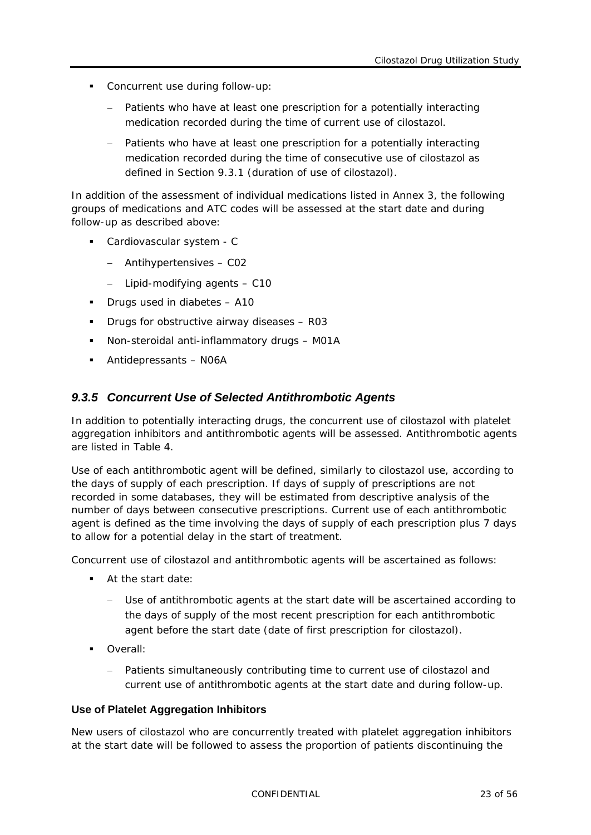- Concurrent use during follow-up:
	- Patients who have at least one prescription for a potentially interacting medication recorded during the time of current use of cilostazol.
	- − Patients who have at least one prescription for a potentially interacting medication recorded during the time of consecutive use of cilostazol as defined in Section [9.3.1](#page-15-2) (duration of use of cilostazol).

In addition of the assessment of individual medications listed in Annex 3, the following groups of medications and ATC codes will be assessed at the start date and during follow-up as described above:

- Cardiovascular system C
	- − Antihypertensives C02
	- − Lipid-modifying agents C10
- Drugs used in diabetes A10
- **Drugs for obstructive airway diseases R03**
- Non-steroidal anti-inflammatory drugs M01A
- <span id="page-22-0"></span>Antidepressants – N06A

#### *9.3.5 Concurrent Use of Selected Antithrombotic Agents*

In addition to potentially interacting drugs, the concurrent use of cilostazol with platelet aggregation inhibitors and antithrombotic agents will be assessed. Antithrombotic agents are listed in [Table](#page-19-0) 4.

Use of each antithrombotic agent will be defined, similarly to cilostazol use, according to the days of supply of each prescription. If days of supply of prescriptions are not recorded in some databases, they will be estimated from descriptive analysis of the number of days between consecutive prescriptions. Current use of each antithrombotic agent is defined as the time involving the days of supply of each prescription plus 7 days to allow for a potential delay in the start of treatment.

Concurrent use of cilostazol and antithrombotic agents will be ascertained as follows:

- At the start date:
	- Use of antithrombotic agents at the start date will be ascertained according to the days of supply of the most recent prescription for each antithrombotic agent before the start date (date of first prescription for cilostazol).
- Overall:
	- − Patients simultaneously contributing time to current use of cilostazol and current use of antithrombotic agents at the start date and during follow-up.

#### **Use of Platelet Aggregation Inhibitors**

New users of cilostazol who are concurrently treated with platelet aggregation inhibitors at the start date will be followed to assess the proportion of patients discontinuing the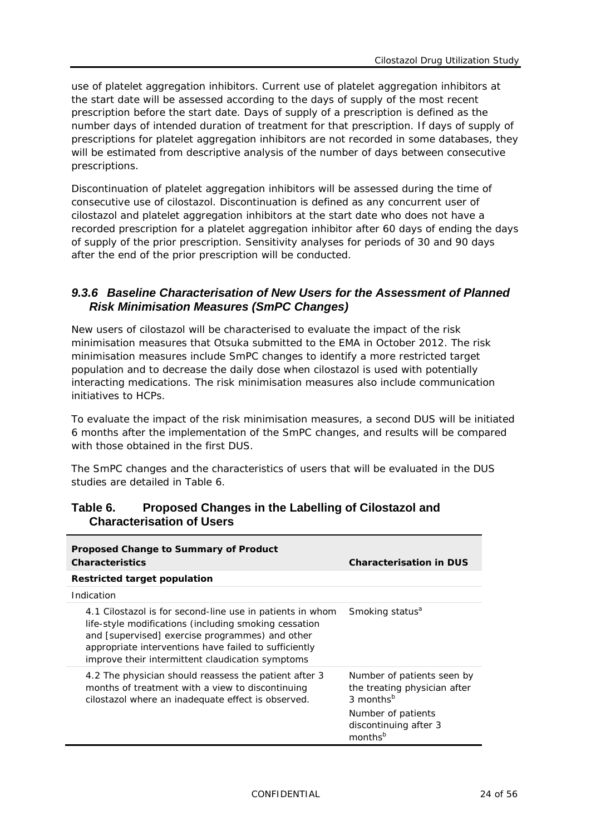use of platelet aggregation inhibitors. Current use of platelet aggregation inhibitors at the start date will be assessed according to the days of supply of the most recent prescription before the start date. Days of supply of a prescription is defined as the number days of intended duration of treatment for that prescription. If days of supply of prescriptions for platelet aggregation inhibitors are not recorded in some databases, they will be estimated from descriptive analysis of the number of days between consecutive prescriptions.

Discontinuation of platelet aggregation inhibitors will be assessed during the time of consecutive use of cilostazol. Discontinuation is defined as any concurrent user of cilostazol and platelet aggregation inhibitors at the start date who does not have a recorded prescription for a platelet aggregation inhibitor after 60 days of ending the days of supply of the prior prescription. Sensitivity analyses for periods of 30 and 90 days after the end of the prior prescription will be conducted.

#### <span id="page-23-0"></span>*9.3.6 Baseline Characterisation of New Users for the Assessment of Planned Risk Minimisation Measures (SmPC Changes)*

New users of cilostazol will be characterised to evaluate the impact of the risk minimisation measures that Otsuka submitted to the EMA in October 2012. The risk minimisation measures include SmPC changes to identify a more restricted target population and to decrease the daily dose when cilostazol is used with potentially interacting medications. The risk minimisation measures also include communication initiatives to HCPs.

To evaluate the impact of the risk minimisation measures, a second DUS will be initiated 6 months after the implementation of the SmPC changes, and results will be compared with those obtained in the first DUS.

The SmPC changes and the characteristics of users that will be evaluated in the DUS studies are detailed in [Table](#page-23-1) 6.

| Proposed Change to Summary of Product<br><b>Characteristics</b>                                                                                                                                                                                                                    | <b>Characterisation in DUS</b>                                                                                                                            |
|------------------------------------------------------------------------------------------------------------------------------------------------------------------------------------------------------------------------------------------------------------------------------------|-----------------------------------------------------------------------------------------------------------------------------------------------------------|
| Restricted target population                                                                                                                                                                                                                                                       |                                                                                                                                                           |
| Indication                                                                                                                                                                                                                                                                         |                                                                                                                                                           |
| 4.1 Cilostazol is for second-line use in patients in whom<br>life-style modifications (including smoking cessation<br>and [supervised] exercise programmes) and other<br>appropriate interventions have failed to sufficiently<br>improve their intermittent claudication symptoms | Smoking status <sup>a</sup>                                                                                                                               |
| 4.2 The physician should reassess the patient after 3<br>months of treatment with a view to discontinuing<br>cilostazol where an inadequate effect is observed.                                                                                                                    | Number of patients seen by<br>the treating physician after<br>3 months <sup>b</sup><br>Number of patients<br>discontinuing after 3<br>months <sup>b</sup> |

#### <span id="page-23-1"></span>**Table 6. Proposed Changes in the Labelling of Cilostazol and Characterisation of Users**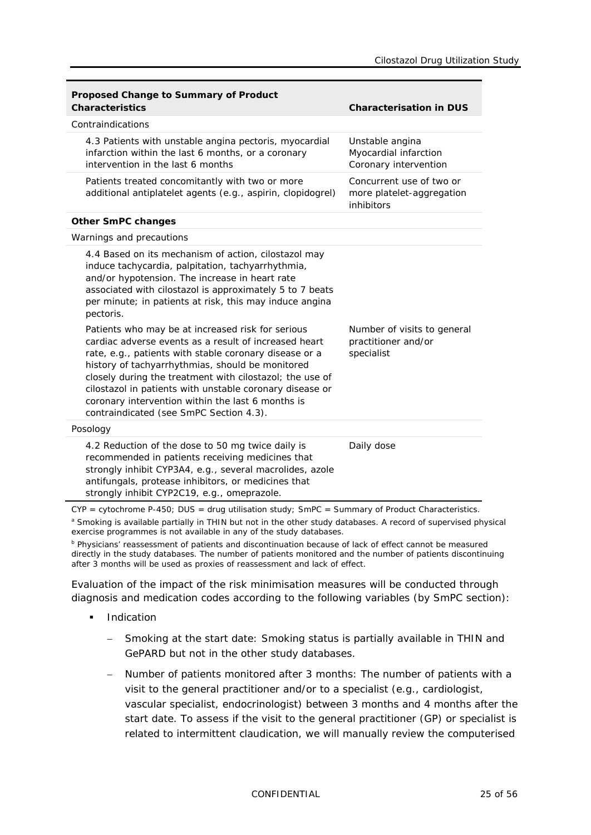| <b>Proposed Change to Summary of Product</b><br><b>Characteristics</b>                                                                                                                                                                                                                                                                                                                                                                           | <b>Characterisation in DUS</b>                                      |
|--------------------------------------------------------------------------------------------------------------------------------------------------------------------------------------------------------------------------------------------------------------------------------------------------------------------------------------------------------------------------------------------------------------------------------------------------|---------------------------------------------------------------------|
| Contraindications                                                                                                                                                                                                                                                                                                                                                                                                                                |                                                                     |
| 4.3 Patients with unstable angina pectoris, myocardial<br>infarction within the last 6 months, or a coronary<br>intervention in the last 6 months                                                                                                                                                                                                                                                                                                | Unstable angina<br>Myocardial infarction<br>Coronary intervention   |
| Patients treated concomitantly with two or more<br>additional antiplatelet agents (e.g., aspirin, clopidogrel)                                                                                                                                                                                                                                                                                                                                   | Concurrent use of two or<br>more platelet-aggregation<br>inhibitors |
| <b>Other SmPC changes</b>                                                                                                                                                                                                                                                                                                                                                                                                                        |                                                                     |
| Warnings and precautions                                                                                                                                                                                                                                                                                                                                                                                                                         |                                                                     |
| 4.4 Based on its mechanism of action, cilostazol may<br>induce tachycardia, palpitation, tachyarrhythmia,<br>and/or hypotension. The increase in heart rate<br>associated with cilostazol is approximately 5 to 7 beats<br>per minute; in patients at risk, this may induce angina<br>pectoris.                                                                                                                                                  |                                                                     |
| Patients who may be at increased risk for serious<br>cardiac adverse events as a result of increased heart<br>rate, e.g., patients with stable coronary disease or a<br>history of tachyarrhythmias, should be monitored<br>closely during the treatment with cilostazol; the use of<br>cilostazol in patients with unstable coronary disease or<br>coronary intervention within the last 6 months is<br>contraindicated (see SmPC Section 4.3). | Number of visits to general<br>practitioner and/or<br>specialist    |
| Posology                                                                                                                                                                                                                                                                                                                                                                                                                                         |                                                                     |
| 4.2 Reduction of the dose to 50 mg twice daily is<br>recommended in patients receiving medicines that<br>strongly inhibit CYP3A4, e.g., several macrolides, azole<br>antifungals, protease inhibitors, or medicines that<br>strongly inhibit CYP2C19, e.g., omeprazole.                                                                                                                                                                          | Daily dose                                                          |

CYP = cytochrome P-450; DUS = drug utilisation study; SmPC = Summary of Product Characteristics. a Smoking is available partially in THIN but not in the other study databases. A record of supervised physical exercise programmes is not available in any of the study databases.

<sup>b</sup> Physicians' reassessment of patients and discontinuation because of lack of effect cannot be measured directly in the study databases. The number of patients monitored and the number of patients discontinuing after 3 months will be used as proxies of reassessment and lack of effect.

Evaluation of the impact of the risk minimisation measures will be conducted through diagnosis and medication codes according to the following variables (by SmPC section):

- **Indication** 
	- − Smoking at the start date: Smoking status is partially available in THIN and GePARD but not in the other study databases.
	- − Number of patients monitored after 3 months: The number of patients with a visit to the general practitioner and/or to a specialist (e.g., cardiologist, vascular specialist, endocrinologist) between 3 months and 4 months after the start date. To assess if the visit to the general practitioner (GP) or specialist is related to intermittent claudication, we will manually review the computerised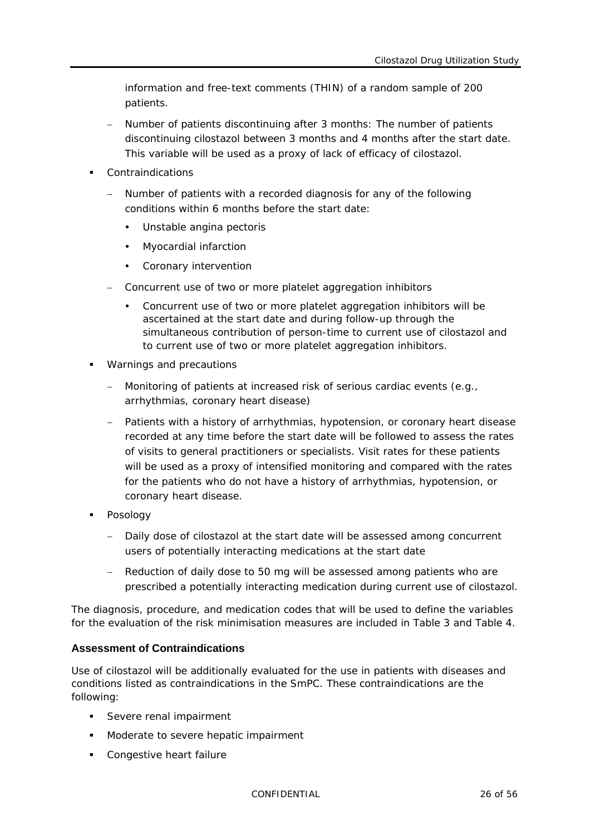information and free-text comments (THIN) of a random sample of 200 patients.

- Number of patients discontinuing after 3 months: The number of patients discontinuing cilostazol between 3 months and 4 months after the start date. This variable will be used as a proxy of lack of efficacy of cilostazol.
- Contraindications
	- Number of patients with a recorded diagnosis for any of the following conditions within 6 months before the start date:
		- Unstable angina pectoris
		- Myocardial infarction
		- Coronary intervention
	- − Concurrent use of two or more platelet aggregation inhibitors
		- Concurrent use of two or more platelet aggregation inhibitors will be ascertained at the start date and during follow-up through the simultaneous contribution of person-time to current use of cilostazol and to current use of two or more platelet aggregation inhibitors.
- Warnings and precautions
	- − Monitoring of patients at increased risk of serious cardiac events (e.g., arrhythmias, coronary heart disease)
	- Patients with a history of arrhythmias, hypotension, or coronary heart disease recorded at any time before the start date will be followed to assess the rates of visits to general practitioners or specialists. Visit rates for these patients will be used as a proxy of intensified monitoring and compared with the rates for the patients who do not have a history of arrhythmias, hypotension, or coronary heart disease.
- **Posology** 
	- − Daily dose of cilostazol at the start date will be assessed among concurrent users of potentially interacting medications at the start date
	- − Reduction of daily dose to 50 mg will be assessed among patients who are prescribed a potentially interacting medication during current use of cilostazol.

The diagnosis, procedure, and medication codes that will be used to define the variables for the evaluation of the risk minimisation measures are included in [Table](#page-17-0) 3 and [Table](#page-19-0) 4.

#### **Assessment of Contraindications**

Use of cilostazol will be additionally evaluated for the use in patients with diseases and conditions listed as contraindications in the SmPC. These contraindications are the following:

- Severe renal impairment
- **Moderate to severe hepatic impairment**
- **Congestive heart failure**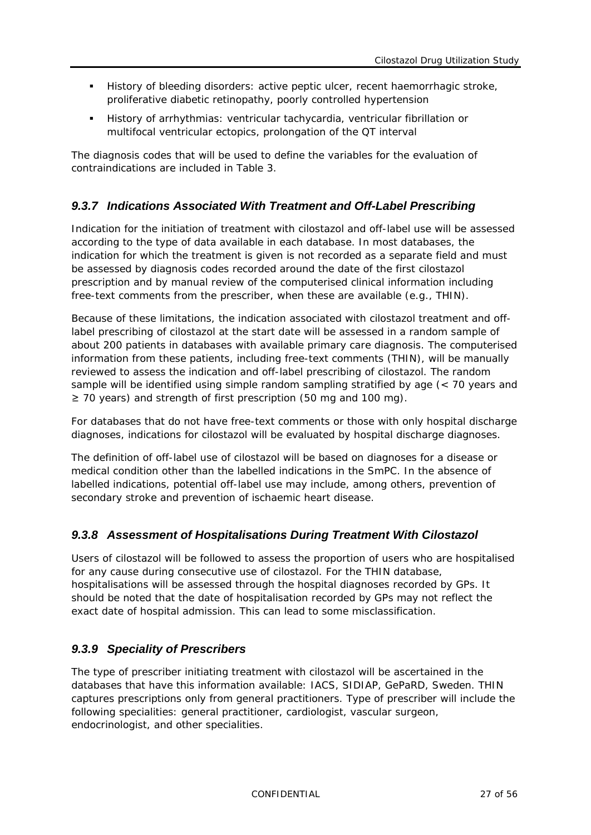- History of bleeding disorders: active peptic ulcer, recent haemorrhagic stroke, proliferative diabetic retinopathy, poorly controlled hypertension
- History of arrhythmias: ventricular tachycardia, ventricular fibrillation or multifocal ventricular ectopics, prolongation of the QT interval

The diagnosis codes that will be used to define the variables for the evaluation of contraindications are included in [Table](#page-17-0) 3.

#### <span id="page-26-0"></span>*9.3.7 Indications Associated With Treatment and Off-Label Prescribing*

Indication for the initiation of treatment with cilostazol and off-label use will be assessed according to the type of data available in each database. In most databases, the indication for which the treatment is given is not recorded as a separate field and must be assessed by diagnosis codes recorded around the date of the first cilostazol prescription and by manual review of the computerised clinical information including free-text comments from the prescriber, when these are available (e.g., THIN).

Because of these limitations, the indication associated with cilostazol treatment and offlabel prescribing of cilostazol at the start date will be assessed in a random sample of about 200 patients in databases with available primary care diagnosis. The computerised information from these patients, including free-text comments (THIN), will be manually reviewed to assess the indication and off-label prescribing of cilostazol. The random sample will be identified using simple random sampling stratified by age (< 70 years and ≥ 70 years) and strength of first prescription (50 mg and 100 mg).

For databases that do not have free-text comments or those with only hospital discharge diagnoses, indications for cilostazol will be evaluated by hospital discharge diagnoses.

The definition of off-label use of cilostazol will be based on diagnoses for a disease or medical condition other than the labelled indications in the SmPC. In the absence of labelled indications, potential off-label use may include, among others, prevention of secondary stroke and prevention of ischaemic heart disease.

#### <span id="page-26-1"></span>*9.3.8 Assessment of Hospitalisations During Treatment With Cilostazol*

Users of cilostazol will be followed to assess the proportion of users who are hospitalised for any cause during consecutive use of cilostazol. For the THIN database, hospitalisations will be assessed through the hospital diagnoses recorded by GPs. It should be noted that the date of hospitalisation recorded by GPs may not reflect the exact date of hospital admission. This can lead to some misclassification.

#### <span id="page-26-2"></span>*9.3.9 Speciality of Prescribers*

The type of prescriber initiating treatment with cilostazol will be ascertained in the databases that have this information available: IACS, SIDIAP, GePaRD, Sweden. THIN captures prescriptions only from general practitioners. Type of prescriber will include the following specialities: general practitioner, cardiologist, vascular surgeon, endocrinologist, and other specialities.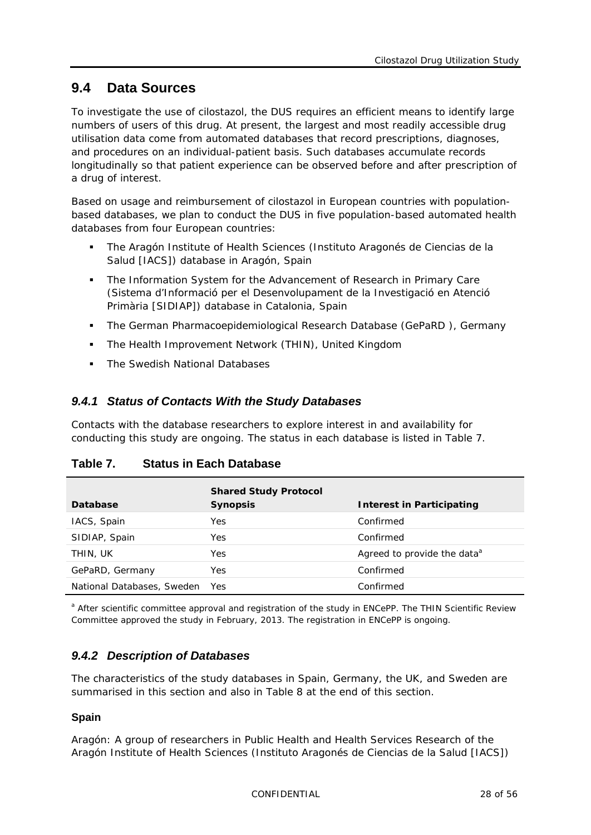### <span id="page-27-0"></span>**9.4 Data Sources**

To investigate the use of cilostazol, the DUS requires an efficient means to identify large numbers of users of this drug. At present, the largest and most readily accessible drug utilisation data come from automated databases that record prescriptions, diagnoses, and procedures on an individual-patient basis. Such databases accumulate records longitudinally so that patient experience can be observed before and after prescription of a drug of interest.

Based on usage and reimbursement of cilostazol in European countries with populationbased databases, we plan to conduct the DUS in five population-based automated health databases from four European countries:

- The Aragón Institute of Health Sciences (Instituto Aragonés de Ciencias de la Salud [IACS]) database in Aragón, Spain
- The Information System for the Advancement of Research in Primary Care (Sistema d'Informació per el Desenvolupament de la Investigació en Atenció Primària [SIDIAP]) database in Catalonia, Spain
- The German Pharmacoepidemiological Research Database (GePaRD ), Germany
- **F** The Health Improvement Network (THIN), United Kingdom
- <span id="page-27-1"></span>• The Swedish National Databases

#### *9.4.1 Status of Contacts With the Study Databases*

Contacts with the database researchers to explore interest in and availability for conducting this study are ongoing. The status in each database is listed in [Table](#page-27-3) 7.

<span id="page-27-3"></span>

| Database                   | <b>Shared Study Protocol</b><br><b>Synopsis</b> | Interest in Participating               |
|----------------------------|-------------------------------------------------|-----------------------------------------|
| IACS, Spain                | Yes                                             | Confirmed                               |
| SIDIAP, Spain              | Yes                                             | Confirmed                               |
| THIN, UK                   | Yes                                             | Agreed to provide the data <sup>a</sup> |
| GePaRD, Germany            | Yes                                             | Confirmed                               |
| National Databases, Sweden | Yes                                             | Confirmed                               |

<span id="page-27-2"></span>a After scientific committee approval and registration of the study in ENCePP. The THIN Scientific Review Committee approved the study in February, 2013. The registration in ENCePP is ongoing.

### *9.4.2 Description of Databases*

The characteristics of the study databases in Spain, Germany, the UK, and Sweden are summarised in this section and also in [Table](#page-31-0) 8 at the end of this section.

#### **Spain**

*Aragón:* A group of researchers in Public Health and Health Services Research of the Aragón Institute of Health Sciences (Instituto Aragonés de Ciencias de la Salud [IACS])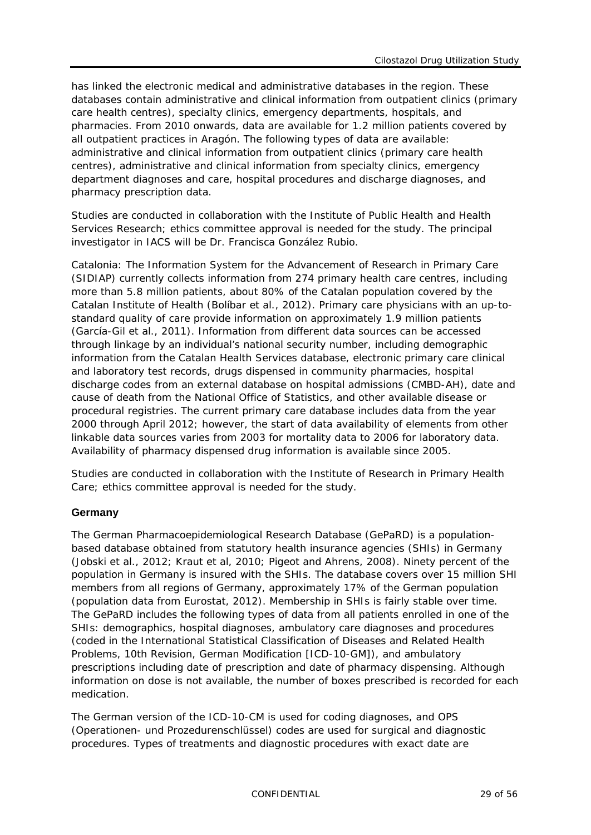has linked the electronic medical and administrative databases in the region. These databases contain administrative and clinical information from outpatient clinics (primary care health centres), specialty clinics, emergency departments, hospitals, and pharmacies. From 2010 onwards, data are available for 1.2 million patients covered by all outpatient practices in Aragón. The following types of data are available: administrative and clinical information from outpatient clinics (primary care health centres), administrative and clinical information from specialty clinics, emergency department diagnoses and care, hospital procedures and discharge diagnoses, and pharmacy prescription data.

Studies are conducted in collaboration with the Institute of Public Health and Health Services Research; ethics committee approval is needed for the study. The principal investigator in IACS will be Dr. Francisca González Rubio.

*Catalonia:* The Information System for the Advancement of Research in Primary Care (SIDIAP) currently collects information from 274 primary health care centres, including more than 5.8 million patients, about 80% of the Catalan population covered by the Catalan Institute of Health (Bolíbar et al., 2012). Primary care physicians with an up-tostandard quality of care provide information on approximately 1.9 million patients (García-Gil et al., 2011). Information from different data sources can be accessed through linkage by an individual's national security number, including demographic information from the Catalan Health Services database, electronic primary care clinical and laboratory test records, drugs dispensed in community pharmacies, hospital discharge codes from an external database on hospital admissions (CMBD-AH), date and cause of death from the National Office of Statistics, and other available disease or procedural registries. The current primary care database includes data from the year 2000 through April 2012; however, the start of data availability of elements from other linkable data sources varies from 2003 for mortality data to 2006 for laboratory data. Availability of pharmacy dispensed drug information is available since 2005.

Studies are conducted in collaboration with the Institute of Research in Primary Health Care; ethics committee approval is needed for the study.

#### **Germany**

The German Pharmacoepidemiological Research Database (GePaRD) is a populationbased database obtained from statutory health insurance agencies (SHIs) in Germany (Jobski et al., 2012; Kraut et al, 2010; Pigeot and Ahrens, 2008). Ninety percent of the population in Germany is insured with the SHIs. The database covers over 15 million SHI members from all regions of Germany, approximately 17% of the German population (population data from Eurostat, 2012). Membership in SHIs is fairly stable over time. The GePaRD includes the following types of data from all patients enrolled in one of the SHIs: demographics, hospital diagnoses, ambulatory care diagnoses and procedures (coded in the International Statistical Classification of Diseases and Related Health Problems, 10th Revision, German Modification [ICD-10-GM]), and ambulatory prescriptions including date of prescription and date of pharmacy dispensing. Although information on dose is not available, the number of boxes prescribed is recorded for each medication.

The German version of the ICD-10-CM is used for coding diagnoses, and OPS (Operationen- und Prozedurenschlüssel) codes are used for surgical and diagnostic procedures. Types of treatments and diagnostic procedures with exact date are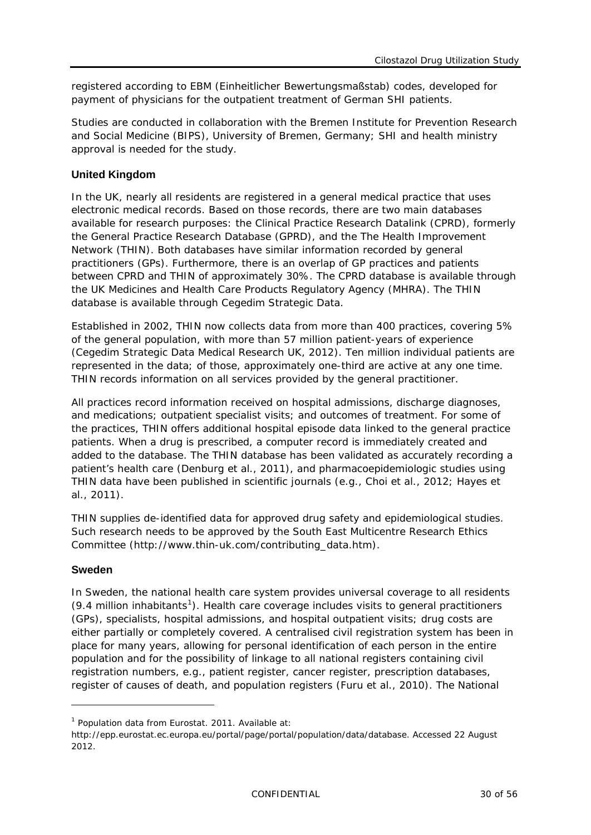registered according to EBM (Einheitlicher Bewertungsmaßstab) codes, developed for payment of physicians for the outpatient treatment of German SHI patients.

Studies are conducted in collaboration with the Bremen Institute for Prevention Research and Social Medicine (BIPS), University of Bremen, Germany; SHI and health ministry approval is needed for the study.

#### **United Kingdom**

In the UK, nearly all residents are registered in a general medical practice that uses electronic medical records. Based on those records, there are two main databases available for research purposes: the Clinical Practice Research Datalink (CPRD), formerly the General Practice Research Database (GPRD), and the The Health Improvement Network (THIN). Both databases have similar information recorded by general practitioners (GPs). Furthermore, there is an overlap of GP practices and patients between CPRD and THIN of approximately 30%. The CPRD database is available through the UK Medicines and Health Care Products Regulatory Agency (MHRA). The THIN database is available through Cegedim Strategic Data.

Established in 2002, THIN now collects data from more than 400 practices, covering 5% of the general population, with more than 57 million patient-years of experience (Cegedim Strategic Data Medical Research UK, 2012). Ten million individual patients are represented in the data; of those, approximately one-third are active at any one time. THIN records information on all services provided by the general practitioner.

All practices record information received on hospital admissions, discharge diagnoses, and medications; outpatient specialist visits; and outcomes of treatment. For some of the practices, THIN offers additional hospital episode data linked to the general practice patients. When a drug is prescribed, a computer record is immediately created and added to the database. The THIN database has been validated as accurately recording a patient's health care (Denburg et al., 2011), and pharmacoepidemiologic studies using THIN data have been published in scientific journals (e.g., Choi et al., 2012; Hayes et al., 2011).

THIN supplies de-identified data for approved drug safety and epidemiological studies. Such research needs to be approved by the [South East Multicentre Research Ethics](http://www.corec.org.uk/public/contacts/recsalpha.htm#s)  [Committee](http://www.corec.org.uk/public/contacts/recsalpha.htm#s) [\(http://www.thin-uk.com/contributing\\_data.htm\)](http://www.thin-uk.com/contributing_data.htm).

#### **Sweden**

-

In Sweden, the national health care system provides universal coverage to all residents (9.4 million inhabitants<sup>[1](#page-29-0)</sup>). Health care coverage includes visits to general practitioners (GPs), specialists, hospital admissions, and hospital outpatient visits; drug costs are either partially or completely covered. A centralised civil registration system has been in place for many years, allowing for personal identification of each person in the entire population and for the possibility of linkage to all national registers containing civil registration numbers, e.g., patient register, cancer register, prescription databases, register of causes of death, and population registers (Furu et al., 2010). The National

<span id="page-29-0"></span> $1$  Population data from Eurostat. 2011. Available at:

[http://epp.eurostat.ec.europa.eu/portal/page/portal/population/data/database.](http://epp.eurostat.ec.europa.eu/portal/page/portal/population/data/database) Accessed 22 August 2012.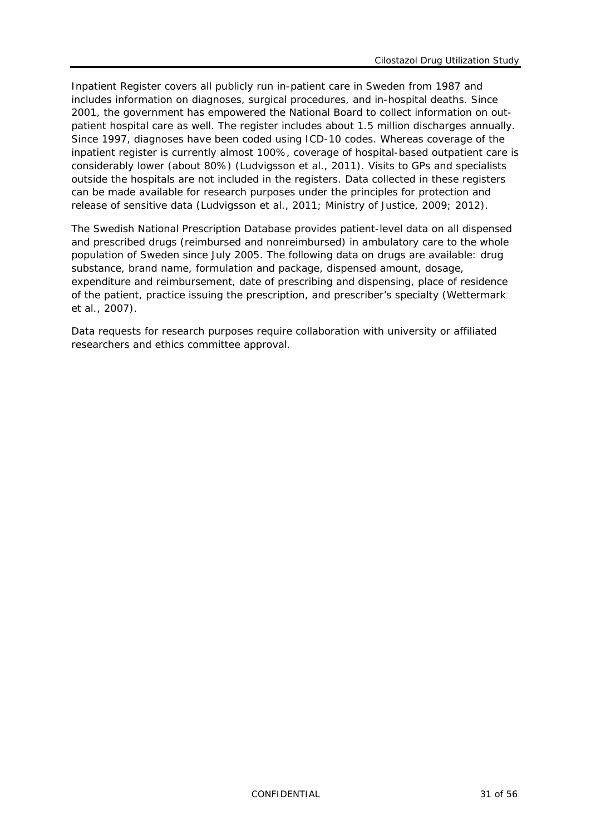Inpatient Register covers all publicly run in-patient care in Sweden from 1987 and includes information on diagnoses, surgical procedures, and in-hospital deaths. Since 2001, the government has empowered the National Board to collect information on outpatient hospital care as well. The register includes about 1.5 million discharges annually. Since 1997, diagnoses have been coded using ICD-10 codes. Whereas coverage of the inpatient register is currently almost 100%, coverage of hospital-based outpatient care is considerably lower (about 80%) (Ludvigsson et al., 2011). Visits to GPs and specialists outside the hospitals are not included in the registers. Data collected in these registers can be made available for research purposes under the principles for protection and release of sensitive data (Ludvigsson et al., 2011; Ministry of Justice, 2009; 2012).

The Swedish National Prescription Database provides patient-level data on all dispensed and prescribed drugs (reimbursed and nonreimbursed) in ambulatory care to the whole population of Sweden since July 2005. The following data on drugs are available: drug substance, brand name, formulation and package, dispensed amount, dosage, expenditure and reimbursement, date of prescribing and dispensing, place of residence of the patient, practice issuing the prescription, and prescriber's specialty (Wettermark et al., 2007).

Data requests for research purposes require collaboration with university or affiliated researchers and ethics committee approval.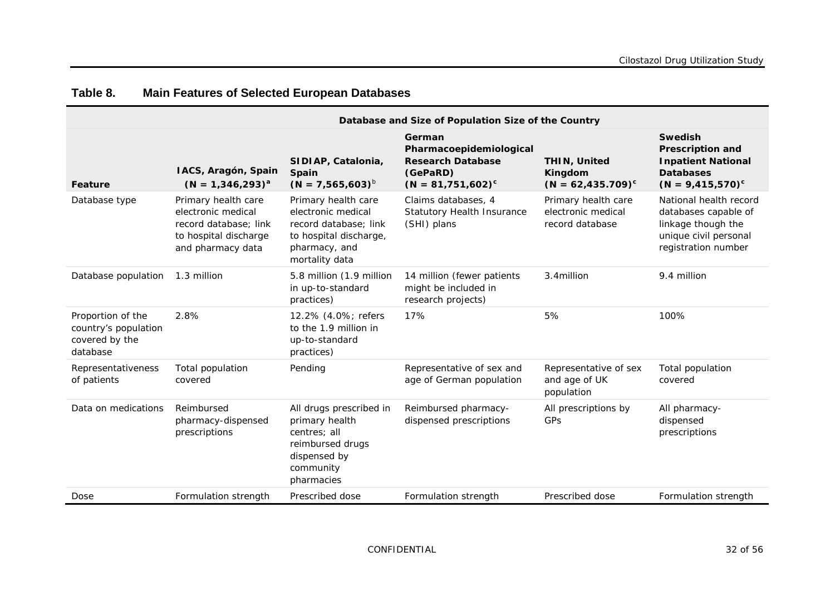<span id="page-31-0"></span>

|                                                                         | Database and Size of Population Size of the Country                                                              |                                                                                                                                 |                                                                                                   |                                                              |                                                                                                                      |
|-------------------------------------------------------------------------|------------------------------------------------------------------------------------------------------------------|---------------------------------------------------------------------------------------------------------------------------------|---------------------------------------------------------------------------------------------------|--------------------------------------------------------------|----------------------------------------------------------------------------------------------------------------------|
| Feature                                                                 | IACS, Aragón, Spain<br>$(N = 1,346,293)^{a}$                                                                     | SIDIAP, Catalonia,<br>Spain<br>$(N = 7,565,603)^{b}$                                                                            | German<br>Pharmacoepidemiological<br><b>Research Database</b><br>(GePaRD)<br>$(N = 81,751,602)^c$ | <b>THIN, United</b><br>Kingdom<br>$(N = 62, 435.709)^c$      | <b>Swedish</b><br><b>Prescription and</b><br><b>Inpatient National</b><br><b>Databases</b><br>$(N = 9,415,570)^c$    |
| Database type                                                           | Primary health care<br>electronic medical<br>record database; link<br>to hospital discharge<br>and pharmacy data | Primary health care<br>electronic medical<br>record database; link<br>to hospital discharge,<br>pharmacy, and<br>mortality data | Claims databases, 4<br>Statutory Health Insurance<br>(SHI) plans                                  | Primary health care<br>electronic medical<br>record database | National health record<br>databases capable of<br>linkage though the<br>unique civil personal<br>registration number |
| Database population                                                     | 1.3 million                                                                                                      | 5.8 million (1.9 million<br>in up-to-standard<br>practices)                                                                     | 14 million (fewer patients<br>might be included in<br>research projects)                          | 3.4million                                                   | 9.4 million                                                                                                          |
| Proportion of the<br>country's population<br>covered by the<br>database | 2.8%                                                                                                             | 12.2% (4.0%; refers<br>to the 1.9 million in<br>up-to-standard<br>practices)                                                    | 17%                                                                                               | 5%                                                           | 100%                                                                                                                 |
| Representativeness<br>of patients                                       | Total population<br>covered                                                                                      | Pending                                                                                                                         | Representative of sex and<br>age of German population                                             | Representative of sex<br>and age of UK<br>population         | Total population<br>covered                                                                                          |
| Data on medications                                                     | Reimbursed<br>pharmacy-dispensed<br>prescriptions                                                                | All drugs prescribed in<br>primary health<br>centres; all<br>reimbursed drugs<br>dispensed by<br>community<br>pharmacies        | Reimbursed pharmacy-<br>dispensed prescriptions                                                   | All prescriptions by<br><b>GPs</b>                           | All pharmacy-<br>dispensed<br>prescriptions                                                                          |
| Dose                                                                    | Formulation strength                                                                                             | Prescribed dose                                                                                                                 | Formulation strength                                                                              | Prescribed dose                                              | Formulation strength                                                                                                 |

### **Table 8. Main Features of Selected European Databases**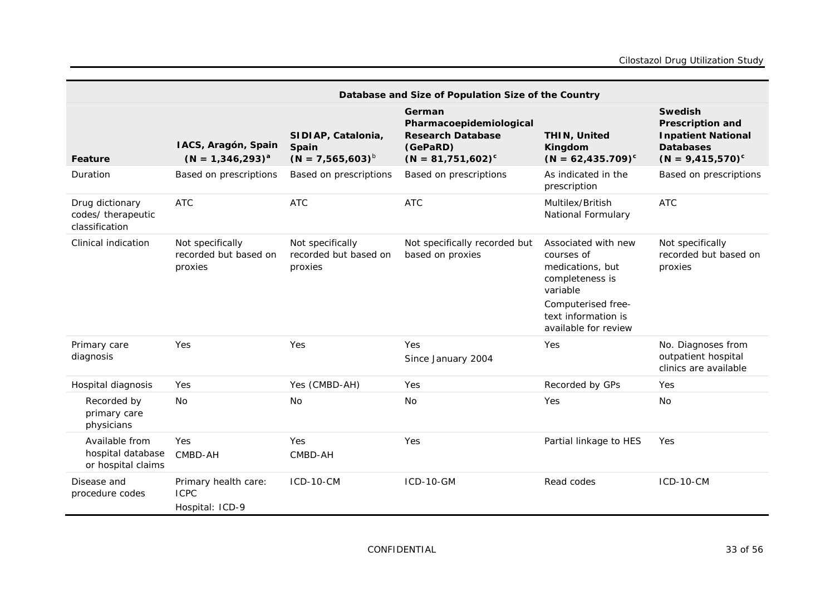|                                                           | Database and Size of Population Size of the Country    |                                                      |                                                                                                   |                                                                                                                                                           |                                                                                                                   |
|-----------------------------------------------------------|--------------------------------------------------------|------------------------------------------------------|---------------------------------------------------------------------------------------------------|-----------------------------------------------------------------------------------------------------------------------------------------------------------|-------------------------------------------------------------------------------------------------------------------|
| Feature                                                   | IACS, Aragón, Spain<br>$(N = 1,346,293)^{a}$           | SIDIAP, Catalonia,<br>Spain<br>$(N = 7,565,603)^{b}$ | German<br>Pharmacoepidemiological<br><b>Research Database</b><br>(GePaRD)<br>$(N = 81,751,602)^c$ | <b>THIN, United</b><br>Kingdom<br>$(N = 62, 435.709)^c$                                                                                                   | <b>Swedish</b><br><b>Prescription and</b><br><b>Inpatient National</b><br><b>Databases</b><br>$(N = 9,415,570)^c$ |
| Duration                                                  | Based on prescriptions                                 | Based on prescriptions                               | Based on prescriptions                                                                            | As indicated in the<br>prescription                                                                                                                       | Based on prescriptions                                                                                            |
| Drug dictionary<br>codes/ therapeutic<br>classification   | <b>ATC</b>                                             | <b>ATC</b>                                           | <b>ATC</b>                                                                                        | Multilex/British<br>National Formulary                                                                                                                    | <b>ATC</b>                                                                                                        |
| Clinical indication                                       | Not specifically<br>recorded but based on<br>proxies   | Not specifically<br>recorded but based on<br>proxies | Not specifically recorded but<br>based on proxies                                                 | Associated with new<br>courses of<br>medications, but<br>completeness is<br>variable<br>Computerised free-<br>text information is<br>available for review | Not specifically<br>recorded but based on<br>proxies                                                              |
| Primary care<br>diagnosis                                 | Yes                                                    | Yes                                                  | Yes<br>Since January 2004                                                                         | Yes                                                                                                                                                       | No. Diagnoses from<br>outpatient hospital<br>clinics are available                                                |
| Hospital diagnosis                                        | Yes                                                    | Yes (CMBD-AH)                                        | Yes                                                                                               | Recorded by GPs                                                                                                                                           | Yes                                                                                                               |
| Recorded by<br>primary care<br>physicians                 | <b>No</b>                                              | <b>No</b>                                            | <b>No</b>                                                                                         | Yes                                                                                                                                                       | <b>No</b>                                                                                                         |
| Available from<br>hospital database<br>or hospital claims | Yes<br>CMBD-AH                                         | Yes<br>CMBD-AH                                       | Yes                                                                                               | Partial linkage to HES                                                                                                                                    | Yes                                                                                                               |
| Disease and<br>procedure codes                            | Primary health care:<br><b>ICPC</b><br>Hospital: ICD-9 | $ICD-10-CM$                                          | <b>ICD-10-GM</b>                                                                                  | Read codes                                                                                                                                                | <b>ICD-10-CM</b>                                                                                                  |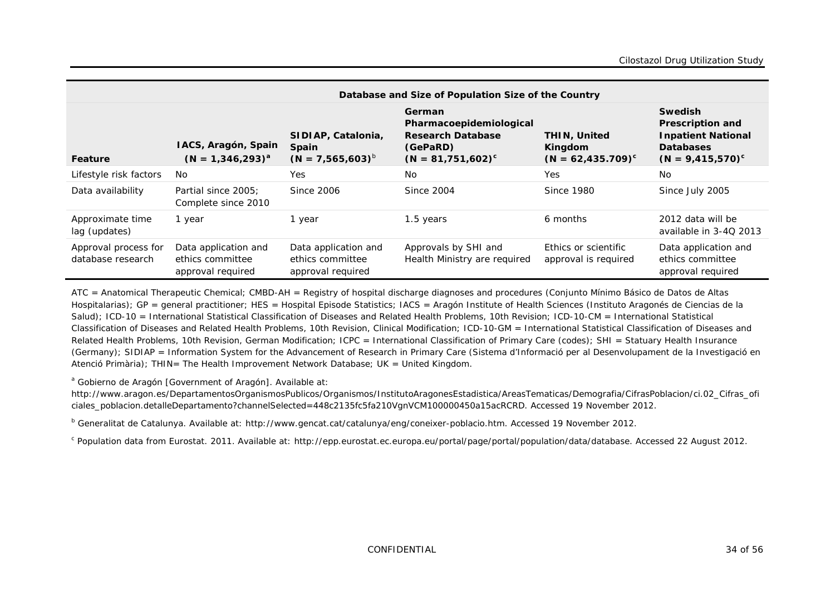| Database and Size of Population Size of the Country |                                                               |                                                               |                                                                                                   |                                                         |                                                                                                                   |  |  |  |  |
|-----------------------------------------------------|---------------------------------------------------------------|---------------------------------------------------------------|---------------------------------------------------------------------------------------------------|---------------------------------------------------------|-------------------------------------------------------------------------------------------------------------------|--|--|--|--|
| Feature                                             | IACS, Aragón, Spain<br>$(N = 1,346,293)^{a}$                  | SIDIAP, Catalonia,<br>Spain<br>$(N = 7,565,603)^{b}$          | German<br>Pharmacoepidemiological<br><b>Research Database</b><br>(GePaRD)<br>$(N = 81,751,602)^c$ | <b>THIN, United</b><br>Kingdom<br>$(N = 62, 435.709)^c$ | <b>Swedish</b><br><b>Prescription and</b><br><b>Inpatient National</b><br><b>Databases</b><br>$(N = 9,415,570)^c$ |  |  |  |  |
| Lifestyle risk factors                              | .No                                                           | Yes                                                           | <b>No</b>                                                                                         | Yes                                                     | N <sub>o</sub>                                                                                                    |  |  |  |  |
| Data availability                                   | Partial since 2005:<br>Complete since 2010                    | Since 2006                                                    | <b>Since 2004</b>                                                                                 | Since 1980                                              | Since July 2005                                                                                                   |  |  |  |  |
| Approximate time<br>lag (updates)                   | 1 year                                                        | 1 year                                                        | 1.5 years                                                                                         | 6 months                                                | 2012 data will be<br>available in 3-40 2013                                                                       |  |  |  |  |
| Approval process for<br>database research           | Data application and<br>ethics committee<br>approval required | Data application and<br>ethics committee<br>approval required | Approvals by SHI and<br>Health Ministry are required                                              | Ethics or scientific<br>approval is required            | Data application and<br>ethics committee<br>approval required                                                     |  |  |  |  |

ATC = Anatomical Therapeutic Chemical; CMBD-AH = Registry of hospital discharge diagnoses and procedures (Conjunto Mínimo Básico de Datos de Altas Hospitalarias); GP = general practitioner; HES = Hospital Episode Statistics; IACS = Aragón Institute of Health Sciences (Instituto Aragonés de Ciencias de la Salud); ICD-10 = International Statistical Classification of Diseases and Related Health Problems, 10th Revision; ICD-10-CM = International Statistical Classification of Diseases and Related Health Problems, 10th Revision, Clinical Modification; ICD-10-GM = International Statistical Classification of Diseases and Related Health Problems, 10th Revision, German Modification; ICPC = International Classification of Primary Care (codes); SHI = Statuary Health Insurance (Germany); SIDIAP = Information System for the Advancement of Research in Primary Care (Sistema d'Informació per al Desenvolupament de la Investigació en Atenció Primària); THIN= The Health Improvement Network Database; UK = United Kingdom.

<sup>a</sup> Gobierno de Aragón [Government of Aragón]. Available at:

http://www.aragon.es/DepartamentosOrganismosPublicos/Organismos/InstitutoAragonesEstadistica/AreasTematicas/Demografia/CifrasPoblacion/ci.02 Cifras\_ofi [ciales\\_poblacion.detalleDepartamento?channelSelected=448c2135fc5fa210VgnVCM100000450a15acRCRD.](http://www.aragon.es/DepartamentosOrganismosPublicos/Organismos/InstitutoAragonesEstadistica/AreasTematicas/Demografia/CifrasPoblacion/ci.02_Cifras_oficiales_poblacion.detalleDepartamento?channelSelected=448c2135fc5fa210VgnVCM100000450a15acRCRD) Accessed 19 November 2012.

<sup>b</sup> Generalitat de Catalunya. Available at: [http://www.gencat.cat/catalunya/eng/coneixer-poblacio.htm.](http://www.gencat.cat/catalunya/eng/coneixer-poblacio.htm) Accessed 19 November 2012.

<sup>c</sup> Population data from Eurostat. 2011. Available at: [http://epp.eurostat.ec.europa.eu/portal/page/portal/population/data/database.](http://epp.eurostat.ec.europa.eu/portal/page/portal/population/data/database) Accessed 22 August 2012.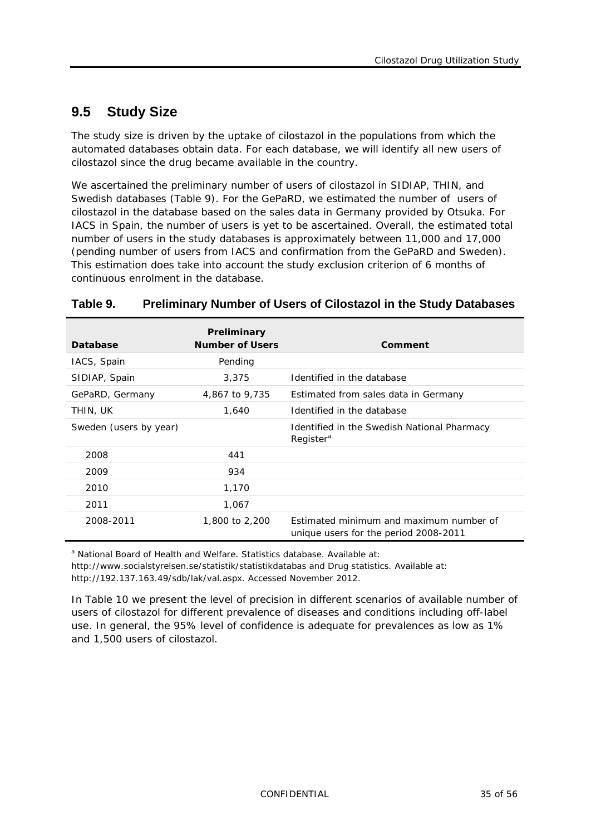## <span id="page-34-0"></span>**9.5 Study Size**

The study size is driven by the uptake of cilostazol in the populations from which the automated databases obtain data. For each database, we will identify all new users of cilostazol since the drug became available in the country.

We ascertained the preliminary number of users of cilostazol in SIDIAP, THIN, and Swedish databases [\(Table](#page-34-1) 9). For the GePaRD, we estimated the number of users of cilostazol in the database based on the sales data in Germany provided by Otsuka. For IACS in Spain, the number of users is yet to be ascertained. Overall, the estimated total number of users in the study databases is approximately between 11,000 and 17,000 (pending number of users from IACS and confirmation from the GePaRD and Sweden). This estimation does take into account the study exclusion criterion of 6 months of continuous enrolment in the database.

| Database               | Preliminary<br><b>Number of Users</b> | Comment                                                                          |
|------------------------|---------------------------------------|----------------------------------------------------------------------------------|
| IACS, Spain            | Pending                               |                                                                                  |
| SIDIAP, Spain          | 3,375                                 | Identified in the database                                                       |
| GePaRD, Germany        | 4,867 to 9,735                        | Estimated from sales data in Germany                                             |
| THIN, UK               | 1,640                                 | Identified in the database                                                       |
| Sweden (users by year) |                                       | Identified in the Swedish National Pharmacy<br>Register <sup>a</sup>             |
| 2008                   | 441                                   |                                                                                  |
| 2009                   | 934                                   |                                                                                  |
| 2010                   | 1,170                                 |                                                                                  |
| 2011                   | 1.067                                 |                                                                                  |
| 2008-2011              | 1,800 to 2,200                        | Estimated minimum and maximum number of<br>unique users for the period 2008-2011 |

#### <span id="page-34-1"></span>**Table 9. Preliminary Number of Users of Cilostazol in the Study Databases**

<sup>a</sup> National Board of Health and Welfare. Statistics database. Available at: <http://www.socialstyrelsen.se/statistik/statistikdatabas> and Drug statistics. Available at:

[http://192.137.163.49/sdb/lak/val.aspx.](http://192.137.163.49/sdb/lak/val.aspx) Accessed November 2012.

In [Table](#page-35-3) 10 we present the level of precision in different scenarios of available number of users of cilostazol for different prevalence of diseases and conditions including off-label use. In general, the 95% level of confidence is adequate for prevalences as low as 1% and 1,500 users of cilostazol.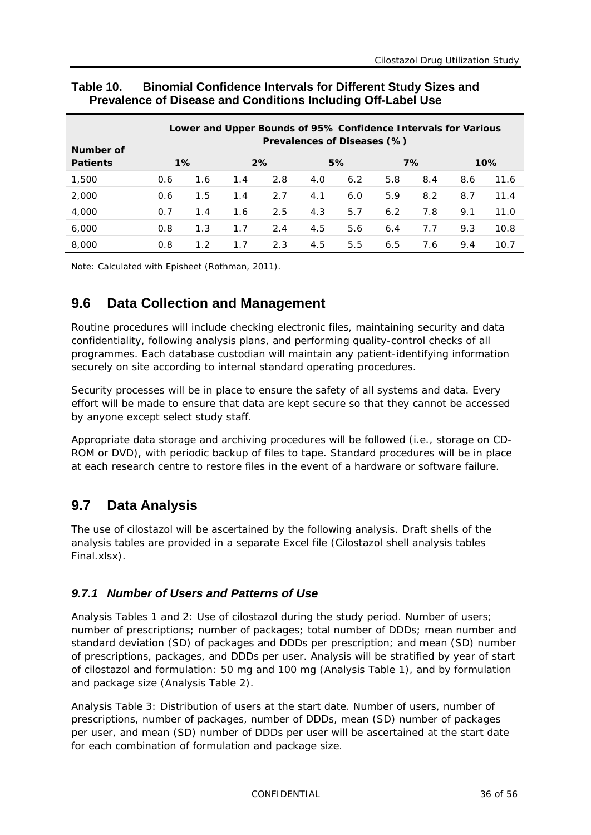| Number of       |     |       |     | Lower and Upper Bounds of 95% Confidence Intervals for Various |     | Prevalences of Diseases (%) |     |     |     |      |
|-----------------|-----|-------|-----|----------------------------------------------------------------|-----|-----------------------------|-----|-----|-----|------|
| <b>Patients</b> |     | $1\%$ |     | 2%                                                             |     | 5%                          |     | 7%  |     | 10%  |
| 1,500           | 0.6 | 1.6   | 1.4 | 2.8                                                            | 4.0 | 6.2                         | 5.8 | 8.4 | 8.6 | 11.6 |
| 2,000           | 0.6 | 1.5   | 1.4 | 2.7                                                            | 4.1 | 6.0                         | 5.9 | 8.2 | 8.7 | 11.4 |
| 4,000           | 0.7 | 1.4   | 1.6 | 2.5                                                            | 4.3 | 5.7                         | 6.2 | 7.8 | 9.1 | 11.0 |
| 6,000           | 0.8 | 1.3   | 1.7 | 2.4                                                            | 4.5 | 5.6                         | 6.4 | 7.7 | 9.3 | 10.8 |
| 8,000           | 0.8 | 1.2   | 1.7 | 2.3                                                            | 4.5 | 5.5                         | 6.5 | 7.6 | 9.4 | 10.7 |

#### <span id="page-35-3"></span>**Table 10. Binomial Confidence Intervals for Different Study Sizes and Prevalence of Disease and Conditions Including Off-Label Use**

<span id="page-35-0"></span>Note: Calculated with Episheet (Rothman, 2011).

### **9.6 Data Collection and Management**

Routine procedures will include checking electronic files, maintaining security and data confidentiality, following analysis plans, and performing quality-control checks of all programmes. Each database custodian will maintain any patient-identifying information securely on site according to internal standard operating procedures.

Security processes will be in place to ensure the safety of all systems and data. Every effort will be made to ensure that data are kept secure so that they cannot be accessed by anyone except select study staff.

Appropriate data storage and archiving procedures will be followed (i.e., storage on CD-ROM or DVD), with periodic backup of files to tape. Standard procedures will be in place at each research centre to restore files in the event of a hardware or software failure.

### <span id="page-35-1"></span>**9.7 Data Analysis**

The use of cilostazol will be ascertained by the following analysis. Draft shells of the analysis tables are provided in a separate Excel file (Cilostazol shell analysis tables Final.xlsx).

### <span id="page-35-2"></span>*9.7.1 Number of Users and Patterns of Use*

Analysis Tables 1 and 2: Use of cilostazol during the study period. Number of users; number of prescriptions; number of packages; total number of DDDs; mean number and standard deviation (SD) of packages and DDDs per prescription; and mean (SD) number of prescriptions, packages, and DDDs per user. Analysis will be stratified by year of start of cilostazol and formulation: 50 mg and 100 mg (Analysis Table 1), and by formulation and package size (Analysis Table 2).

Analysis Table 3: Distribution of users at the start date. Number of users, number of prescriptions, number of packages, number of DDDs, mean (SD) number of packages per user, and mean (SD) number of DDDs per user will be ascertained at the start date for each combination of formulation and package size.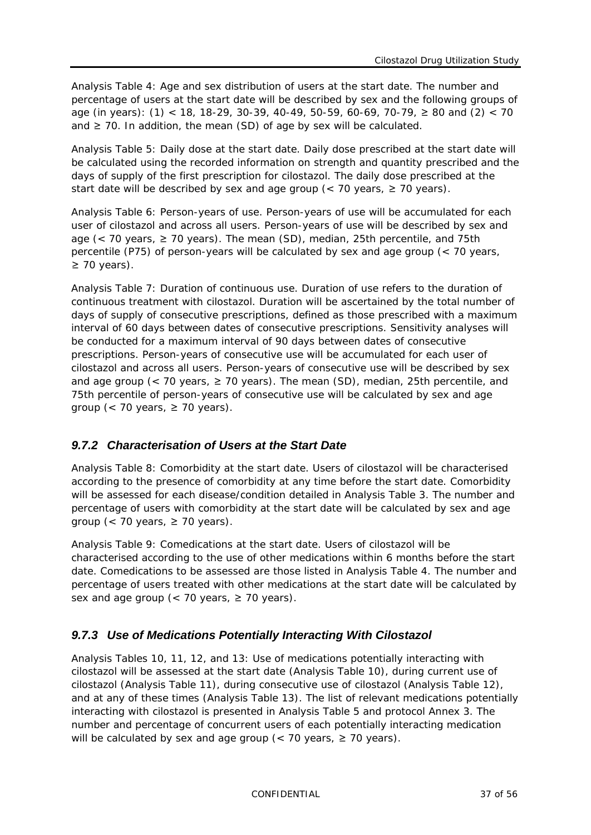Analysis Table 4: Age and sex distribution of users at the start date. The number and percentage of users at the start date will be described by sex and the following groups of age (in years): (1) < 18, 18-29, 30-39, 40-49, 50-59, 60-69, 70-79, ≥ 80 and (2) < 70 and  $\geq$  70. In addition, the mean (SD) of age by sex will be calculated.

Analysis Table 5: Daily dose at the start date. Daily dose prescribed at the start date will be calculated using the recorded information on strength and quantity prescribed and the days of supply of the first prescription for cilostazol. The daily dose prescribed at the start date will be described by sex and age group (< 70 years,  $\ge$  70 years).

Analysis Table 6: Person-years of use. Person-years of use will be accumulated for each user of cilostazol and across all users. Person-years of use will be described by sex and age (< 70 years,  $\geq$  70 years). The mean (SD), median, 25th percentile, and 75th percentile (P75) of person-years will be calculated by sex and age group (< 70 years,  $\geq$  70 years).

Analysis Table 7: Duration of continuous use. Duration of use refers to the duration of continuous treatment with cilostazol. Duration will be ascertained by the total number of days of supply of consecutive prescriptions, defined as those prescribed with a maximum interval of 60 days between dates of consecutive prescriptions. Sensitivity analyses will be conducted for a maximum interval of 90 days between dates of consecutive prescriptions. Person-years of consecutive use will be accumulated for each user of cilostazol and across all users. Person-years of consecutive use will be described by sex and age group (< 70 years,  $\geq$  70 years). The mean (SD), median, 25th percentile, and 75th percentile of person-years of consecutive use will be calculated by sex and age group (< 70 years,  $\geq$  70 years).

#### <span id="page-36-0"></span>*9.7.2 Characterisation of Users at the Start Date*

Analysis Table 8: Comorbidity at the start date. Users of cilostazol will be characterised according to the presence of comorbidity at any time before the start date. Comorbidity will be assessed for each disease/condition detailed in Analysis Table 3. The number and percentage of users with comorbidity at the start date will be calculated by sex and age group (< 70 years,  $\geq$  70 years).

Analysis Table 9: Comedications at the start date. Users of cilostazol will be characterised according to the use of other medications within 6 months before the start date. Comedications to be assessed are those listed in Analysis Table 4. The number and percentage of users treated with other medications at the start date will be calculated by sex and age group ( $<$  70 years,  $\geq$  70 years).

#### <span id="page-36-1"></span>*9.7.3 Use of Medications Potentially Interacting With Cilostazol*

Analysis Tables 10, 11, 12, and 13: Use of medications potentially interacting with cilostazol will be assessed at the start date (Analysis Table 10), during current use of cilostazol (Analysis Table 11), during consecutive use of cilostazol (Analysis Table 12), and at any of these times (Analysis Table 13). The list of relevant medications potentially interacting with cilostazol is presented in Analysis Table 5 and protocol Annex 3. The number and percentage of concurrent users of each potentially interacting medication will be calculated by sex and age group ( $<$  70 years,  $\geq$  70 years).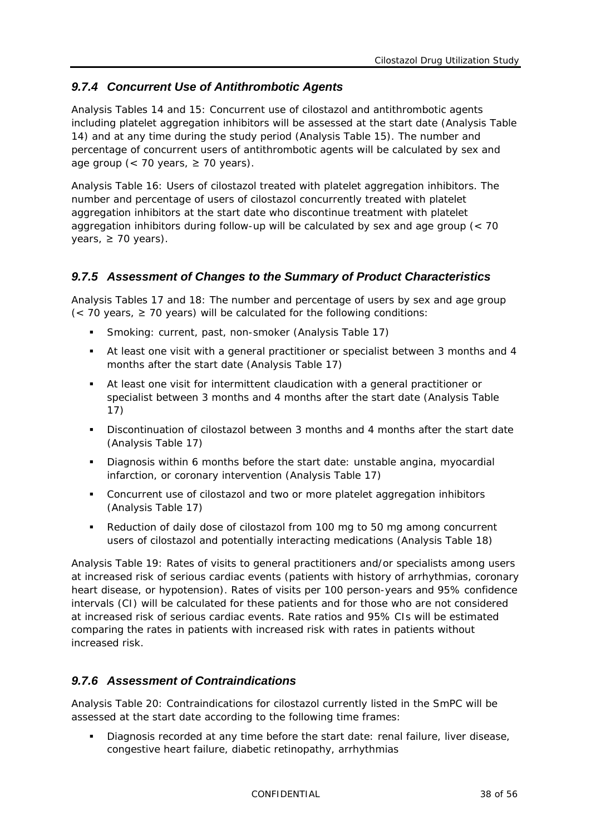### <span id="page-37-0"></span>*9.7.4 Concurrent Use of Antithrombotic Agents*

Analysis Tables 14 and 15: Concurrent use of cilostazol and antithrombotic agents including platelet aggregation inhibitors will be assessed at the start date (Analysis Table 14) and at any time during the study period (Analysis Table 15). The number and percentage of concurrent users of antithrombotic agents will be calculated by sex and age group (< 70 years,  $\geq$  70 years).

Analysis Table 16: Users of cilostazol treated with platelet aggregation inhibitors. The number and percentage of users of cilostazol concurrently treated with platelet aggregation inhibitors at the start date who discontinue treatment with platelet aggregation inhibitors during follow-up will be calculated by sex and age group (< 70 years,  $\geq 70$  years).

#### <span id="page-37-1"></span>*9.7.5 Assessment of Changes to the Summary of Product Characteristics*

Analysis Tables 17 and 18: The number and percentage of users by sex and age group  $\langle$  < 70 years,  $\geq$  70 years) will be calculated for the following conditions:

- Smoking: current, past, non-smoker (Analysis Table 17)
- At least one visit with a general practitioner or specialist between 3 months and 4 months after the start date (Analysis Table 17)
- At least one visit for intermittent claudication with a general practitioner or specialist between 3 months and 4 months after the start date (Analysis Table 17)
- Discontinuation of cilostazol between 3 months and 4 months after the start date (Analysis Table 17)
- Diagnosis within 6 months before the start date: unstable angina, myocardial infarction, or coronary intervention (Analysis Table 17)
- Concurrent use of cilostazol and two or more platelet aggregation inhibitors (Analysis Table 17)
- Reduction of daily dose of cilostazol from 100 mg to 50 mg among concurrent users of cilostazol and potentially interacting medications (Analysis Table 18)

Analysis Table 19: Rates of visits to general practitioners and/or specialists among users at increased risk of serious cardiac events (patients with history of arrhythmias, coronary heart disease, or hypotension). Rates of visits per 100 person-years and 95% confidence intervals (CI) will be calculated for these patients and for those who are not considered at increased risk of serious cardiac events. Rate ratios and 95% CIs will be estimated comparing the rates in patients with increased risk with rates in patients without increased risk.

#### <span id="page-37-2"></span>*9.7.6 Assessment of Contraindications*

Analysis Table 20: Contraindications for cilostazol currently listed in the SmPC will be assessed at the start date according to the following time frames:

 Diagnosis recorded at any time before the start date: renal failure, liver disease, congestive heart failure, diabetic retinopathy, arrhythmias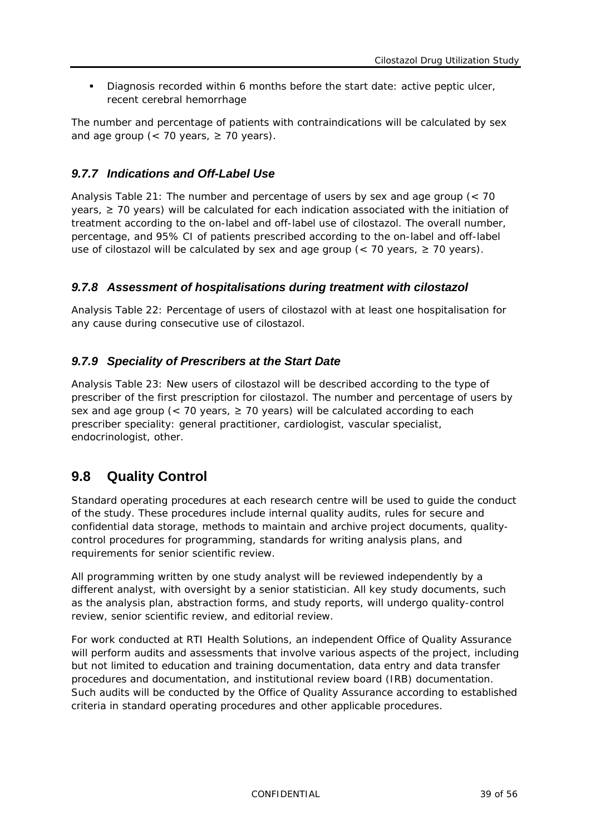Diagnosis recorded within 6 months before the start date: active peptic ulcer, recent cerebral hemorrhage

The number and percentage of patients with contraindications will be calculated by sex and age group (< 70 years,  $\geq$  70 years).

#### <span id="page-38-0"></span>*9.7.7 Indications and Off-Label Use*

Analysis Table 21: The number and percentage of users by sex and age group (< 70 years, ≥ 70 years) will be calculated for each indication associated with the initiation of treatment according to the on-label and off-label use of cilostazol. The overall number, percentage, and 95% CI of patients prescribed according to the on-label and off-label use of cilostazol will be calculated by sex and age group (< 70 years, ≥ 70 years).

#### <span id="page-38-1"></span>*9.7.8 Assessment of hospitalisations during treatment with cilostazol*

Analysis Table 22: Percentage of users of cilostazol with at least one hospitalisation for any cause during consecutive use of cilostazol.

#### <span id="page-38-2"></span>*9.7.9 Speciality of Prescribers at the Start Date*

Analysis Table 23: New users of cilostazol will be described according to the type of prescriber of the first prescription for cilostazol. The number and percentage of users by sex and age group (< 70 years,  $\geq$  70 years) will be calculated according to each prescriber speciality: general practitioner, cardiologist, vascular specialist, endocrinologist, other.

### <span id="page-38-3"></span>**9.8 Quality Control**

Standard operating procedures at each research centre will be used to guide the conduct of the study. These procedures include internal quality audits, rules for secure and confidential data storage, methods to maintain and archive project documents, qualitycontrol procedures for programming, standards for writing analysis plans, and requirements for senior scientific review.

All programming written by one study analyst will be reviewed independently by a different analyst, with oversight by a senior statistician. All key study documents, such as the analysis plan, abstraction forms, and study reports, will undergo quality-control review, senior scientific review, and editorial review.

For work conducted at RTI Health Solutions, an independent Office of Quality Assurance will perform audits and assessments that involve various aspects of the project, including but not limited to education and training documentation, data entry and data transfer procedures and documentation, and institutional review board (IRB) documentation. Such audits will be conducted by the Office of Quality Assurance according to established criteria in standard operating procedures and other applicable procedures.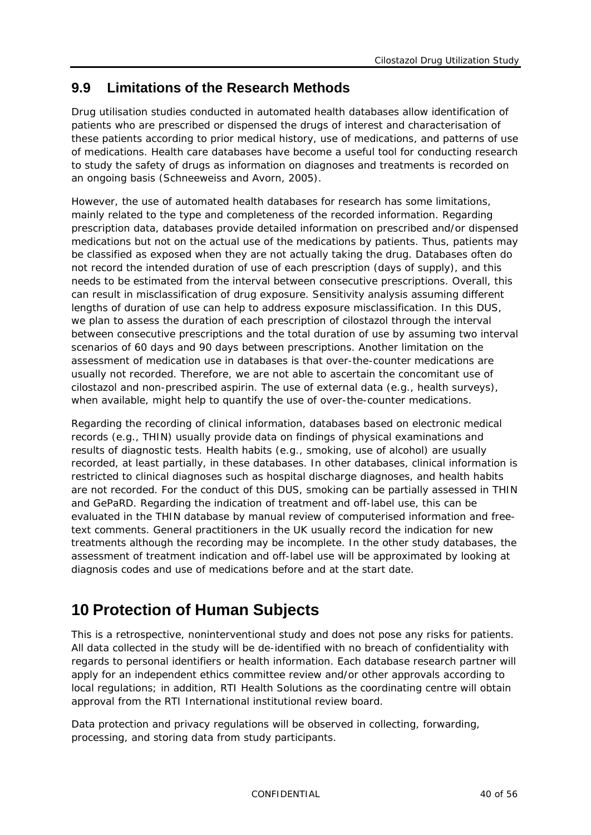### <span id="page-39-0"></span>**9.9 Limitations of the Research Methods**

Drug utilisation studies conducted in automated health databases allow identification of patients who are prescribed or dispensed the drugs of interest and characterisation of these patients according to prior medical history, use of medications, and patterns of use of medications. Health care databases have become a useful tool for conducting research to study the safety of drugs as information on diagnoses and treatments is recorded on an ongoing basis (Schneeweiss and Avorn, 2005).

However, the use of automated health databases for research has some limitations, mainly related to the type and completeness of the recorded information. Regarding prescription data, databases provide detailed information on prescribed and/or dispensed medications but not on the actual use of the medications by patients. Thus, patients may be classified as exposed when they are not actually taking the drug. Databases often do not record the intended duration of use of each prescription (days of supply), and this needs to be estimated from the interval between consecutive prescriptions. Overall, this can result in misclassification of drug exposure. Sensitivity analysis assuming different lengths of duration of use can help to address exposure misclassification. In this DUS, we plan to assess the duration of each prescription of cilostazol through the interval between consecutive prescriptions and the total duration of use by assuming two interval scenarios of 60 days and 90 days between prescriptions. Another limitation on the assessment of medication use in databases is that over-the-counter medications are usually not recorded. Therefore, we are not able to ascertain the concomitant use of cilostazol and non-prescribed aspirin. The use of external data (e.g., health surveys), when available, might help to quantify the use of over-the-counter medications.

Regarding the recording of clinical information, databases based on electronic medical records (e.g., THIN) usually provide data on findings of physical examinations and results of diagnostic tests. Health habits (e.g., smoking, use of alcohol) are usually recorded, at least partially, in these databases. In other databases, clinical information is restricted to clinical diagnoses such as hospital discharge diagnoses, and health habits are not recorded. For the conduct of this DUS, smoking can be partially assessed in THIN and GePaRD. Regarding the indication of treatment and off-label use, this can be evaluated in the THIN database by manual review of computerised information and freetext comments. General practitioners in the UK usually record the indication for new treatments although the recording may be incomplete. In the other study databases, the assessment of treatment indication and off-label use will be approximated by looking at diagnosis codes and use of medications before and at the start date.

# <span id="page-39-1"></span>**10 Protection of Human Subjects**

This is a retrospective, noninterventional study and does not pose any risks for patients. All data collected in the study will be de-identified with no breach of confidentiality with regards to personal identifiers or health information. Each database research partner will apply for an independent ethics committee review and/or other approvals according to local regulations; in addition, RTI Health Solutions as the coordinating centre will obtain approval from the RTI International institutional review board.

Data protection and privacy regulations will be observed in collecting, forwarding, processing, and storing data from study participants.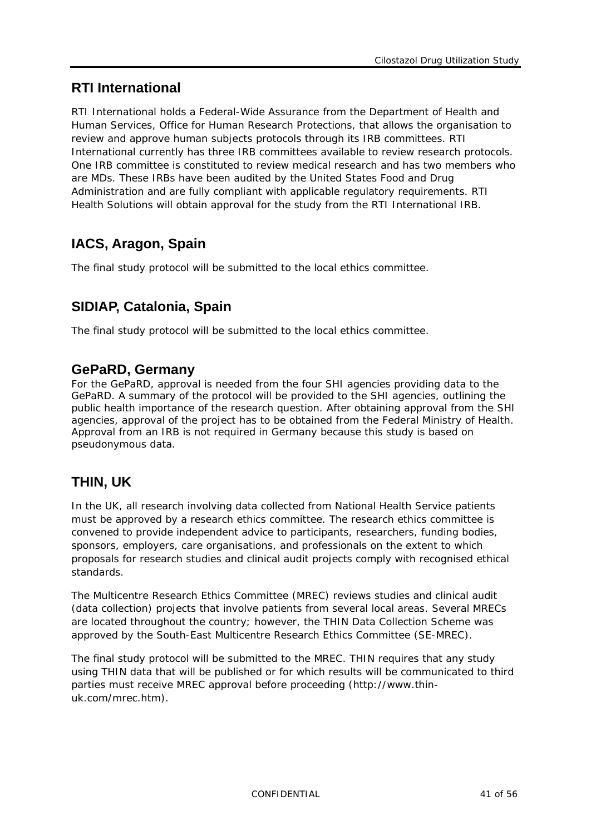# **RTI International**

RTI International holds a Federal-Wide Assurance from the Department of Health and Human Services, Office for Human Research Protections, that allows the organisation to review and approve human subjects protocols through its IRB committees. RTI International currently has three IRB committees available to review research protocols. One IRB committee is constituted to review medical research and has two members who are MDs. These IRBs have been audited by the United States Food and Drug Administration and are fully compliant with applicable regulatory requirements. RTI Health Solutions will obtain approval for the study from the RTI International IRB.

# **IACS, Aragon, Spain**

The final study protocol will be submitted to the local ethics committee.

## **SIDIAP, Catalonia, Spain**

The final study protocol will be submitted to the local ethics committee.

### **GePaRD, Germany**

For the GePaRD, approval is needed from the four SHI agencies providing data to the GePaRD. A summary of the protocol will be provided to the SHI agencies, outlining the public health importance of the research question. After obtaining approval from the SHI agencies, approval of the project has to be obtained from the Federal Ministry of Health. Approval from an IRB is not required in Germany because this study is based on pseudonymous data.

# **THIN, UK**

In the UK, all research involving data collected from National Health Service patients must be approved by a research ethics committee. The research ethics committee is convened to provide independent advice to participants, researchers, funding bodies, sponsors, employers, care organisations, and professionals on the extent to which proposals for research studies and clinical audit projects comply with recognised ethical standards.

The Multicentre Research Ethics Committee (MREC) reviews studies and clinical audit (data collection) projects that involve patients from several local areas. Several MRECs are located throughout the country; however, the THIN Data Collection Scheme was approved by the South-East Multicentre Research Ethics Committee (SE-MREC).

The final study protocol will be submitted to the MREC. THIN requires that any study using THIN data that will be published or for which results will be communicated to third parties must receive MREC approval before proceeding (http://www.thinuk.com/mrec.htm).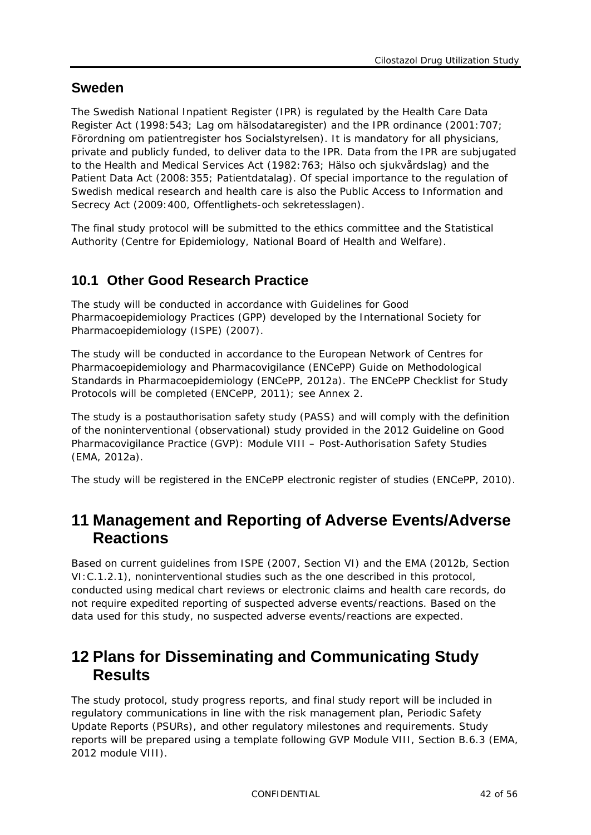### **Sweden**

The Swedish National Inpatient Register (IPR) is regulated by the Health Care Data Register Act (1998:543; Lag om hälsodataregister) and the IPR ordinance (2001:707; Förordning om patientregister hos Socialstyrelsen). It is mandatory for all physicians, private and publicly funded, to deliver data to the IPR. Data from the IPR are subjugated to the Health and Medical Services Act (1982:763; Hälso och sjukvårdslag) and the Patient Data Act (2008:355; Patientdatalag). Of special importance to the regulation of Swedish medical research and health care is also the Public Access to Information and Secrecy Act (2009:400, Offentlighets-och sekretesslagen).

The final study protocol will be submitted to the ethics committee and the Statistical Authority (Centre for Epidemiology, National Board of Health and Welfare).

### <span id="page-41-0"></span>**10.1 Other Good Research Practice**

The study will be conducted in accordance with Guidelines for Good Pharmacoepidemiology Practices (GPP) developed by the International Society for Pharmacoepidemiology (ISPE) (2007).

The study will be conducted in accordance to the European Network of Centres for Pharmacoepidemiology and Pharmacovigilance (ENCePP) Guide on Methodological Standards in Pharmacoepidemiology (ENCePP, 2012a). The ENCePP Checklist for Study Protocols will be completed (ENCePP, 2011); see Annex 2.

The study is a postauthorisation safety study (PASS) and will comply with the definition of the noninterventional (observational) study provided in the 2012 Guideline on Good Pharmacovigilance Practice (GVP): Module VIII – Post-Authorisation Safety Studies (EMA, 2012a).

<span id="page-41-1"></span>The study will be registered in the ENCePP electronic register of studies (ENCePP, 2010).

# **11 Management and Reporting of Adverse Events/Adverse Reactions**

Based on current guidelines from ISPE (2007, Section VI) and the EMA (2012b, Section VI:C.1.2.1), noninterventional studies such as the one described in this protocol, conducted using medical chart reviews or electronic claims and health care records, do not require expedited reporting of suspected adverse events/reactions. Based on the data used for this study, no suspected adverse events/reactions are expected.

# <span id="page-41-2"></span>**12 Plans for Disseminating and Communicating Study Results**

The study protocol, study progress reports, and final study report will be included in regulatory communications in line with the risk management plan, Periodic Safety Update Reports (PSURs), and other regulatory milestones and requirements. Study reports will be prepared using a template following GVP Module VIII, Section B.6.3 (EMA, 2012 module VIII).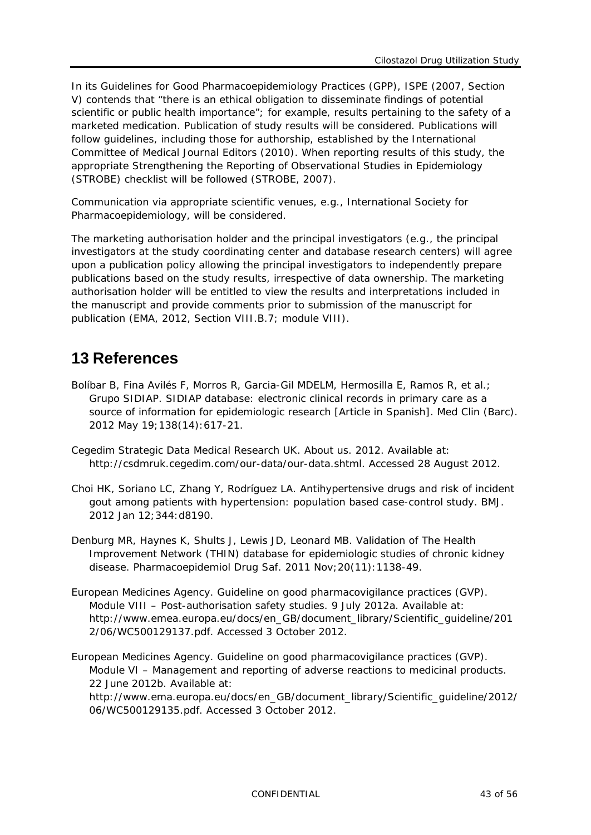In its Guidelines for Good Pharmacoepidemiology Practices (GPP), ISPE (2007, Section V) contends that "there is an ethical obligation to disseminate findings of potential scientific or public health importance"; for example, results pertaining to the safety of a marketed medication. Publication of study results will be considered. Publications will follow guidelines, including those for authorship, established by the International Committee of Medical Journal Editors (2010). When reporting results of this study, the appropriate Strengthening the Reporting of Observational Studies in Epidemiology (STROBE) checklist will be followed (STROBE, 2007).

Communication via appropriate scientific venues, e.g., International Society for Pharmacoepidemiology, will be considered.

The marketing authorisation holder and the principal investigators (e.g., the principal investigators at the study coordinating center and database research centers) will agree upon a publication policy allowing the principal investigators to independently prepare publications based on the study results, irrespective of data ownership. The marketing authorisation holder will be entitled to view the results and interpretations included in the manuscript and provide comments prior to submission of the manuscript for publication (EMA, 2012, Section VIII.B.7; module VIII).

# <span id="page-42-0"></span>**13 References**

- Bolíbar B, Fina Avilés F, Morros R, Garcia-Gil MDELM, Hermosilla E, Ramos R, et al.; Grupo SIDIAP. SIDIAP database: electronic clinical records in primary care as a source of information for epidemiologic research [Article in Spanish]. Med Clin (Barc). 2012 May 19;138(14):617-21.
- Cegedim Strategic Data Medical Research UK. About us. 2012. Available at: [http://csdmruk.cegedim.com/our-data/our-data.shtml.](http://csdmruk.cegedim.com/our-data/our-data.shtml) Accessed 28 August 2012.
- Choi HK, Soriano LC, Zhang Y, Rodríguez LA. Antihypertensive drugs and risk of incident gout among patients with hypertension: population based case-control study. BMJ. 2012 Jan 12;344:d8190.
- Denburg MR, Haynes K, Shults J, Lewis JD, Leonard MB. Validation of The Health Improvement Network (THIN) database for epidemiologic studies of chronic kidney disease. Pharmacoepidemiol Drug Saf. 2011 Nov;20(11):1138-49.
- European Medicines Agency. Guideline on good pharmacovigilance practices (GVP). Module VIII – Post-authorisation safety studies. 9 July 2012a. Available at: [http://www.emea.europa.eu/docs/en\\_GB/document\\_library/Scientific\\_guideline/201](http://www.emea.europa.eu/docs/en_GB/document_library/Scientific_guideline/2012/06/WC500129137.pdf) [2/06/WC500129137.pdf.](http://www.emea.europa.eu/docs/en_GB/document_library/Scientific_guideline/2012/06/WC500129137.pdf) Accessed 3 October 2012.
- European Medicines Agency. Guideline on good pharmacovigilance practices (GVP). Module VI – Management and reporting of adverse reactions to medicinal products. 22 June 2012b. Available at: [http://www.ema.europa.eu/docs/en\\_GB/document\\_library/Scientific\\_guideline/2012/](http://www.ema.europa.eu/docs/en_GB/document_library/Scientific_guideline/2012/06/WC500129135.pdf) [06/WC500129135.pdf.](http://www.ema.europa.eu/docs/en_GB/document_library/Scientific_guideline/2012/06/WC500129135.pdf) Accessed 3 October 2012.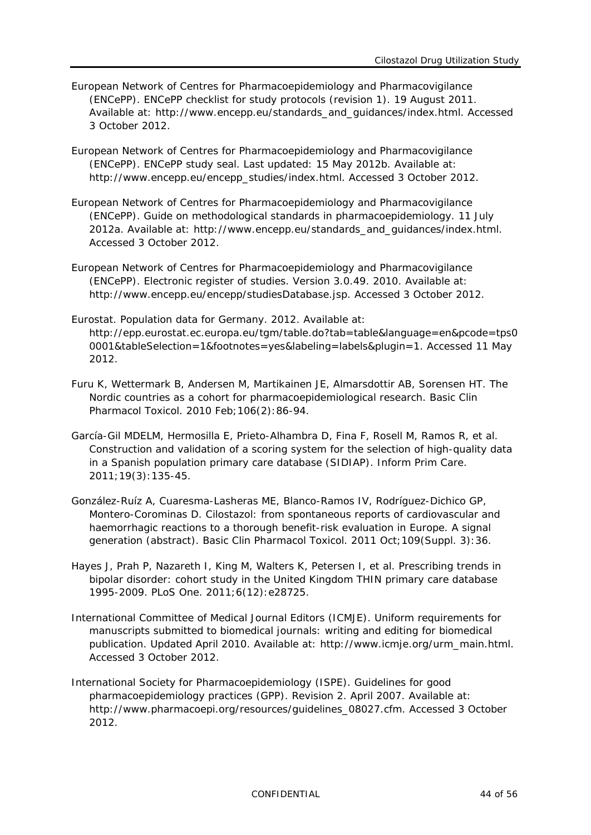- European Network of Centres for Pharmacoepidemiology and Pharmacovigilance (ENCePP). ENCePP checklist for study protocols (revision 1). 19 August 2011. Available at: [http://www.encepp.eu/standards\\_and\\_guidances/index.html.](http://www.encepp.eu/standards_and_guidances/index.html) Accessed 3 October 2012.
- European Network of Centres for Pharmacoepidemiology and Pharmacovigilance (ENCePP). ENCePP study seal. Last updated: 15 May 2012b. Available at: [http://www.encepp.eu/encepp\\_studies/index.html.](http://www.encepp.eu/encepp_studies/index.html) Accessed 3 October 2012.
- European Network of Centres for Pharmacoepidemiology and Pharmacovigilance (ENCePP). Guide on methodological standards in pharmacoepidemiology. 11 July 2012a. Available at: [http://www.encepp.eu/standards\\_and\\_guidances/index.html.](http://www.encepp.eu/standards_and_guidances/index.html) Accessed 3 October 2012.
- European Network of Centres for Pharmacoepidemiology and Pharmacovigilance (ENCePP). Electronic register of studies. Version 3.0.49. 2010. Available at: [http://www.encepp.eu/encepp/studiesDatabase.jsp.](http://www.encepp.eu/encepp/studiesDatabase.jsp) Accessed 3 October 2012.
- Eurostat. Population data for Germany. 2012. Available at: [http://epp.eurostat.ec.europa.eu/tgm/table.do?tab=table&language=en&pcode=tps0](http://epp.eurostat.ec.europa.eu/tgm/table.do?tab=table&language=en&pcode=tps00001&tableSelection=1&footnotes=yes&labeling=labels&plugin=1) [0001&tableSelection=1&footnotes=yes&labeling=labels&plugin=1.](http://epp.eurostat.ec.europa.eu/tgm/table.do?tab=table&language=en&pcode=tps00001&tableSelection=1&footnotes=yes&labeling=labels&plugin=1) Accessed 11 May 2012.
- Furu K, Wettermark B, Andersen M, Martikainen JE, Almarsdottir AB, Sorensen HT. The Nordic countries as a cohort for pharmacoepidemiological research. Basic Clin Pharmacol Toxicol. 2010 Feb;106(2):86-94.
- García-Gil MDELM, Hermosilla E, Prieto-Alhambra D, Fina F, Rosell M, Ramos R, et al. Construction and validation of a scoring system for the selection of high-quality data in a Spanish population primary care database (SIDIAP). Inform Prim Care. 2011;19(3):135-45.
- González-Ruíz A, Cuaresma-Lasheras ME, Blanco-Ramos IV, Rodríguez-Dichico GP, Montero-Corominas D. Cilostazol: from spontaneous reports of cardiovascular and haemorrhagic reactions to a thorough benefit-risk evaluation in Europe. A signal generation (abstract). Basic Clin Pharmacol Toxicol. 2011 Oct;109(Suppl. 3):36.
- Hayes J, Prah P, Nazareth I, King M, Walters K, Petersen I, et al. Prescribing trends in bipolar disorder: cohort study in the United Kingdom THIN primary care database 1995-2009. PLoS One. 2011;6(12):e28725.
- International Committee of Medical Journal Editors (ICMJE). Uniform requirements for manuscripts submitted to biomedical journals: writing and editing for biomedical publication. Updated April 2010. Available at: [http://www.icmje.org/urm\\_main.html.](http://www.icmje.org/urm_main.html) Accessed 3 October 2012.
- International Society for Pharmacoepidemiology (ISPE). Guidelines for good pharmacoepidemiology practices (GPP). Revision 2. April 2007. Available at: [http://www.pharmacoepi.org/resources/guidelines\\_08027.cfm.](http://www.pharmacoepi.org/resources/guidelines_08027.cfm) Accessed 3 October 2012.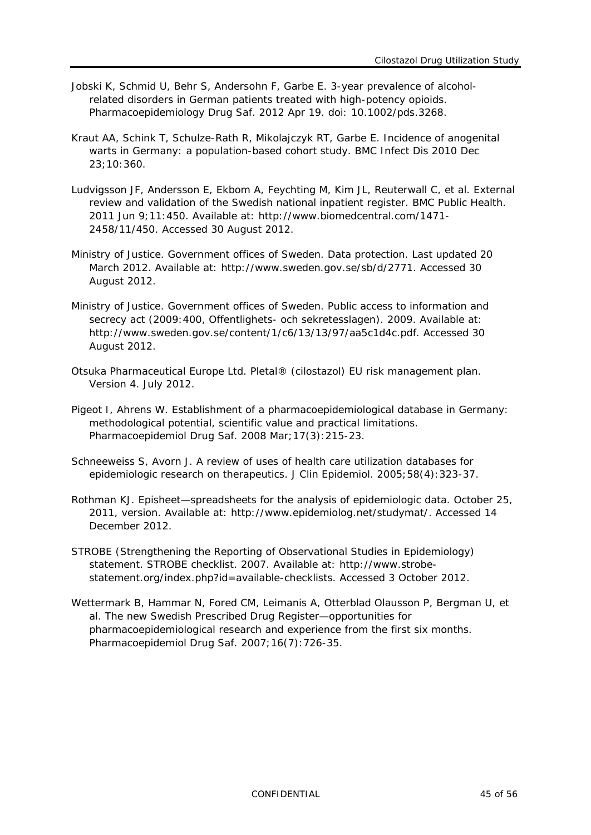- Jobski K, Schmid U, Behr S, Andersohn F, Garbe E. 3-year prevalence of alcoholrelated disorders in German patients treated with high-potency opioids. Pharmacoepidemiology Drug Saf. 2012 Apr 19. doi: 10.1002/pds.3268.
- Kraut AA, Schink T, Schulze-Rath R, Mikolajczyk RT, Garbe E. Incidence of anogenital warts in Germany: a population-based cohort study. BMC Infect Dis 2010 Dec 23;10:360.
- Ludvigsson JF, Andersson E, Ekbom A, Feychting M, Kim JL, Reuterwall C, et al. External review and validation of the Swedish national inpatient register. BMC Public Health. 2011 Jun 9;11:450. Available at: [http://www.biomedcentral.com/1471-](http://www.biomedcentral.com/1471-2458/11/450) [2458/11/450.](http://www.biomedcentral.com/1471-2458/11/450) Accessed 30 August 2012.
- Ministry of Justice. Government offices of Sweden. Data protection. Last updated 20 March 2012. Available at: [http://www.sweden.gov.se/sb/d/2771.](http://www.sweden.gov.se/sb/d/2771) Accessed 30 August 2012.
- Ministry of Justice. Government offices of Sweden. Public access to information and secrecy act (2009:400, Offentlighets- och sekretesslagen). 2009. Available at: [http://www.sweden.gov.se/content/1/c6/13/13/97/aa5c1d4c.pdf.](http://www.sweden.gov.se/content/1/c6/13/13/97/aa5c1d4c.pdf) [Accessed 30](http://www.sweden.gov.se/sb/d/2771.%20Accessed%2028%20August%202012)  [August 2012.](http://www.sweden.gov.se/sb/d/2771.%20Accessed%2028%20August%202012)
- Otsuka Pharmaceutical Europe Ltd. Pletal® (cilostazol) EU risk management plan. Version 4. July 2012.
- Pigeot I, Ahrens W. Establishment of a pharmacoepidemiological database in Germany: methodological potential, scientific value and practical limitations. Pharmacoepidemiol Drug Saf. 2008 Mar;17(3):215-23.
- Schneeweiss S, Avorn J. A review of uses of health care utilization databases for epidemiologic research on therapeutics. J Clin Epidemiol. 2005;58(4):323-37.
- Rothman KJ. Episheet—spreadsheets for the analysis of epidemiologic data. October 25, 2011, version. Available at: [http://www.epidemiolog.net/studymat/.](http://www.epidemiolog.net/studymat/) Accessed 14 December 2012.
- STROBE (Strengthening the Reporting of Observational Studies in Epidemiology) statement. STROBE checklist. 2007. Available at: [http://www.strobe](http://www.strobe-statement.org/index.php?id=available-checklists)[statement.org/index.php?id=available-checklists.](http://www.strobe-statement.org/index.php?id=available-checklists) Accessed 3 October 2012.
- Wettermark B, Hammar N, Fored CM, Leimanis A, Otterblad Olausson P, Bergman U, et al. The new Swedish Prescribed Drug Register—opportunities for pharmacoepidemiological research and experience from the first six months. Pharmacoepidemiol Drug Saf. 2007;16(7):726-35.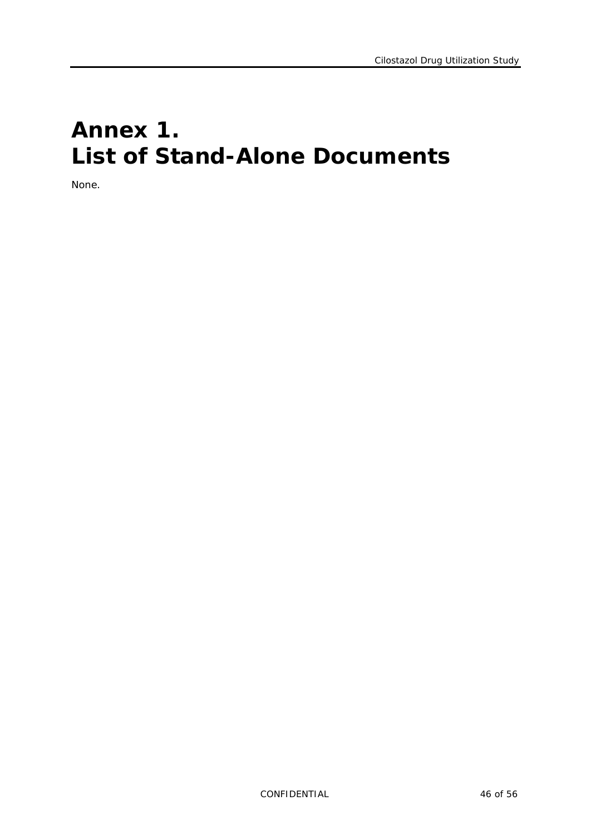# <span id="page-45-0"></span>**Annex 1. List of Stand-Alone Documents**

None.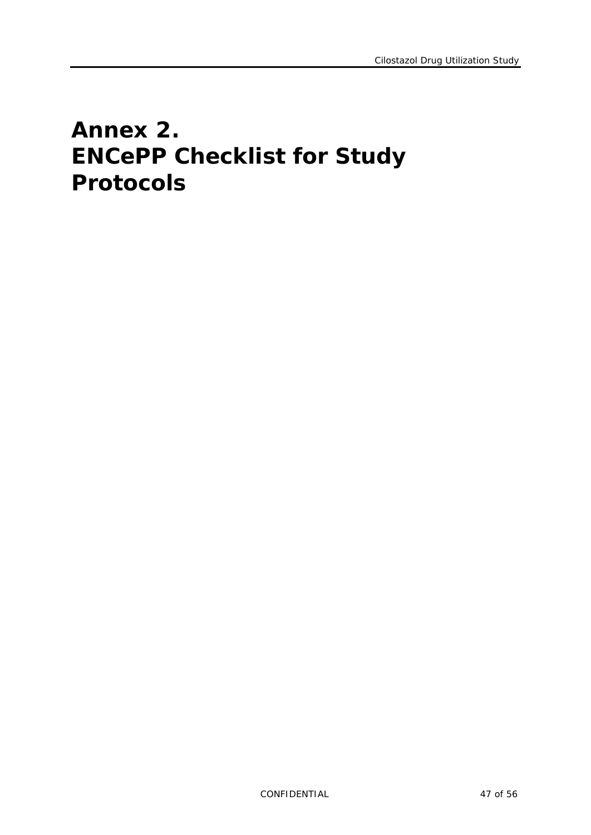# <span id="page-46-0"></span>**Annex 2. ENCePP Checklist for Study Protocols**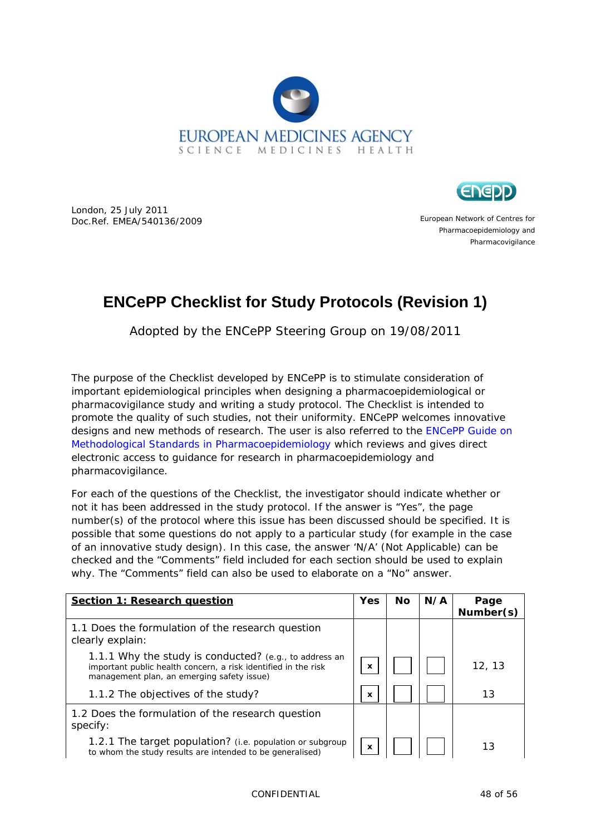



London, 25 July 2011 Doc.Ref. EMEA/540136/2009

European Network of Centres for Pharmacoepidemiology and Pharmacovigilance

# **ENCePP Checklist for Study Protocols (Revision 1)**

Adopted by the ENCePP Steering Group on 19/08/2011

The purpose of the Checklist developed by ENCePP is to stimulate consideration of important epidemiological principles when designing a pharmacoepidemiological or pharmacovigilance study and writing a study protocol. The Checklist is intended to promote the quality of such studies, not their uniformity. ENCePP welcomes innovative designs and new methods of research. The user is also referred to the [ENCePP Guide on](http://www.encepp.eu/standards_and_guidances/documents/ENCePPGuideofMethStandardsinPE.pdf)  [Methodological Standards in Pharmacoepidemiology](http://www.encepp.eu/standards_and_guidances/documents/ENCePPGuideofMethStandardsinPE.pdf) which reviews and gives direct electronic access to guidance for research in pharmacoepidemiology and pharmacovigilance.

For each of the questions of the Checklist, the investigator should indicate whether or not it has been addressed in the study protocol. If the answer is "Yes", the page number(s) of the protocol where this issue has been discussed should be specified. It is possible that some questions do not apply to a particular study (for example in the case of an innovative study design). In this case, the answer 'N/A' (Not Applicable) can be checked and the "Comments" field included for each section should be used to explain why. The "Comments" field can also be used to elaborate on a "No" answer.

| <b>Section 1: Research question</b>                                                                                                                                    | <b>Yes</b> | Nο | N/A | Page<br>Number(s) |
|------------------------------------------------------------------------------------------------------------------------------------------------------------------------|------------|----|-----|-------------------|
| 1.1 Does the formulation of the research question<br>clearly explain:                                                                                                  |            |    |     |                   |
| 1.1.1 Why the study is conducted? (e.g., to address an<br>important public health concern, a risk identified in the risk<br>management plan, an emerging safety issue) | X          |    |     | 12, 13            |
| 1.1.2 The objectives of the study?                                                                                                                                     | x          |    |     | 13                |
| 1.2 Does the formulation of the research question<br>specify:                                                                                                          |            |    |     |                   |
| 1.2.1 The target population? (i.e. population or subgroup<br>to whom the study results are intended to be generalised)                                                 | x          |    |     | 13                |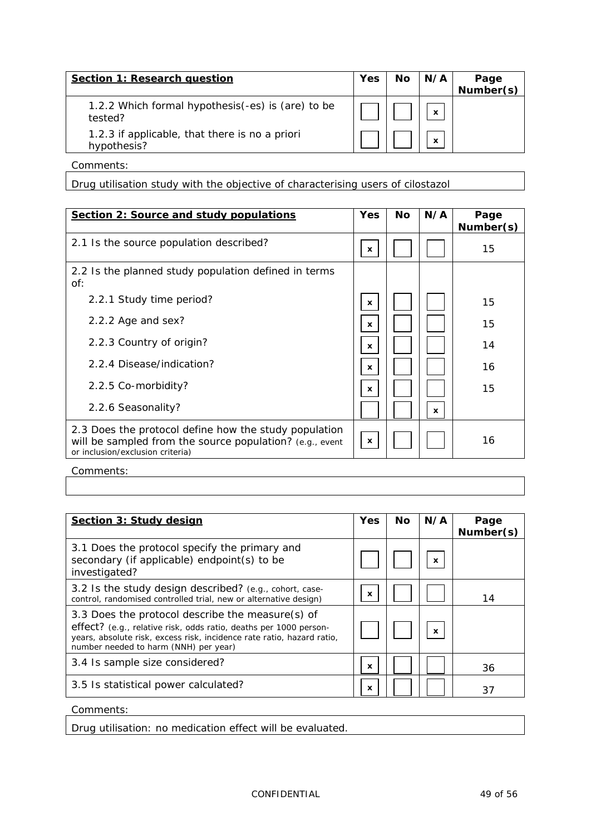| <b>Section 1: Research question</b>                           | Yes | <b>No</b> | N/A          | Page<br>Number(s) |
|---------------------------------------------------------------|-----|-----------|--------------|-------------------|
| 1.2.2 Which formal hypothesis (-es) is (are) to be<br>tested? |     |           | $\mathbf{x}$ |                   |
| 1.2.3 if applicable, that there is no a priori<br>hypothesis? |     |           | $\mathbf x$  |                   |

Drug utilisation study with the objective of characterising users of cilostazol

| Section 2: Source and study populations                                                                                                               | <b>Yes</b>   | <b>No</b> | N/A          | Page<br>Number(s) |
|-------------------------------------------------------------------------------------------------------------------------------------------------------|--------------|-----------|--------------|-------------------|
| 2.1 Is the source population described?                                                                                                               | x            |           |              | 15                |
| 2.2 Is the planned study population defined in terms<br>of:                                                                                           |              |           |              |                   |
| 2.2.1 Study time period?                                                                                                                              | x            |           |              | 15                |
| 2.2.2 Age and sex?                                                                                                                                    | x            |           |              | 15                |
| 2.2.3 Country of origin?                                                                                                                              | x            |           |              | 14                |
| 2.2.4 Disease/indication?                                                                                                                             | x            |           |              | 16                |
| 2.2.5 Co-morbidity?                                                                                                                                   | $\mathbf{x}$ |           |              | 15                |
| 2.2.6 Seasonality?                                                                                                                                    |              |           | $\mathbf{x}$ |                   |
| 2.3 Does the protocol define how the study population<br>will be sampled from the source population? (e.g., event<br>or inclusion/exclusion criteria) | x            |           |              | 16                |

Comments:

| Section 3: Study design                                                                                                                                                                                                                  | <b>Yes</b> | Νo | N/A              | Page<br>Number(s) |
|------------------------------------------------------------------------------------------------------------------------------------------------------------------------------------------------------------------------------------------|------------|----|------------------|-------------------|
| 3.1 Does the protocol specify the primary and<br>secondary (if applicable) endpoint(s) to be<br>investigated?                                                                                                                            |            |    | x                |                   |
| 3.2 Is the study design described? (e.g., cohort, case-<br>control, randomised controlled trial, new or alternative design)                                                                                                              | x          |    |                  | 14                |
| 3.3 Does the protocol describe the measure(s) of<br>effect? (e.g., relative risk, odds ratio, deaths per 1000 person-<br>years, absolute risk, excess risk, incidence rate ratio, hazard ratio,<br>number needed to harm (NNH) per year) |            |    | $\boldsymbol{x}$ |                   |
| 3.4 Is sample size considered?                                                                                                                                                                                                           | x          |    |                  | 36                |
| 3.5 Is statistical power calculated?                                                                                                                                                                                                     | x          |    |                  | 37                |
| Comments:                                                                                                                                                                                                                                |            |    |                  |                   |

Drug utilisation: no medication effect will be evaluated.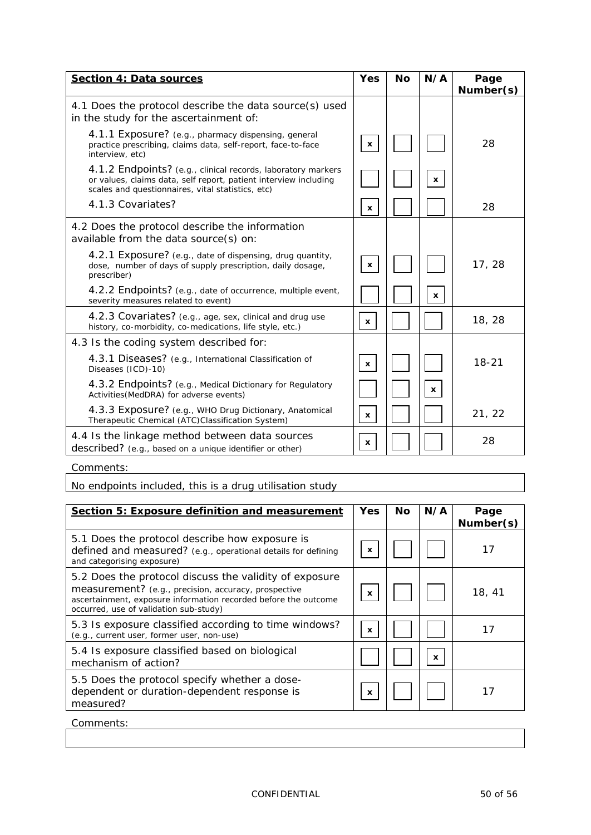| <b>Section 4: Data sources</b>                                                                                                                                                        | <b>Yes</b>   | <b>No</b> | N/A          | Page      |
|---------------------------------------------------------------------------------------------------------------------------------------------------------------------------------------|--------------|-----------|--------------|-----------|
| 4.1 Does the protocol describe the data source(s) used                                                                                                                                |              |           |              | Number(s) |
| in the study for the ascertainment of:                                                                                                                                                |              |           |              |           |
| 4.1.1 Exposure? (e.g., pharmacy dispensing, general<br>practice prescribing, claims data, self-report, face-to-face<br>interview, etc)                                                | x            |           |              | 28        |
| 4.1.2 Endpoints? (e.g., clinical records, laboratory markers<br>or values, claims data, self report, patient interview including<br>scales and questionnaires, vital statistics, etc) |              |           | $\mathbf{x}$ |           |
| 4.1.3 Covariates?                                                                                                                                                                     | x            |           |              | 28        |
| 4.2 Does the protocol describe the information<br>available from the data source(s) on:                                                                                               |              |           |              |           |
| 4.2.1 Exposure? (e.g., date of dispensing, drug quantity,<br>dose, number of days of supply prescription, daily dosage,<br>prescriber)                                                | $\mathbf{x}$ |           |              | 17, 28    |
| 4.2.2 Endpoints? (e.g., date of occurrence, multiple event,<br>severity measures related to event)                                                                                    |              |           | x            |           |
| 4.2.3 Covariates? (e.g., age, sex, clinical and drug use<br>history, co-morbidity, co-medications, life style, etc.)                                                                  | $\mathbf{x}$ |           |              | 18, 28    |
| 4.3 Is the coding system described for:                                                                                                                                               |              |           |              |           |
| 4.3.1 Diseases? (e.g., International Classification of<br>Diseases (ICD)-10)                                                                                                          | x            |           |              | 18-21     |
| 4.3.2 Endpoints? (e.g., Medical Dictionary for Regulatory<br>Activities (MedDRA) for adverse events)                                                                                  |              |           | x            |           |
| 4.3.3 Exposure? (e.g., WHO Drug Dictionary, Anatomical<br>Therapeutic Chemical (ATC)Classification System)                                                                            | $\mathbf{x}$ |           |              | 21, 22    |
| 4.4 Is the linkage method between data sources<br>described? (e.g., based on a unique identifier or other)                                                                            | x            |           |              | 28        |

No endpoints included, this is a drug utilisation study

| <b>Section 5: Exposure definition and measurement</b>                                                                                                                                                                       | <b>Yes</b> | No | N/A          | Page<br>Number(s) |
|-----------------------------------------------------------------------------------------------------------------------------------------------------------------------------------------------------------------------------|------------|----|--------------|-------------------|
| 5.1 Does the protocol describe how exposure is<br>defined and measured? (e.g., operational details for defining<br>and categorising exposure)                                                                               | x          |    |              | 17                |
| 5.2 Does the protocol discuss the validity of exposure<br>measurement? (e.g., precision, accuracy, prospective<br>ascertainment, exposure information recorded before the outcome<br>occurred, use of validation sub-study) | x          |    |              | 18, 41            |
| 5.3 Is exposure classified according to time windows?<br>(e.g., current user, former user, non-use)                                                                                                                         | x          |    |              | 17                |
| 5.4 Is exposure classified based on biological<br>mechanism of action?                                                                                                                                                      |            |    | $\mathbf{x}$ |                   |
| 5.5 Does the protocol specify whether a dose-<br>dependent or duration-dependent response is<br>measured?                                                                                                                   | x          |    |              | 17                |

Comments: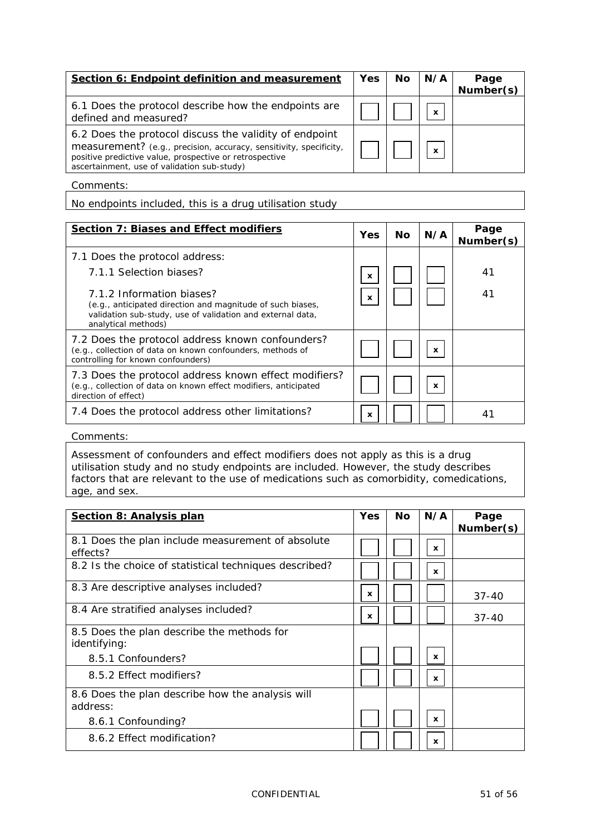| Section 6: Endpoint definition and measurement                                                                                                                                                                                         | <b>Yes</b> | No | N/A | Page      |
|----------------------------------------------------------------------------------------------------------------------------------------------------------------------------------------------------------------------------------------|------------|----|-----|-----------|
|                                                                                                                                                                                                                                        |            |    |     | Number(s) |
| 6.1 Does the protocol describe how the endpoints are<br>defined and measured?                                                                                                                                                          |            |    | X   |           |
| 6.2 Does the protocol discuss the validity of endpoint<br>measurement? (e.g., precision, accuracy, sensitivity, specificity,<br>positive predictive value, prospective or retrospective<br>ascertainment, use of validation sub-study) |            |    | X   |           |

No endpoints included, this is a drug utilisation study

| <b>Section 7: Biases and Effect modifiers</b>                                                                                                                                | <b>Yes</b>   | No. | N/A          | Page<br>Number(s) |
|------------------------------------------------------------------------------------------------------------------------------------------------------------------------------|--------------|-----|--------------|-------------------|
| 7.1 Does the protocol address:                                                                                                                                               |              |     |              |                   |
| 7.1.1 Selection biases?                                                                                                                                                      | $\mathbf{x}$ |     |              | 41                |
| 7.1.2 Information biases?<br>(e.g., anticipated direction and magnitude of such biases,<br>validation sub-study, use of validation and external data,<br>analytical methods) | $\mathbf{x}$ |     |              | 41                |
| 7.2 Does the protocol address known confounders?<br>(e.g., collection of data on known confounders, methods of<br>controlling for known confounders)                         |              |     | $\mathbf{x}$ |                   |
| 7.3 Does the protocol address known effect modifiers?<br>(e.g., collection of data on known effect modifiers, anticipated<br>direction of effect)                            |              |     | $\mathbf{x}$ |                   |
| 7.4 Does the protocol address other limitations?                                                                                                                             | x            |     |              | 41                |

Comments:

Assessment of confounders and effect modifiers does not apply as this is a drug utilisation study and no study endpoints are included. However, the study describes factors that are relevant to the use of medications such as comorbidity, comedications, age, and sex.

| <b>Section 8: Analysis plan</b>                        | <b>Yes</b> | <b>No</b> | N/A          | Page      |
|--------------------------------------------------------|------------|-----------|--------------|-----------|
|                                                        |            |           |              | Number(s) |
| 8.1 Does the plan include measurement of absolute      |            |           |              |           |
| effects?                                               |            |           | x            |           |
| 8.2 Is the choice of statistical techniques described? |            |           | x            |           |
| 8.3 Are descriptive analyses included?                 |            |           |              |           |
|                                                        | x          |           |              | $37 - 40$ |
| 8.4 Are stratified analyses included?                  |            |           |              |           |
|                                                        | x          |           |              | $37 - 40$ |
| 8.5 Does the plan describe the methods for             |            |           |              |           |
| identifying:                                           |            |           |              |           |
| 8.5.1 Confounders?                                     |            |           | x            |           |
| 8.5.2 Effect modifiers?                                |            |           |              |           |
|                                                        |            |           | x            |           |
| 8.6 Does the plan describe how the analysis will       |            |           |              |           |
| address:                                               |            |           |              |           |
| 8.6.1 Confounding?                                     |            |           | $\mathbf{x}$ |           |
| 8.6.2 Effect modification?                             |            |           |              |           |
|                                                        |            |           | x            |           |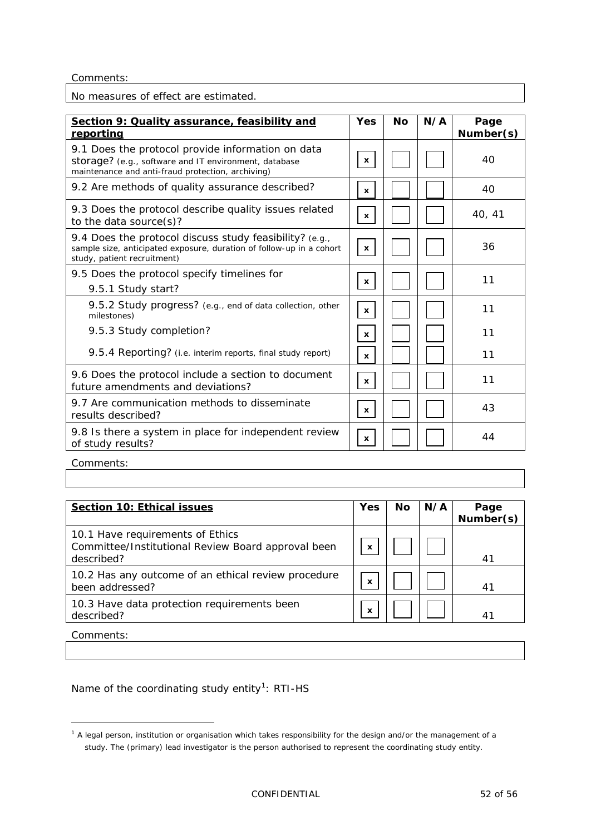No measures of effect are estimated.

| Section 9: Quality assurance, feasibility and<br>reporting                                                                                                      | <b>Yes</b>   | <b>No</b> | N/A | Page<br>Number(s) |
|-----------------------------------------------------------------------------------------------------------------------------------------------------------------|--------------|-----------|-----|-------------------|
| 9.1 Does the protocol provide information on data<br>storage? (e.g., software and IT environment, database<br>maintenance and anti-fraud protection, archiving) | $\mathbf x$  |           |     | 40                |
| 9.2 Are methods of quality assurance described?                                                                                                                 | x            |           |     | 40                |
| 9.3 Does the protocol describe quality issues related<br>to the data source(s)?                                                                                 | $\mathbf x$  |           |     | 40, 41            |
| 9.4 Does the protocol discuss study feasibility? (e.g.,<br>sample size, anticipated exposure, duration of follow-up in a cohort<br>study, patient recruitment)  | $\mathbf{x}$ |           |     | 36                |
| 9.5 Does the protocol specify timelines for<br>9.5.1 Study start?                                                                                               | $\mathbf x$  |           |     | 11                |
| 9.5.2 Study progress? (e.g., end of data collection, other<br>milestones)                                                                                       | $\mathbf{x}$ |           |     | 11                |
| 9.5.3 Study completion?                                                                                                                                         | x            |           |     | 11                |
| 9.5.4 Reporting? (i.e. interim reports, final study report)                                                                                                     | x            |           |     | 11                |
| 9.6 Does the protocol include a section to document<br>future amendments and deviations?                                                                        | x            |           |     | 11                |
| 9.7 Are communication methods to disseminate<br>results described?                                                                                              | $\mathbf{x}$ |           |     | 43                |
| 9.8 Is there a system in place for independent review<br>of study results?                                                                                      | x            |           |     | 44                |

Comments:

-

| <b>Section 10: Ethical issues</b>                                                                    | <b>Yes</b>                | Νo | N/A | Page<br>Number(s) |
|------------------------------------------------------------------------------------------------------|---------------------------|----|-----|-------------------|
| 10.1 Have requirements of Ethics<br>Committee/Institutional Review Board approval been<br>described? | $\boldsymbol{\mathsf{x}}$ |    |     | 41                |
| 10.2 Has any outcome of an ethical review procedure<br>been addressed?                               | x                         |    |     | 41                |
| 10.3 Have data protection requirements been<br>described?                                            | X                         |    |     | 41                |
| Comments:                                                                                            |                           |    |     |                   |

Name of the coordinating study entity<sup>[1](#page-51-0)</sup>: RTI-HS

<span id="page-51-0"></span> $1$  A legal person, institution or organisation which takes responsibility for the design and/or the management of a study. The (primary) lead investigator is the person authorised to represent the coordinating study entity.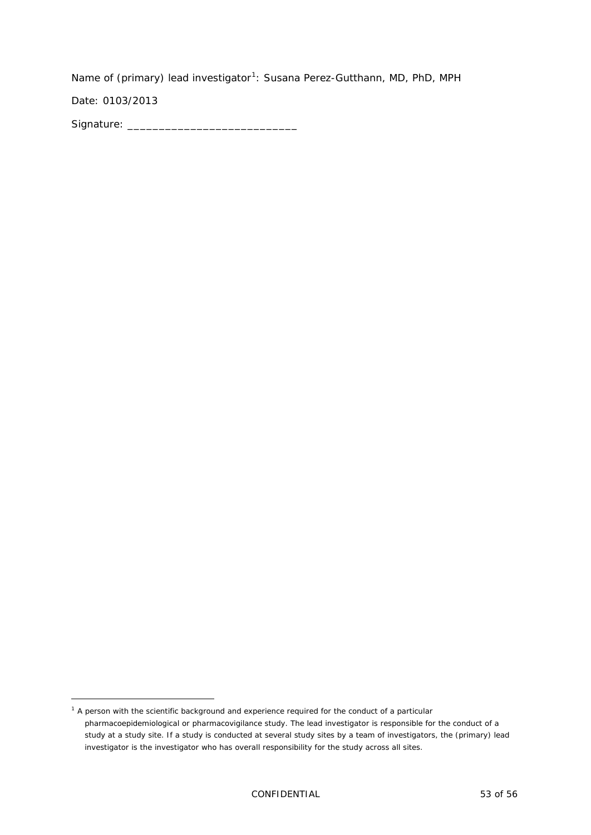Name of (primary) lead investigator<sup>[1](#page-52-0)</sup>: Susana Perez-Gutthann, MD, PhD, MPH

Date: 0103/2013

-

Signature: \_\_\_\_\_\_\_\_\_\_\_\_\_\_\_\_\_\_\_\_\_\_\_\_\_\_\_

<span id="page-52-0"></span><sup>&</sup>lt;sup>1</sup> A person with the scientific background and experience required for the conduct of a particular pharmacoepidemiological or pharmacovigilance study. The lead investigator is responsible for the conduct of a study at a study site. If a study is conducted at several study sites by a team of investigators, the (primary) lead investigator is the investigator who has overall responsibility for the study across all sites.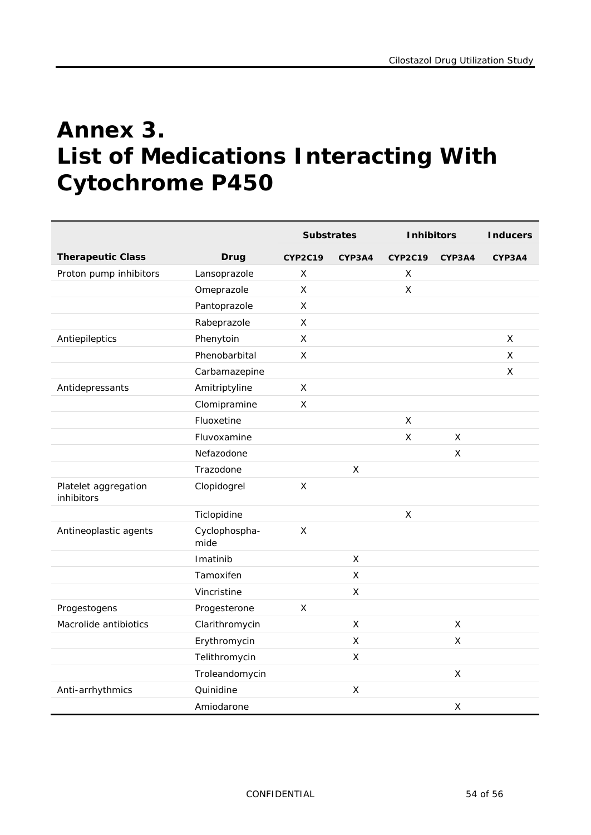# <span id="page-53-0"></span>**Annex 3. List of Medications Interacting With Cytochrome P450**

|                                    |                       | <b>Substrates</b> |              | <b>Inhibitors</b> |                    | <b>Inducers</b> |
|------------------------------------|-----------------------|-------------------|--------------|-------------------|--------------------|-----------------|
| <b>Therapeutic Class</b>           | <b>Drug</b>           | <b>CYP2C19</b>    | CYP3A4       | <b>CYP2C19</b>    | CYP3A4             | CYP3A4          |
| Proton pump inhibitors             | Lansoprazole          | X                 |              | X                 |                    |                 |
|                                    | Omeprazole            | X                 |              | X                 |                    |                 |
|                                    | Pantoprazole          | X                 |              |                   |                    |                 |
|                                    | Rabeprazole           | X                 |              |                   |                    |                 |
| Antiepileptics                     | Phenytoin             | X                 |              |                   |                    | X               |
|                                    | Phenobarbital         | X                 |              |                   |                    | X               |
|                                    | Carbamazepine         |                   |              |                   |                    | X               |
| Antidepressants                    | Amitriptyline         | $\pmb{\times}$    |              |                   |                    |                 |
|                                    | Clomipramine          | $\mathsf{x}$      |              |                   |                    |                 |
|                                    | Fluoxetine            |                   |              | X                 |                    |                 |
|                                    | Fluvoxamine           |                   |              | $\mathsf{X}$      | X                  |                 |
|                                    | Nefazodone            |                   |              |                   | Χ                  |                 |
|                                    | Trazodone             |                   | X            |                   |                    |                 |
| Platelet aggregation<br>inhibitors | Clopidogrel           | $\mathsf X$       |              |                   |                    |                 |
|                                    | Ticlopidine           |                   |              | X                 |                    |                 |
| Antineoplastic agents              | Cyclophospha-<br>mide | $\mathsf{x}$      |              |                   |                    |                 |
|                                    | Imatinib              |                   | X            |                   |                    |                 |
|                                    | Tamoxifen             |                   | $\mathsf{X}$ |                   |                    |                 |
|                                    | Vincristine           |                   | $\mathsf X$  |                   |                    |                 |
| Progestogens                       | Progesterone          | $\mathsf{x}$      |              |                   |                    |                 |
| Macrolide antibiotics              | Clarithromycin        |                   | $\mathsf{X}$ |                   | $\pmb{\mathsf{X}}$ |                 |
|                                    | Erythromycin          |                   | $\mathsf{x}$ |                   | $\mathsf{x}$       |                 |
|                                    | Telithromycin         |                   | X            |                   |                    |                 |
|                                    | Troleandomycin        |                   |              |                   | $\mathsf X$        |                 |
| Anti-arrhythmics                   | Quinidine             |                   | X            |                   |                    |                 |
|                                    | Amiodarone            |                   |              |                   | X                  |                 |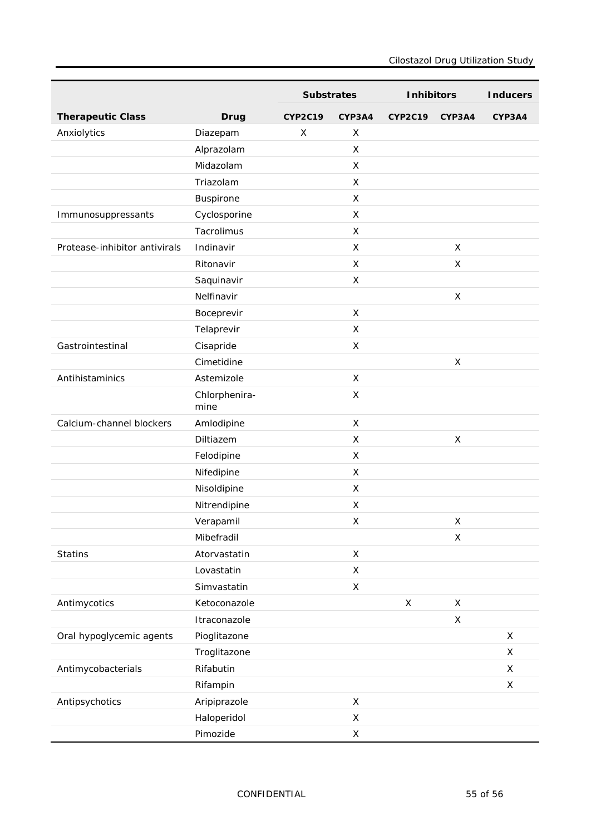|                               |                       | <b>Substrates</b> |                | <b>Inhibitors</b> |             | <b>Inducers</b> |
|-------------------------------|-----------------------|-------------------|----------------|-------------------|-------------|-----------------|
| <b>Therapeutic Class</b>      | <b>Drug</b>           | <b>CYP2C19</b>    | CYP3A4         | <b>CYP2C19</b>    | CYP3A4      | CYP3A4          |
| Anxiolytics                   | Diazepam              | X                 | X              |                   |             |                 |
|                               | Alprazolam            |                   | X              |                   |             |                 |
|                               | Midazolam             |                   | X              |                   |             |                 |
|                               | Triazolam             |                   | X              |                   |             |                 |
|                               | Buspirone             |                   | X              |                   |             |                 |
| Immunosuppressants            | Cyclosporine          |                   | X              |                   |             |                 |
|                               | Tacrolimus            |                   | X              |                   |             |                 |
| Protease-inhibitor antivirals | Indinavir             |                   | X              |                   | X           |                 |
|                               | Ritonavir             |                   | X              |                   | X           |                 |
|                               | Saquinavir            |                   | X              |                   |             |                 |
|                               | Nelfinavir            |                   |                |                   | X           |                 |
|                               | Boceprevir            |                   | X              |                   |             |                 |
|                               | Telaprevir            |                   | X              |                   |             |                 |
| Gastrointestinal              | Cisapride             |                   | X              |                   |             |                 |
|                               | Cimetidine            |                   |                |                   | X           |                 |
| Antihistaminics               | Astemizole            |                   | X              |                   |             |                 |
|                               | Chlorphenira-<br>mine |                   | X              |                   |             |                 |
| Calcium-channel blockers      | Amlodipine            |                   | $\pmb{\times}$ |                   |             |                 |
|                               | Diltiazem             |                   | $\pmb{\times}$ |                   | X           |                 |
|                               | Felodipine            |                   | X              |                   |             |                 |
|                               | Nifedipine            |                   | X              |                   |             |                 |
|                               | Nisoldipine           |                   | X              |                   |             |                 |
|                               | Nitrendipine          |                   | $\pmb{\times}$ |                   |             |                 |
|                               | Verapamil             |                   | $\mathsf X$    |                   | X           |                 |
|                               | Mibefradil            |                   |                |                   | X           |                 |
| <b>Statins</b>                | Atorvastatin          |                   | $\mathsf X$    |                   |             |                 |
|                               | Lovastatin            |                   | $\pmb{\times}$ |                   |             |                 |
|                               | Simvastatin           |                   | $\mathsf X$    |                   |             |                 |
| Antimycotics                  | Ketoconazole          |                   |                | $\mathsf X$       | X           |                 |
|                               | Itraconazole          |                   |                |                   | $\mathsf X$ |                 |
| Oral hypoglycemic agents      | Pioglitazone          |                   |                |                   |             | $\mathsf X$     |
|                               | Troglitazone          |                   |                |                   |             | X               |
| Antimycobacterials            | Rifabutin             |                   |                |                   |             | X               |
|                               | Rifampin              |                   |                |                   |             | $\mathsf X$     |
| Antipsychotics                | Aripiprazole          |                   | $\mathsf X$    |                   |             |                 |
|                               | Haloperidol           |                   | $\mathsf X$    |                   |             |                 |
|                               | Pimozide              |                   | $\mathsf X$    |                   |             |                 |